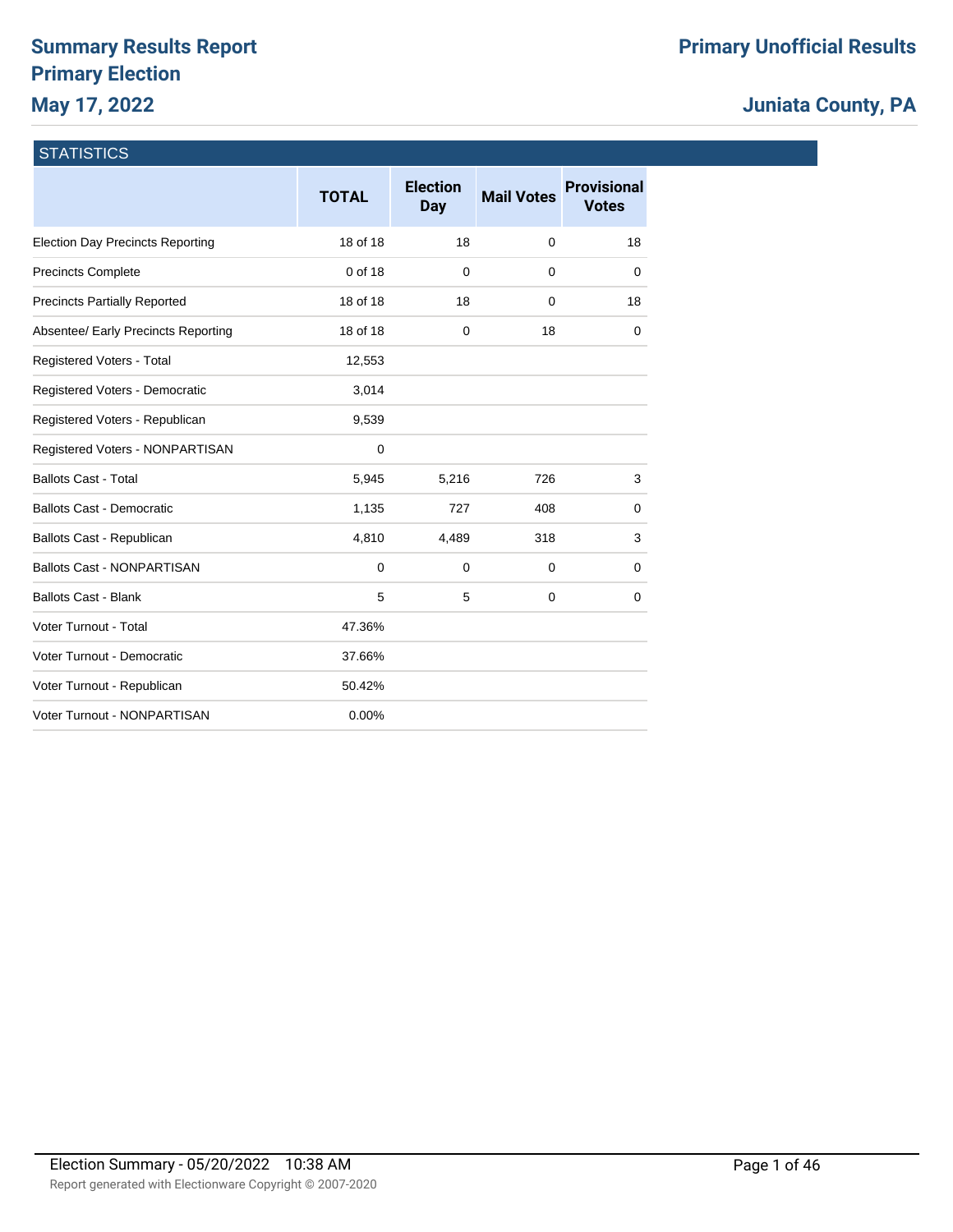## **Summary Results Report Primary Election May 17, 2022**

## **Juniata County, PA**

## **STATISTICS**

|                                         | <b>TOTAL</b> | <b>Election</b><br>Day | <b>Mail Votes</b> | <b>Provisional</b><br><b>Votes</b> |
|-----------------------------------------|--------------|------------------------|-------------------|------------------------------------|
| <b>Election Day Precincts Reporting</b> | 18 of 18     | 18                     | 0                 | 18                                 |
| <b>Precincts Complete</b>               | 0 of 18      | $\mathbf 0$            | $\Omega$          | 0                                  |
| <b>Precincts Partially Reported</b>     | 18 of 18     | 18                     | 0                 | 18                                 |
| Absentee/ Early Precincts Reporting     | 18 of 18     | 0                      | 18                | 0                                  |
| Registered Voters - Total               | 12,553       |                        |                   |                                    |
| Registered Voters - Democratic          | 3,014        |                        |                   |                                    |
| Registered Voters - Republican          | 9,539        |                        |                   |                                    |
| Registered Voters - NONPARTISAN         | $\mathbf 0$  |                        |                   |                                    |
| <b>Ballots Cast - Total</b>             | 5,945        | 5,216                  | 726               | 3                                  |
| <b>Ballots Cast - Democratic</b>        | 1,135        | 727                    | 408               | 0                                  |
| Ballots Cast - Republican               | 4,810        | 4,489                  | 318               | 3                                  |
| <b>Ballots Cast - NONPARTISAN</b>       | 0            | 0                      | 0                 | 0                                  |
| <b>Ballots Cast - Blank</b>             | 5            | 5                      | $\mathbf 0$       | $\mathbf 0$                        |
| Voter Turnout - Total                   | 47.36%       |                        |                   |                                    |
| Voter Turnout - Democratic              | 37.66%       |                        |                   |                                    |
| Voter Turnout - Republican              | 50.42%       |                        |                   |                                    |
| Voter Turnout - NONPARTISAN             | 0.00%        |                        |                   |                                    |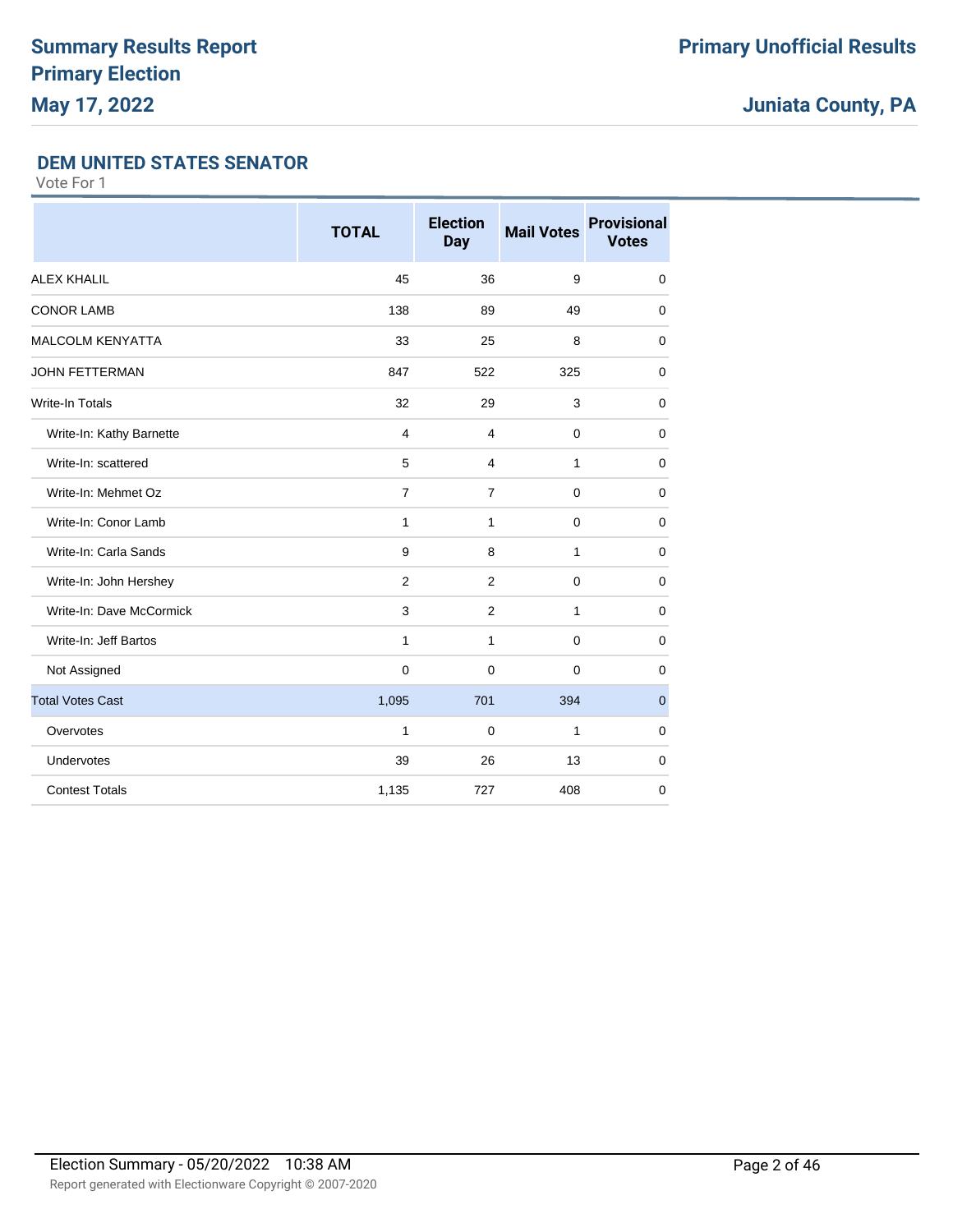### **DEM UNITED STATES SENATOR**

|                          | <b>TOTAL</b>   | <b>Election</b><br><b>Day</b> | <b>Mail Votes</b> | <b>Provisional</b><br><b>Votes</b> |
|--------------------------|----------------|-------------------------------|-------------------|------------------------------------|
| <b>ALEX KHALIL</b>       | 45             | 36                            | 9                 | $\mathbf 0$                        |
| <b>CONOR LAMB</b>        | 138            | 89                            | 49                | 0                                  |
| <b>MALCOLM KENYATTA</b>  | 33             | 25                            | 8                 | $\mathbf 0$                        |
| <b>JOHN FETTERMAN</b>    | 847            | 522                           | 325               | $\mathbf 0$                        |
| Write-In Totals          | 32             | 29                            | 3                 | $\mathbf 0$                        |
| Write-In: Kathy Barnette | 4              | 4                             | $\mathbf 0$       | $\mathbf 0$                        |
| Write-In: scattered      | 5              | 4                             | 1                 | $\mathbf 0$                        |
| Write-In: Mehmet Oz      | $\overline{7}$ | $\overline{7}$                | $\mathbf 0$       | $\mathbf 0$                        |
| Write-In: Conor Lamb     | $\mathbf{1}$   | 1                             | $\mathbf 0$       | 0                                  |
| Write-In: Carla Sands    | 9              | 8                             | 1                 | $\mathbf 0$                        |
| Write-In: John Hershey   | 2              | 2                             | $\mathbf 0$       | $\mathbf 0$                        |
| Write-In: Dave McCormick | 3              | $\overline{2}$                | $\mathbf{1}$      | $\mathbf 0$                        |
| Write-In: Jeff Bartos    | 1              | 1                             | $\Omega$          | $\mathbf 0$                        |
| Not Assigned             | $\mathbf 0$    | $\mathbf 0$                   | $\Omega$          | 0                                  |
| <b>Total Votes Cast</b>  | 1,095          | 701                           | 394               | $\mathbf 0$                        |
| Overvotes                | $\mathbf{1}$   | $\mathbf 0$                   | 1                 | $\mathbf 0$                        |
| Undervotes               | 39             | 26                            | 13                | 0                                  |
| <b>Contest Totals</b>    | 1,135          | 727                           | 408               | $\mathbf 0$                        |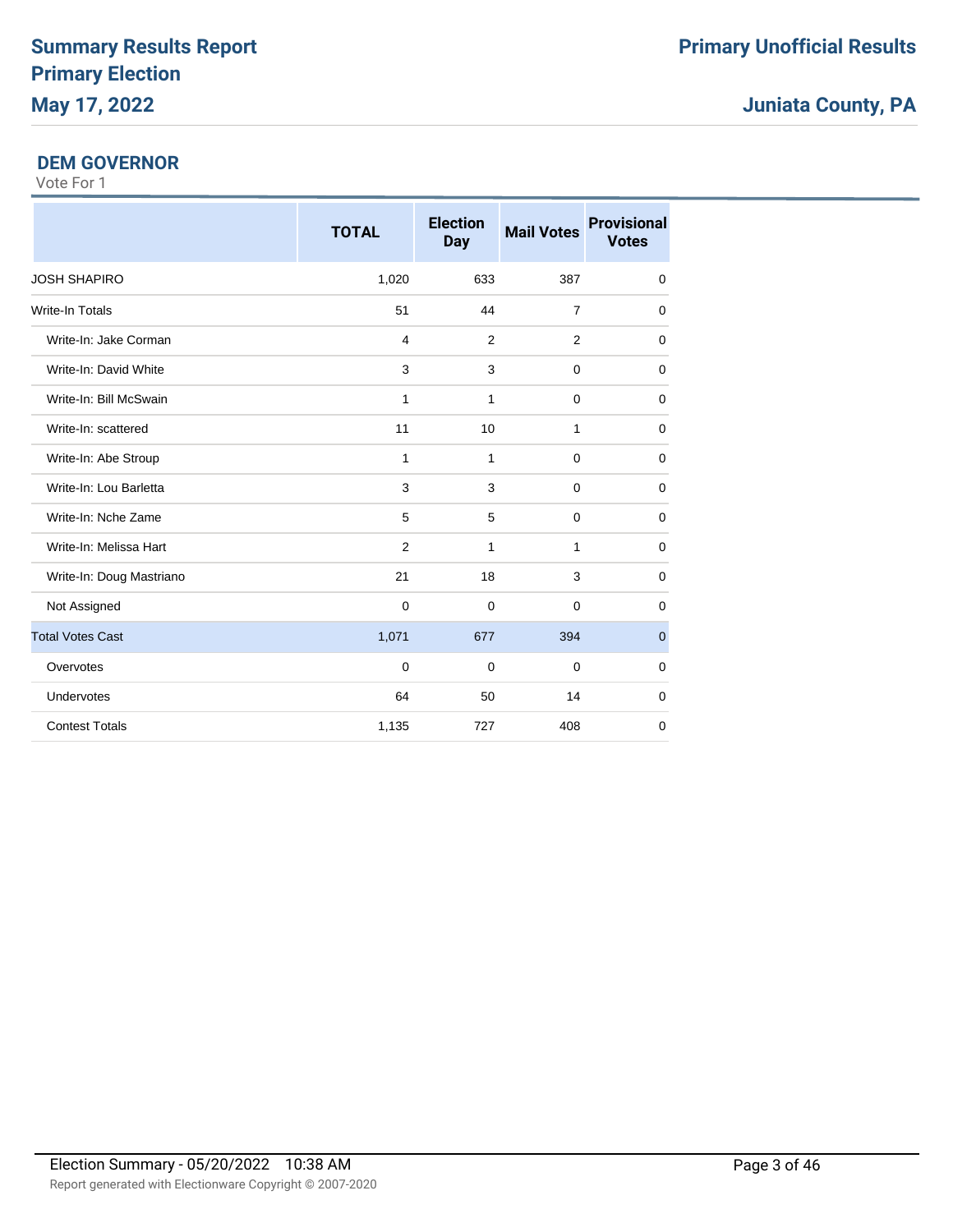### **DEM GOVERNOR**

|                          | <b>TOTAL</b>   | <b>Election</b><br><b>Day</b> | <b>Mail Votes</b> | <b>Provisional</b><br><b>Votes</b> |
|--------------------------|----------------|-------------------------------|-------------------|------------------------------------|
| <b>JOSH SHAPIRO</b>      | 1,020          | 633                           | 387               | $\mathbf 0$                        |
| <b>Write-In Totals</b>   | 51             | 44                            | $\overline{7}$    | $\mathbf 0$                        |
| Write-In: Jake Corman    | $\overline{4}$ | 2                             | $\overline{2}$    | $\mathbf 0$                        |
| Write-In: David White    | 3              | 3                             | $\Omega$          | $\mathbf 0$                        |
| Write-In: Bill McSwain   | 1              | 1                             | $\Omega$          | $\mathbf 0$                        |
| Write-In: scattered      | 11             | 10                            | 1                 | $\mathbf 0$                        |
| Write-In: Abe Stroup     | 1              | 1                             | $\mathbf 0$       | 0                                  |
| Write-In: Lou Barletta   | 3              | 3                             | $\mathbf 0$       | $\mathbf 0$                        |
| Write-In: Nche Zame      | 5              | 5                             | $\mathbf 0$       | $\mathbf 0$                        |
| Write-In: Melissa Hart   | $\overline{2}$ | $\mathbf{1}$                  | 1                 | $\mathbf 0$                        |
| Write-In: Doug Mastriano | 21             | 18                            | 3                 | 0                                  |
| Not Assigned             | $\mathbf 0$    | $\mathbf 0$                   | $\mathbf 0$       | 0                                  |
| <b>Total Votes Cast</b>  | 1,071          | 677                           | 394               | $\mathbf{0}$                       |
| Overvotes                | $\Omega$       | $\mathbf 0$                   | $\Omega$          | $\mathbf 0$                        |
| <b>Undervotes</b>        | 64             | 50                            | 14                | $\mathbf 0$                        |
| <b>Contest Totals</b>    | 1,135          | 727                           | 408               | $\mathbf 0$                        |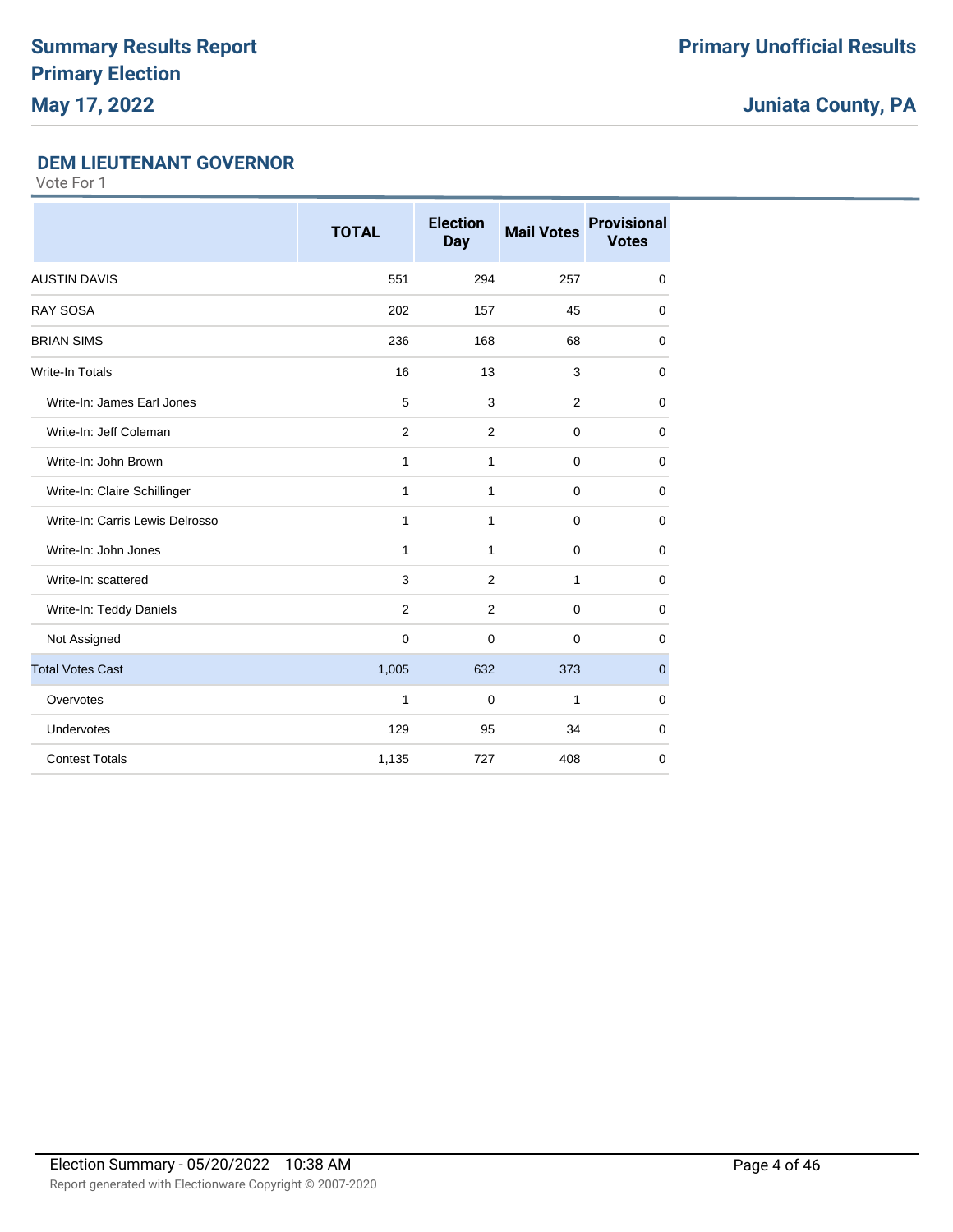### **DEM LIEUTENANT GOVERNOR**

|                                 | <b>TOTAL</b> | <b>Election</b><br><b>Day</b> | <b>Mail Votes</b> | <b>Provisional</b><br><b>Votes</b> |
|---------------------------------|--------------|-------------------------------|-------------------|------------------------------------|
| <b>AUSTIN DAVIS</b>             | 551          | 294                           | 257               | $\mathbf 0$                        |
| <b>RAY SOSA</b>                 | 202          | 157                           | 45                | $\mathbf 0$                        |
| <b>BRIAN SIMS</b>               | 236          | 168                           | 68                | $\mathbf 0$                        |
| <b>Write-In Totals</b>          | 16           | 13                            | 3                 | $\mathbf 0$                        |
| Write-In: James Earl Jones      | 5            | 3                             | $\overline{2}$    | $\mathbf 0$                        |
| Write-In: Jeff Coleman          | 2            | $\overline{2}$                | $\mathbf 0$       | $\mathbf 0$                        |
| Write-In: John Brown            | 1            | $\mathbf{1}$                  | $\mathbf 0$       | $\mathbf 0$                        |
| Write-In: Claire Schillinger    | 1            | $\mathbf{1}$                  | $\mathbf 0$       | 0                                  |
| Write-In: Carris Lewis Delrosso | 1            | $\mathbf{1}$                  | $\mathbf 0$       | $\mathbf 0$                        |
| Write-In: John Jones            | 1            | 1                             | $\mathbf 0$       | $\mathbf 0$                        |
| Write-In: scattered             | 3            | 2                             | 1                 | $\mathbf 0$                        |
| Write-In: Teddy Daniels         | 2            | $\overline{2}$                | $\mathbf 0$       | 0                                  |
| Not Assigned                    | $\mathbf 0$  | $\Omega$                      | $\Omega$          | $\mathbf 0$                        |
| <b>Total Votes Cast</b>         | 1,005        | 632                           | 373               | $\overline{0}$                     |
| Overvotes                       | 1            | $\Omega$                      | 1                 | $\mathbf 0$                        |
| Undervotes                      | 129          | 95                            | 34                | $\mathbf 0$                        |
| <b>Contest Totals</b>           | 1,135        | 727                           | 408               | $\mathbf 0$                        |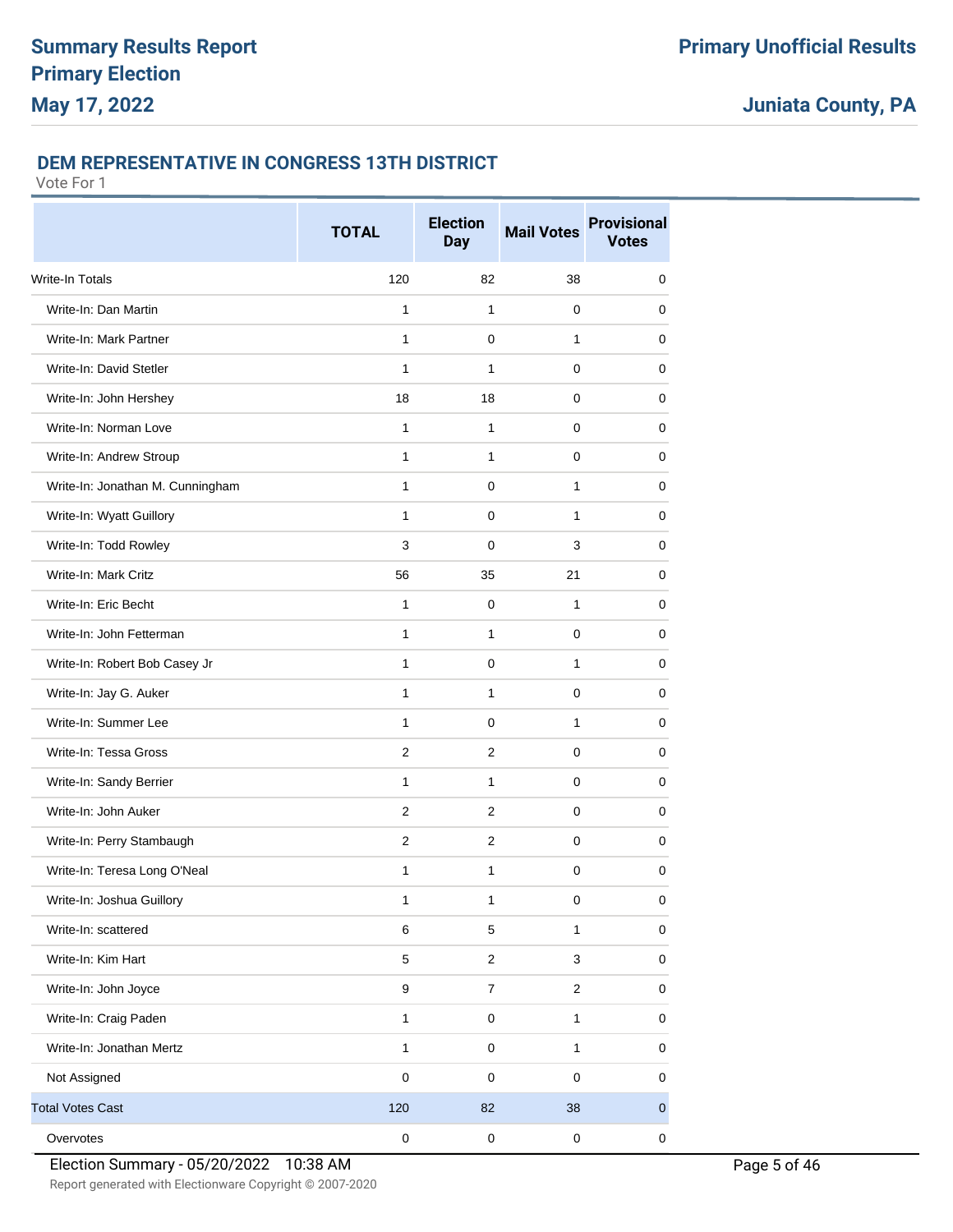#### **DEM REPRESENTATIVE IN CONGRESS 13TH DISTRICT**

|                                  | <b>TOTAL</b>     | <b>Election</b><br><b>Day</b> | <b>Mail Votes</b>       | <b>Provisional</b><br><b>Votes</b> |
|----------------------------------|------------------|-------------------------------|-------------------------|------------------------------------|
| Write-In Totals                  | 120              | 82                            | 38                      | 0                                  |
| Write-In: Dan Martin             | 1                | 1                             | 0                       | 0                                  |
| Write-In: Mark Partner           | 1                | 0                             | 1                       | 0                                  |
| Write-In: David Stetler          | 1                | 1                             | 0                       | 0                                  |
| Write-In: John Hershey           | 18               | 18                            | $\Omega$                | 0                                  |
| Write-In: Norman Love            | 1                | 1                             | 0                       | 0                                  |
| Write-In: Andrew Stroup          | 1                | 1                             | 0                       | $\mathbf 0$                        |
| Write-In: Jonathan M. Cunningham | 1                | 0                             | 1                       | 0                                  |
| Write-In: Wyatt Guillory         | 1                | 0                             | 1                       | 0                                  |
| Write-In: Todd Rowley            | 3                | 0                             | 3                       | 0                                  |
| Write-In: Mark Critz             | 56               | 35                            | 21                      | 0                                  |
| Write-In: Eric Becht             | 1                | 0                             | 1                       | 0                                  |
| Write-In: John Fetterman         | 1                | 1                             | 0                       | 0                                  |
| Write-In: Robert Bob Casey Jr    | 1                | 0                             | 1                       | 0                                  |
| Write-In: Jay G. Auker           | 1                | 1                             | 0                       | 0                                  |
| Write-In: Summer Lee             | 1                | 0                             | $\mathbf{1}$            | 0                                  |
| Write-In: Tessa Gross            | $\overline{2}$   | $\overline{2}$                | $\Omega$                | 0                                  |
| Write-In: Sandy Berrier          | 1                | 1                             | 0                       | 0                                  |
| Write-In: John Auker             | $\overline{2}$   | $\overline{2}$                | 0                       | $\mathbf 0$                        |
| Write-In: Perry Stambaugh        | 2                | 2                             | 0                       | 0                                  |
| Write-In: Teresa Long O'Neal     | 1                | 1                             | 0                       | 0                                  |
| Write-In: Joshua Guillory        | 1                | 1                             | $\pmb{0}$               | $\pmb{0}$                          |
| Write-In: scattered              | $\,6$            | 5                             | 1                       | $\mathbf 0$                        |
| Write-In: Kim Hart               | 5                | $\overline{c}$                | 3                       | 0                                  |
| Write-In: John Joyce             | $\boldsymbol{9}$ | $\overline{7}$                | $\overline{\mathbf{c}}$ | $\pmb{0}$                          |
| Write-In: Craig Paden            | $\mathbf{1}$     | 0                             | $\mathbf{1}$            | 0                                  |
| Write-In: Jonathan Mertz         | $\mathbf{1}$     | $\pmb{0}$                     | $\mathbf{1}$            | 0                                  |
| Not Assigned                     | $\pmb{0}$        | $\pmb{0}$                     | $\pmb{0}$               | $\mathbf 0$                        |
| <b>Total Votes Cast</b>          | 120              | 82                            | 38                      | $\mathbf 0$                        |
| Overvotes                        | $\pmb{0}$        | $\pmb{0}$                     | $\pmb{0}$               | 0                                  |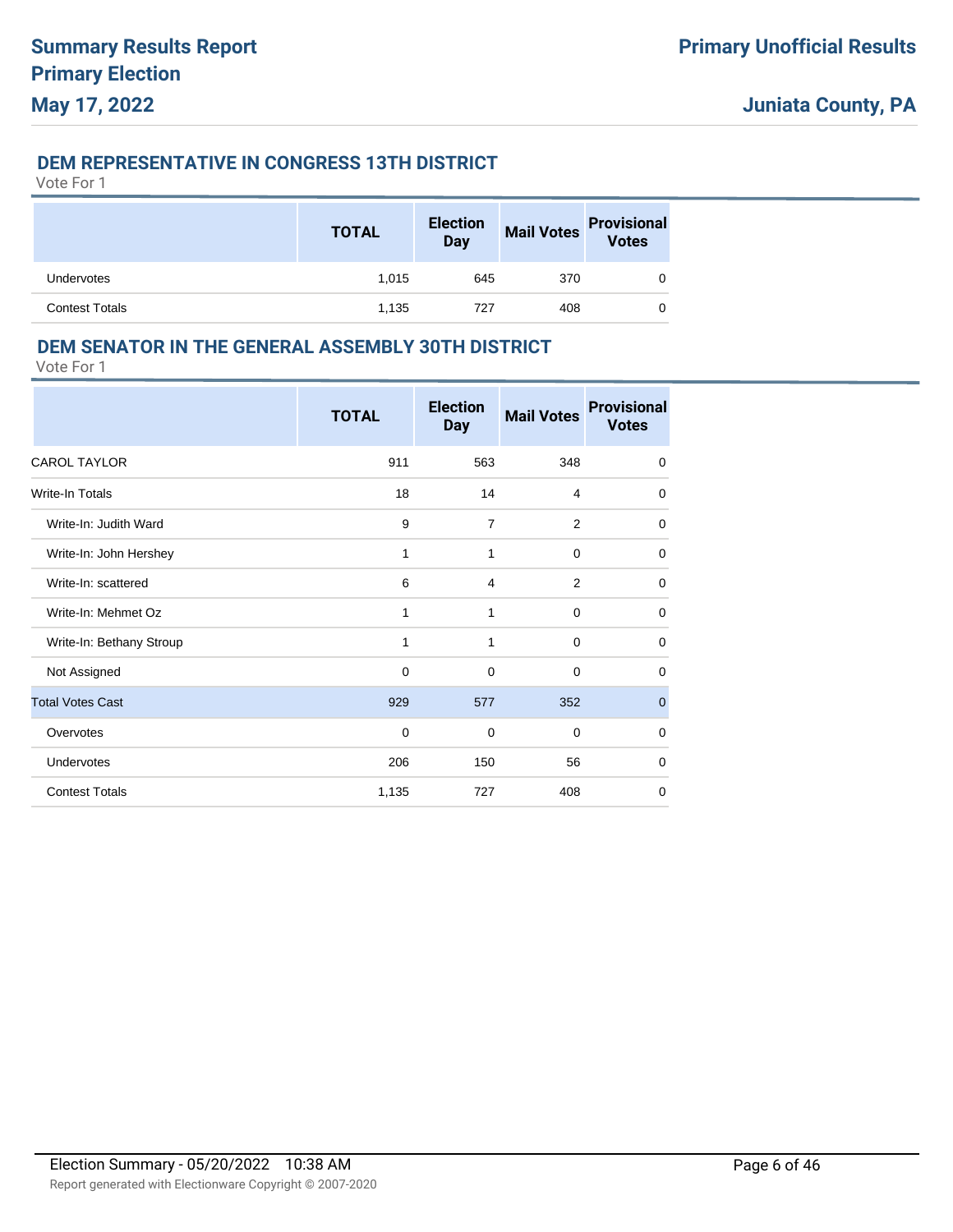### **DEM REPRESENTATIVE IN CONGRESS 13TH DISTRICT**

Vote For 1

|                       | <b>TOTAL</b> | <b>Election</b><br><b>Day</b> | <b>Mail Votes</b> | <b>Provisional</b><br><b>Votes</b> |
|-----------------------|--------------|-------------------------------|-------------------|------------------------------------|
| Undervotes            | 1.015        | 645                           | 370               |                                    |
| <b>Contest Totals</b> | 1,135        | 727                           | 408               |                                    |

### **DEM SENATOR IN THE GENERAL ASSEMBLY 30TH DISTRICT**

|                          | <b>TOTAL</b> | <b>Election</b><br><b>Day</b> | <b>Mail Votes</b> | <b>Provisional</b><br><b>Votes</b> |
|--------------------------|--------------|-------------------------------|-------------------|------------------------------------|
| <b>CAROL TAYLOR</b>      | 911          | 563                           | 348               | 0                                  |
| Write-In Totals          | 18           | 14                            | 4                 | 0                                  |
| Write-In: Judith Ward    | 9            | $\overline{7}$                | $\overline{2}$    | $\mathbf 0$                        |
| Write-In: John Hershey   | 1            | $\mathbf{1}$                  | $\mathbf 0$       | 0                                  |
| Write-In: scattered      | 6            | 4                             | 2                 | $\Omega$                           |
| Write-In: Mehmet Oz      | 1            | 1                             | $\mathbf 0$       | 0                                  |
| Write-In: Bethany Stroup | 1            | 1                             | $\mathbf 0$       | 0                                  |
| Not Assigned             | $\Omega$     | $\Omega$                      | $\Omega$          | $\Omega$                           |
| <b>Total Votes Cast</b>  | 929          | 577                           | 352               | $\mathbf 0$                        |
| Overvotes                | $\mathbf 0$  | $\mathbf 0$                   | $\mathbf 0$       | $\mathbf 0$                        |
| <b>Undervotes</b>        | 206          | 150                           | 56                | $\mathbf 0$                        |
| <b>Contest Totals</b>    | 1,135        | 727                           | 408               | $\mathbf 0$                        |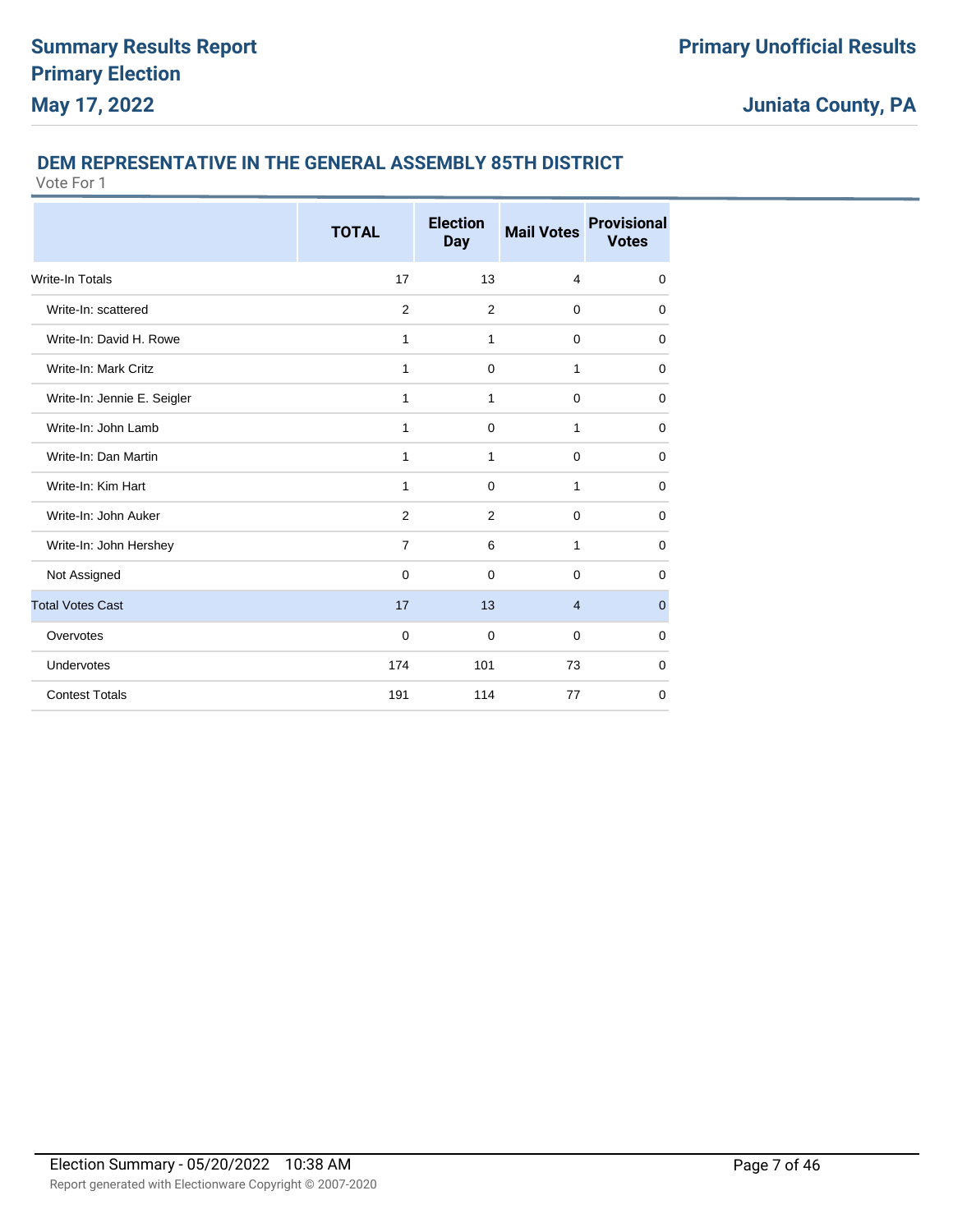### **DEM REPRESENTATIVE IN THE GENERAL ASSEMBLY 85TH DISTRICT**

|                             | <b>TOTAL</b>   | <b>Election</b><br><b>Day</b> | <b>Mail Votes</b> | <b>Provisional</b><br><b>Votes</b> |
|-----------------------------|----------------|-------------------------------|-------------------|------------------------------------|
| Write-In Totals             | 17             | 13                            | $\overline{4}$    | $\mathbf 0$                        |
| Write-In: scattered         | 2              | 2                             | $\mathbf 0$       | $\mathbf 0$                        |
| Write-In: David H. Rowe     | 1              | 1                             | 0                 | 0                                  |
| Write-In: Mark Critz        | 1              | 0                             | 1                 | $\mathbf 0$                        |
| Write-In: Jennie E. Seigler | 1              | 1                             | $\mathbf 0$       | $\mathbf 0$                        |
| Write-In: John Lamb         | 1              | $\mathbf 0$                   | 1                 | $\mathbf 0$                        |
| Write-In: Dan Martin        | $\mathbf{1}$   | 1                             | $\mathbf 0$       | $\mathbf 0$                        |
| Write-In: Kim Hart          | 1              | $\mathbf 0$                   | 1                 | $\mathbf 0$                        |
| Write-In: John Auker        | 2              | 2                             | $\mathbf 0$       | $\mathbf 0$                        |
| Write-In: John Hershey      | $\overline{7}$ | 6                             | 1                 | $\Omega$                           |
| Not Assigned                | $\mathbf 0$    | $\mathbf 0$                   | $\mathbf 0$       | $\mathbf 0$                        |
| <b>Total Votes Cast</b>     | 17             | 13                            | $\overline{4}$    | $\mathbf 0$                        |
| Overvotes                   | $\mathbf 0$    | $\mathbf 0$                   | $\mathbf 0$       | $\mathbf 0$                        |
| Undervotes                  | 174            | 101                           | 73                | 0                                  |
| <b>Contest Totals</b>       | 191            | 114                           | 77                | 0                                  |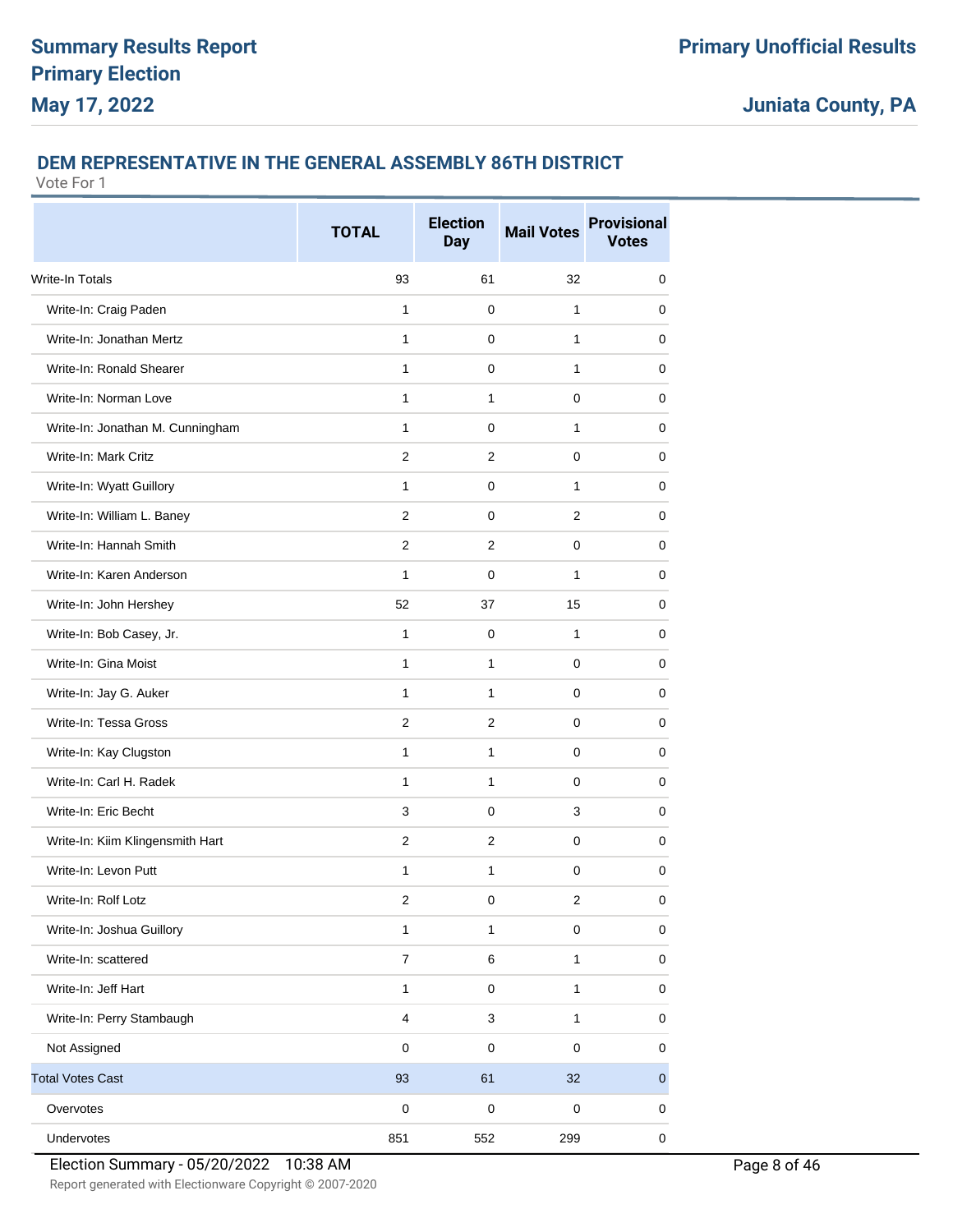#### **DEM REPRESENTATIVE IN THE GENERAL ASSEMBLY 86TH DISTRICT**

Vote For 1

|                                  | <b>TOTAL</b>     | <b>Election</b><br><b>Day</b> | <b>Mail Votes</b>       | <b>Provisional</b><br><b>Votes</b> |
|----------------------------------|------------------|-------------------------------|-------------------------|------------------------------------|
| <b>Write-In Totals</b>           | 93               | 61                            | 32                      | 0                                  |
| Write-In: Craig Paden            | $\mathbf{1}$     | 0                             | 1                       | 0                                  |
| Write-In: Jonathan Mertz         | 1                | 0                             | 1                       | 0                                  |
| Write-In: Ronald Shearer         | 1                | 0                             | 1                       | 0                                  |
| Write-In: Norman Love            | 1                | $\mathbf{1}$                  | $\Omega$                | 0                                  |
| Write-In: Jonathan M. Cunningham | $\mathbf{1}$     | 0                             | $\mathbf{1}$            | 0                                  |
| Write-In: Mark Critz             | $\overline{2}$   | $\overline{2}$                | 0                       | $\mathbf 0$                        |
| Write-In: Wyatt Guillory         | 1                | 0                             | $\mathbf{1}$            | 0                                  |
| Write-In: William L. Baney       | 2                | 0                             | 2                       | 0                                  |
| Write-In: Hannah Smith           | $\overline{2}$   | $\overline{2}$                | 0                       | 0                                  |
| Write-In: Karen Anderson         | 1                | 0                             | 1                       | 0                                  |
| Write-In: John Hershey           | 52               | 37                            | 15                      | 0                                  |
| Write-In: Bob Casey, Jr.         | 1                | 0                             | $\mathbf{1}$            | 0                                  |
| Write-In: Gina Moist             | $\mathbf{1}$     | 1                             | 0                       | 0                                  |
| Write-In: Jay G. Auker           | $\mathbf{1}$     | 1                             | 0                       | 0                                  |
| Write-In: Tessa Gross            | $\overline{2}$   | $\overline{2}$                | 0                       | 0                                  |
| Write-In: Kay Clugston           | $\mathbf{1}$     | $\mathbf{1}$                  | $\Omega$                | 0                                  |
| Write-In: Carl H. Radek          | $\mathbf{1}$     | 1                             | 0                       | 0                                  |
| Write-In: Eric Becht             | 3                | $\Omega$                      | 3                       | 0                                  |
| Write-In: Kiim Klingensmith Hart | 2                | $\overline{2}$                | 0                       | 0                                  |
| Write-In: Levon Putt             | $\mathbf{1}$     | 1                             | 0                       | 0                                  |
| Write-In: Rolf Lotz              | 2                | 0                             | $\overline{\mathbf{c}}$ | 0                                  |
| Write-In: Joshua Guillory        | $\mathbf{1}$     | $\mathbf{1}$                  | $\pmb{0}$               | $\pmb{0}$                          |
| Write-In: scattered              | $\boldsymbol{7}$ | 6                             | $\mathbf{1}$            | 0                                  |
| Write-In: Jeff Hart              | $\mathbf{1}$     | $\mathsf 0$                   | $\mathbf{1}$            | $\pmb{0}$                          |
| Write-In: Perry Stambaugh        | $\overline{4}$   | 3                             | $\mathbf{1}$            | 0                                  |
| Not Assigned                     | $\pmb{0}$        | 0                             | $\pmb{0}$               | 0                                  |
| <b>Total Votes Cast</b>          | 93               | 61                            | 32                      | $\pmb{0}$                          |
| Overvotes                        | $\pmb{0}$        | $\mathsf 0$                   | $\pmb{0}$               | 0                                  |
| Undervotes                       | 851              | 552                           | 299                     | 0                                  |

Election Summary - 05/20/2022 10:38 AM Page 8 of 46

Report generated with Electionware Copyright © 2007-2020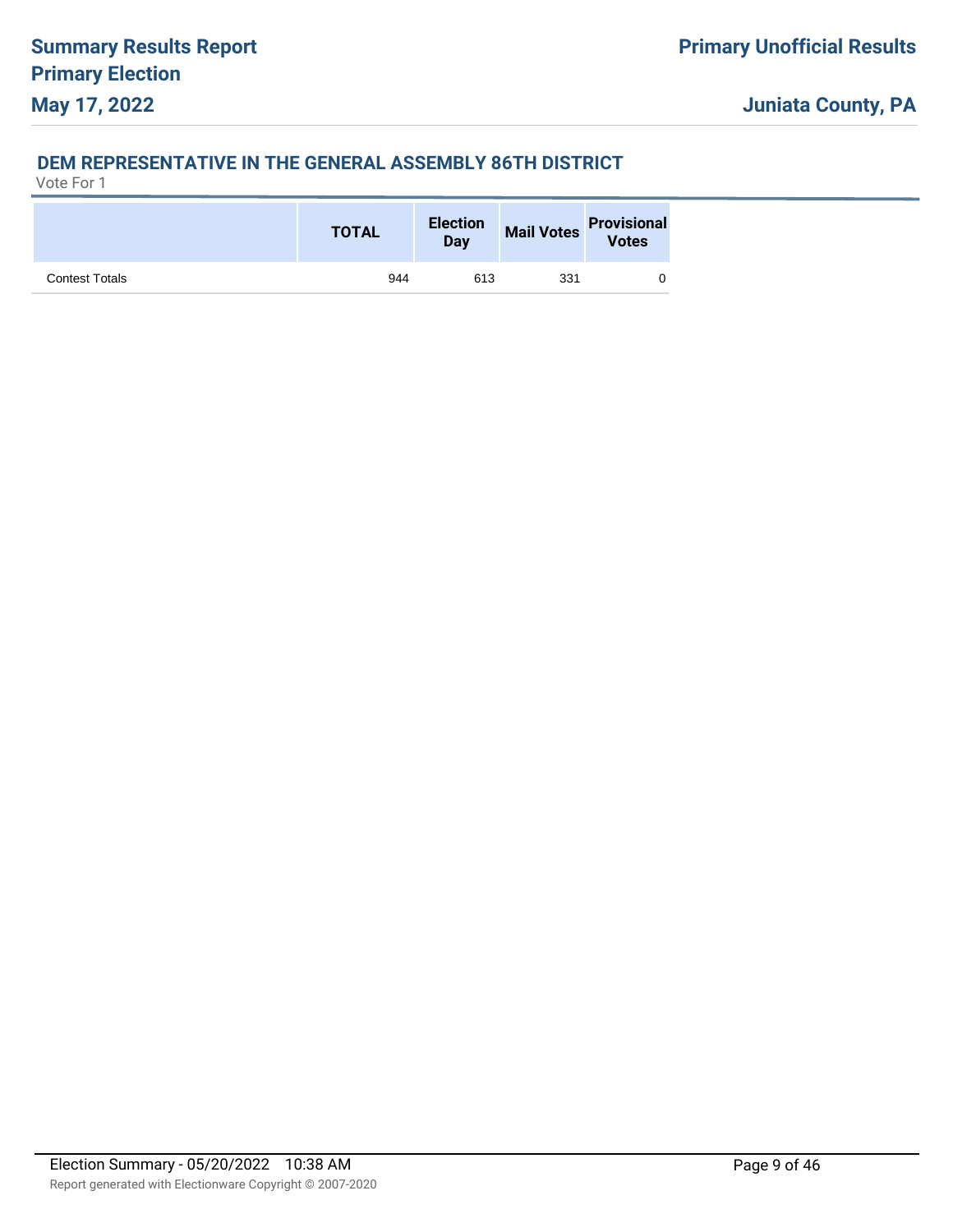### **DEM REPRESENTATIVE IN THE GENERAL ASSEMBLY 86TH DISTRICT**

|                       | <b>TOTAL</b> | <b>Election</b><br>Day | <b>Mail Votes</b> | <b>Provisional</b><br><b>Votes</b> |
|-----------------------|--------------|------------------------|-------------------|------------------------------------|
| <b>Contest Totals</b> | 944          | 613                    | 331               |                                    |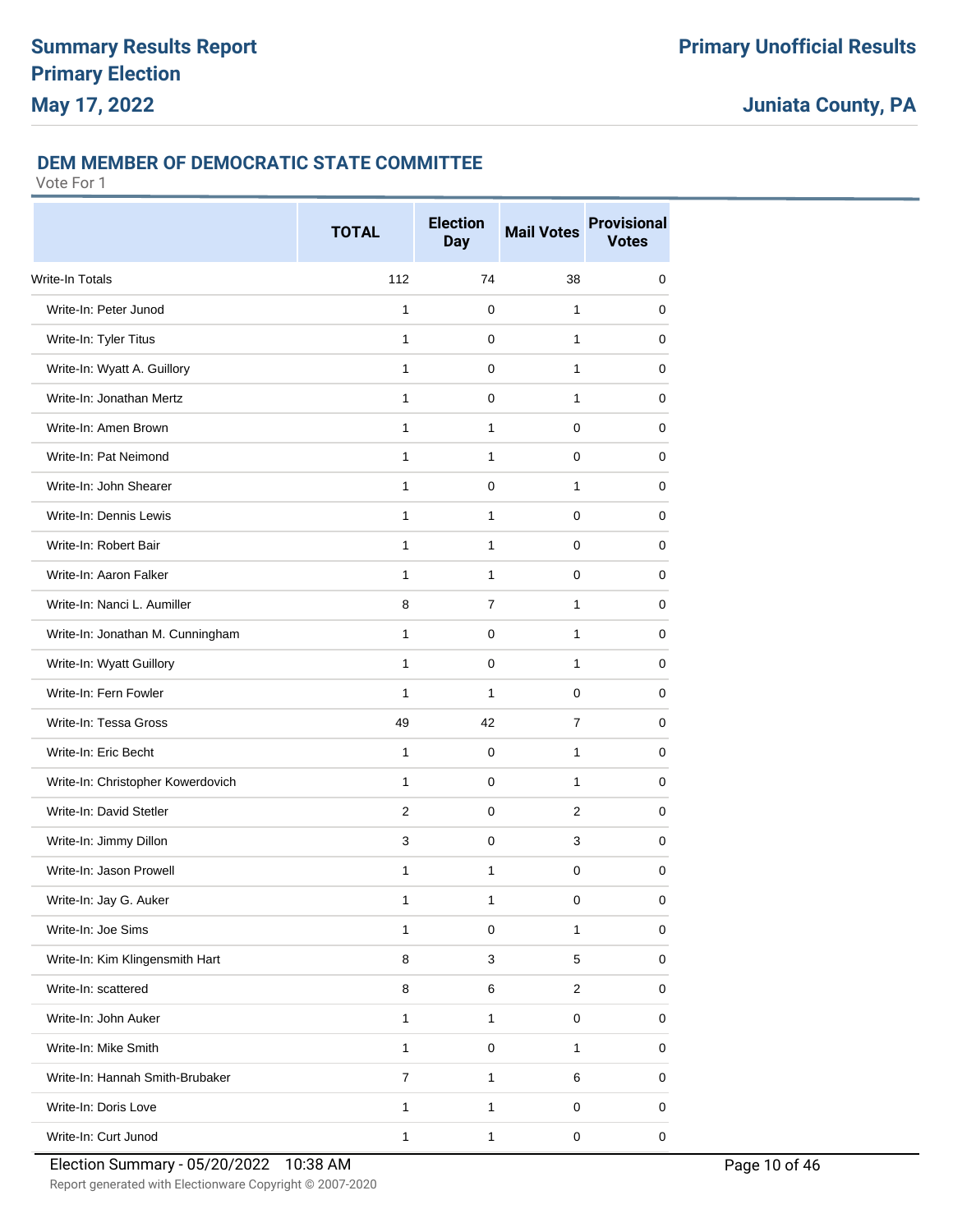### **DEM MEMBER OF DEMOCRATIC STATE COMMITTEE**

|                                   | <b>TOTAL</b>   | <b>Election</b><br><b>Day</b> | <b>Mail Votes</b>       | <b>Provisional</b><br><b>Votes</b> |
|-----------------------------------|----------------|-------------------------------|-------------------------|------------------------------------|
| <b>Write-In Totals</b>            | 112            | 74                            | 38                      | 0                                  |
| Write-In: Peter Junod             | 1              | $\Omega$                      | 1                       | 0                                  |
| Write-In: Tyler Titus             | 1              | 0                             | 1                       | 0                                  |
| Write-In: Wyatt A. Guillory       | 1              | 0                             | 1                       | 0                                  |
| Write-In: Jonathan Mertz          | 1              | $\Omega$                      | 1                       | 0                                  |
| Write-In: Amen Brown              | 1              | 1                             | 0                       | 0                                  |
| Write-In: Pat Neimond             | $\mathbf{1}$   | 1                             | 0                       | $\mathbf 0$                        |
| Write-In: John Shearer            | 1              | 0                             | 1                       | 0                                  |
| Write-In: Dennis Lewis            | 1              | 1                             | 0                       | 0                                  |
| Write-In: Robert Bair             | 1              | 1                             | 0                       | 0                                  |
| Write-In: Aaron Falker            | 1              | 1                             | 0                       | 0                                  |
| Write-In: Nanci L. Aumiller       | 8              | $\overline{7}$                | 1                       | 0                                  |
| Write-In: Jonathan M. Cunningham  | $\mathbf{1}$   | 0                             | 1                       | 0                                  |
| Write-In: Wyatt Guillory          | 1              | 0                             | 1                       | 0                                  |
| Write-In: Fern Fowler             | $\mathbf{1}$   | 1                             | 0                       | 0                                  |
| Write-In: Tessa Gross             | 49             | 42                            | $\overline{7}$          | 0                                  |
| Write-In: Eric Becht              | 1              | $\Omega$                      | 1                       | 0                                  |
| Write-In: Christopher Kowerdovich | $\mathbf{1}$   | 0                             | 1                       | 0                                  |
| Write-In: David Stetler           | $\overline{2}$ | $\mathbf 0$                   | $\overline{2}$          | 0                                  |
| Write-In: Jimmy Dillon            | 3              | 0                             | 3                       | 0                                  |
| Write-In: Jason Prowell           | 1              | 1                             | 0                       | 0                                  |
| Write-In: Jay G. Auker            | $\mathbf 1$    | 1                             | $\pmb{0}$               | $\pmb{0}$                          |
| Write-In: Joe Sims                | 1              | $\mathbf 0$                   | $\mathbf{1}$            | 0                                  |
| Write-In: Kim Klingensmith Hart   | 8              | 3                             | 5                       | 0                                  |
| Write-In: scattered               | 8              | 6                             | $\overline{\mathbf{c}}$ | 0                                  |
| Write-In: John Auker              | $\mathbf{1}$   | 1                             | 0                       | 0                                  |
| Write-In: Mike Smith              | $\mathbf{1}$   | 0                             | $\mathbf{1}$            | 0                                  |
| Write-In: Hannah Smith-Brubaker   | $\overline{7}$ | $\mathbf{1}$                  | 6                       | 0                                  |
| Write-In: Doris Love              | $\mathbf{1}$   | $\mathbf{1}$                  | 0                       | 0                                  |
| Write-In: Curt Junod              | $\mathbf{1}$   | $\mathbf{1}$                  | 0                       | 0                                  |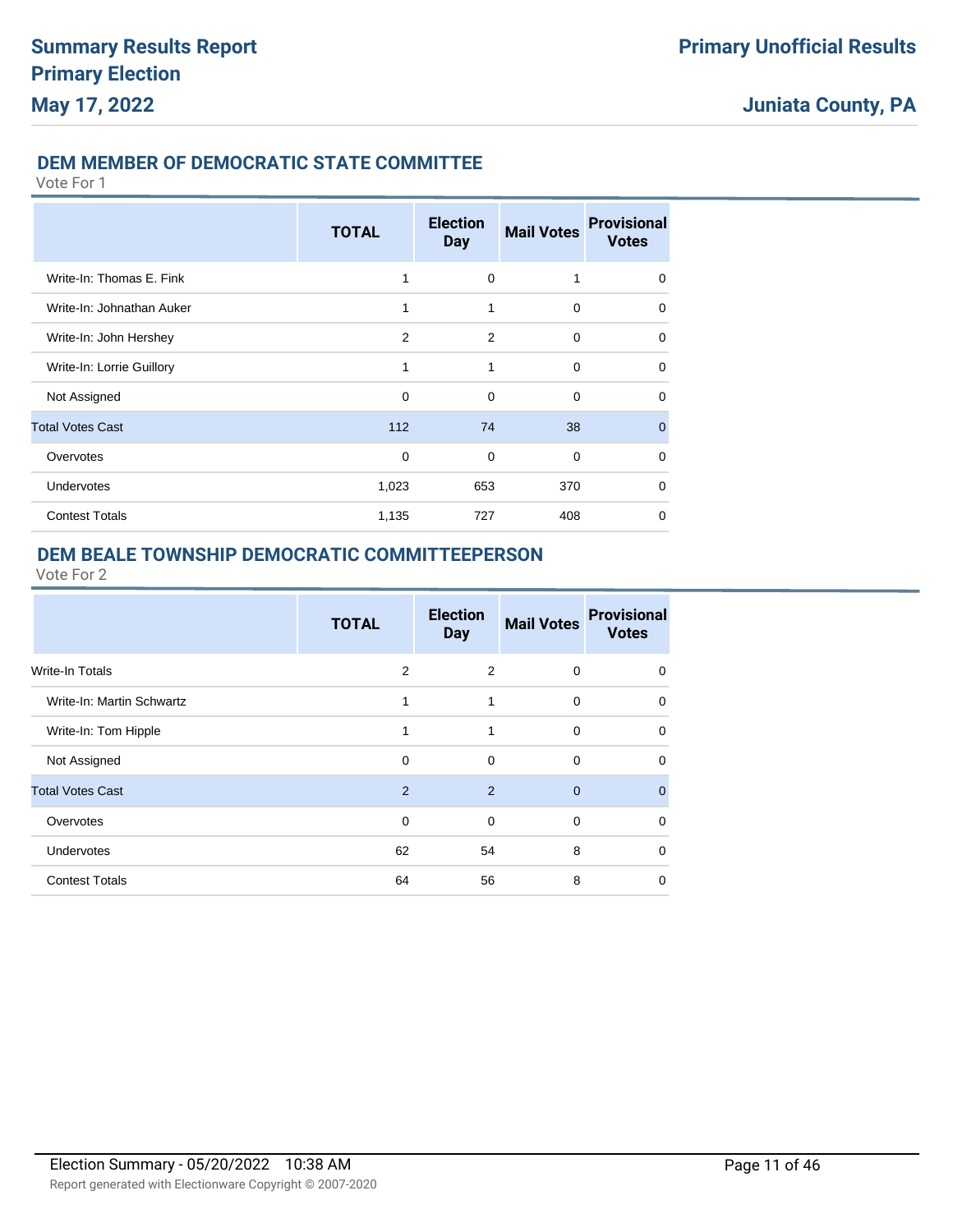### **DEM MEMBER OF DEMOCRATIC STATE COMMITTEE**

Vote For 1

|                           | <b>TOTAL</b>   | <b>Election</b><br><b>Day</b> | <b>Mail Votes</b> | <b>Provisional</b><br><b>Votes</b> |
|---------------------------|----------------|-------------------------------|-------------------|------------------------------------|
| Write-In: Thomas E. Fink  | 1              | $\mathbf 0$                   | 1                 | $\Omega$                           |
| Write-In: Johnathan Auker | 1              | 1                             | $\Omega$          | $\Omega$                           |
| Write-In: John Hershey    | $\overline{2}$ | 2                             | 0                 | 0                                  |
| Write-In: Lorrie Guillory | 1              | 1                             | 0                 | $\Omega$                           |
| Not Assigned              | $\mathbf 0$    | $\Omega$                      | $\Omega$          | $\Omega$                           |
| <b>Total Votes Cast</b>   | 112            | 74                            | 38                | $\Omega$                           |
| Overvotes                 | $\mathbf 0$    | $\Omega$                      | $\Omega$          | $\Omega$                           |
| Undervotes                | 1,023          | 653                           | 370               | $\Omega$                           |
| <b>Contest Totals</b>     | 1,135          | 727                           | 408               | $\Omega$                           |

### **DEM BEALE TOWNSHIP DEMOCRATIC COMMITTEEPERSON**

|                           | <b>TOTAL</b> | <b>Election</b><br><b>Day</b> | <b>Mail Votes</b> | <b>Provisional</b><br><b>Votes</b> |
|---------------------------|--------------|-------------------------------|-------------------|------------------------------------|
| <b>Write-In Totals</b>    | 2            | 2                             | $\mathbf 0$       | 0                                  |
| Write-In: Martin Schwartz | 1            | 1                             | $\mathbf 0$       | $\mathbf 0$                        |
| Write-In: Tom Hipple      | 1            | 1                             | $\mathbf 0$       | $\mathbf 0$                        |
| Not Assigned              | $\Omega$     | $\Omega$                      | $\Omega$          | $\Omega$                           |
| <b>Total Votes Cast</b>   | 2            | 2                             | $\Omega$          | $\mathbf{0}$                       |
| Overvotes                 | 0            | 0                             | $\mathbf 0$       | $\mathbf 0$                        |
| <b>Undervotes</b>         | 62           | 54                            | 8                 | $\Omega$                           |
| <b>Contest Totals</b>     | 64           | 56                            | 8                 | $\mathbf 0$                        |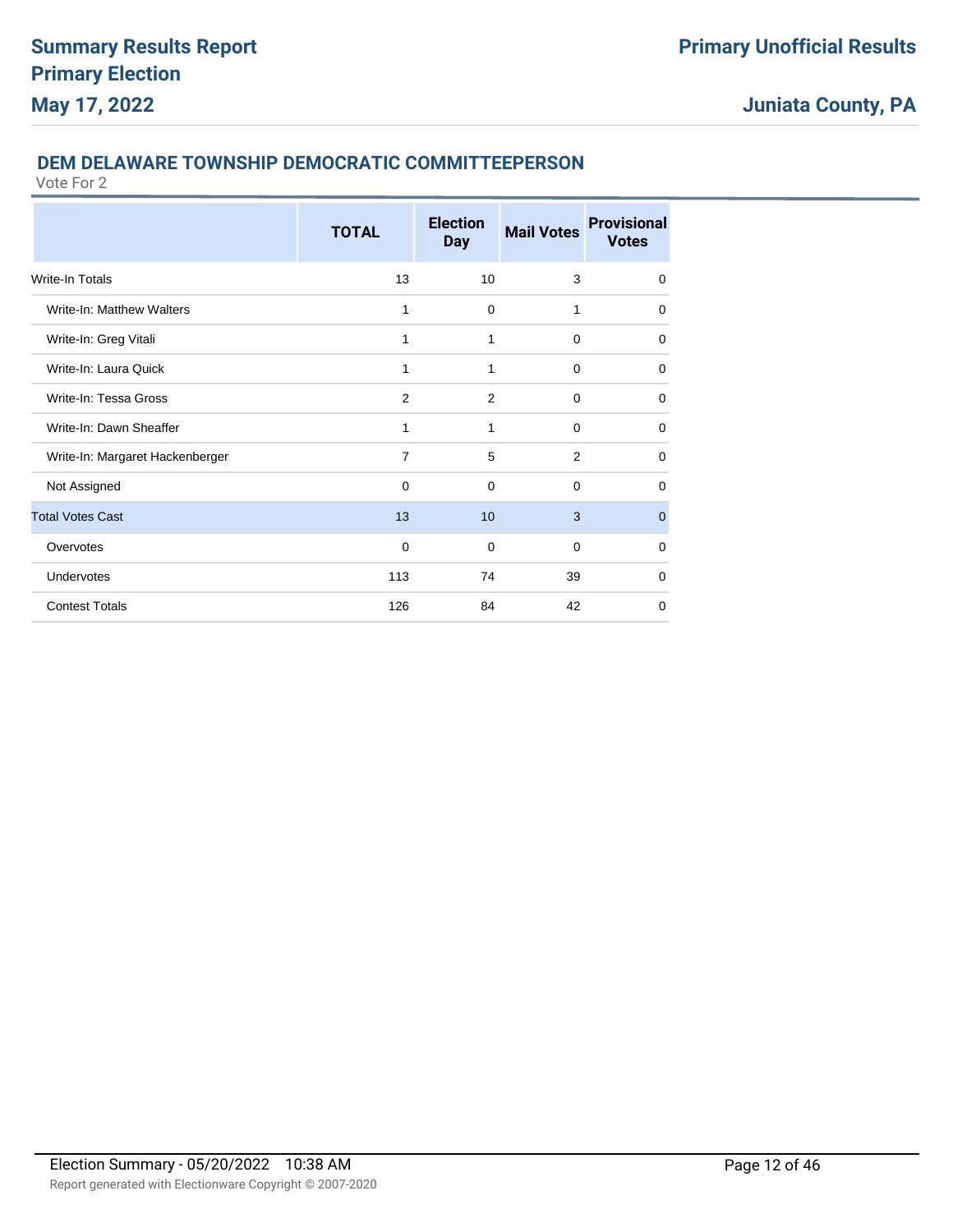### **DEM DELAWARE TOWNSHIP DEMOCRATIC COMMITTEEPERSON**

|                                 | <b>TOTAL</b>   | <b>Election</b><br><b>Day</b> | <b>Mail Votes</b> | <b>Provisional</b><br><b>Votes</b> |
|---------------------------------|----------------|-------------------------------|-------------------|------------------------------------|
| <b>Write-In Totals</b>          | 13             | 10                            | 3                 | $\Omega$                           |
| Write-In: Matthew Walters       | 1              | 0                             | 1                 | 0                                  |
| Write-In: Greg Vitali           | 1              | 1                             | $\Omega$          | 0                                  |
| Write-In: Laura Quick           | 1              | 1                             | $\mathbf 0$       | $\Omega$                           |
| Write-In: Tessa Gross           | 2              | 2                             | $\Omega$          | 0                                  |
| Write-In: Dawn Sheaffer         | 1              | 1                             | $\Omega$          | 0                                  |
| Write-In: Margaret Hackenberger | $\overline{7}$ | 5                             | 2                 | $\Omega$                           |
| Not Assigned                    | 0              | $\Omega$                      | $\Omega$          | 0                                  |
| <b>Total Votes Cast</b>         | 13             | 10                            | 3                 | $\mathbf 0$                        |
| Overvotes                       | $\mathbf 0$    | $\mathbf 0$                   | $\mathbf 0$       | $\mathbf 0$                        |
| Undervotes                      | 113            | 74                            | 39                | $\mathbf 0$                        |
| <b>Contest Totals</b>           | 126            | 84                            | 42                | 0                                  |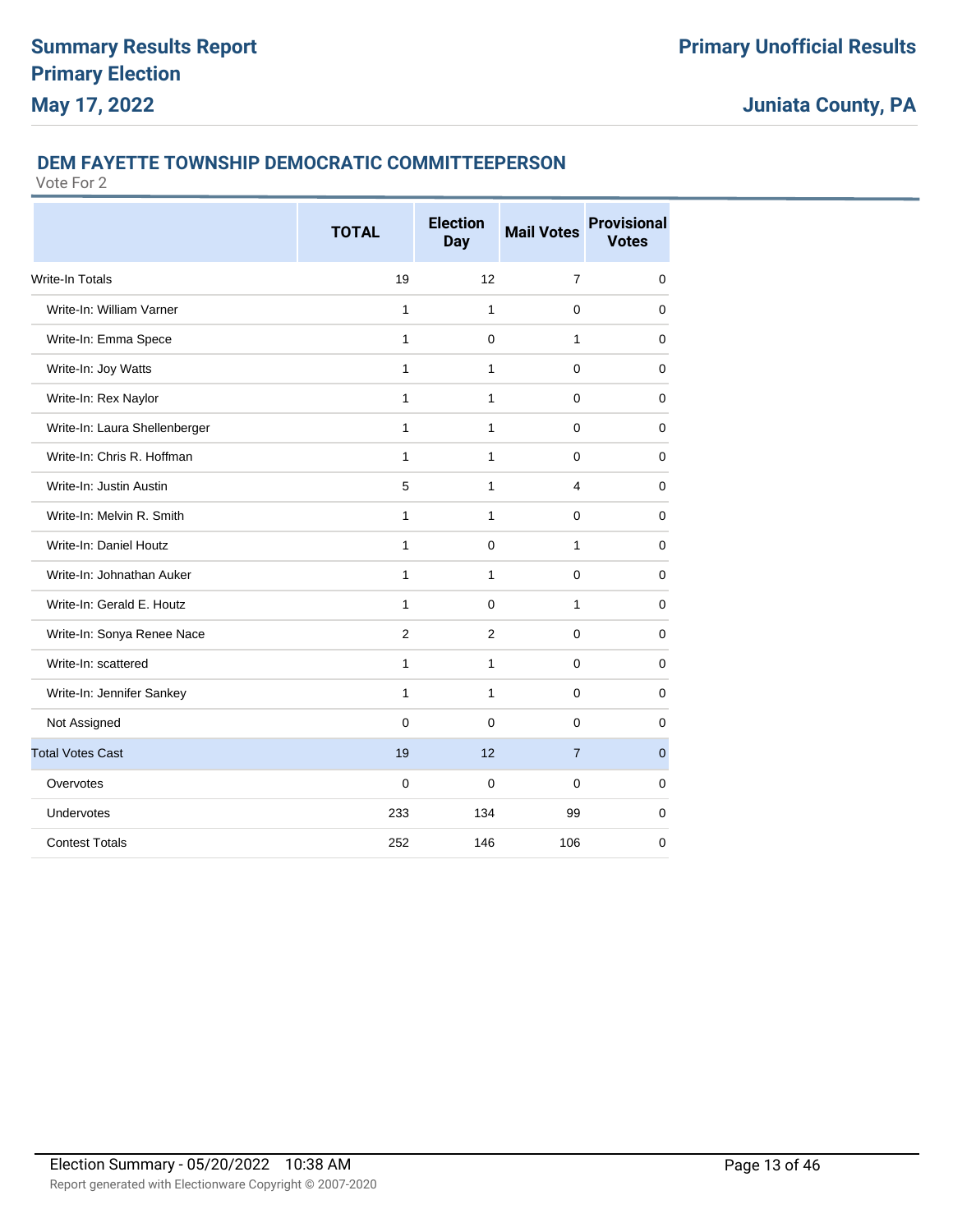### **DEM FAYETTE TOWNSHIP DEMOCRATIC COMMITTEEPERSON**

|                               | <b>TOTAL</b>   | <b>Election</b><br><b>Day</b> | <b>Mail Votes</b> | <b>Provisional</b><br><b>Votes</b> |
|-------------------------------|----------------|-------------------------------|-------------------|------------------------------------|
| <b>Write-In Totals</b>        | 19             | 12                            | $\overline{7}$    | $\mathbf 0$                        |
| Write-In: William Varner      | 1              | 1                             | 0                 | 0                                  |
| Write-In: Emma Spece          | $\mathbf{1}$   | 0                             | 1                 | 0                                  |
| Write-In: Joy Watts           | 1              | 1                             | 0                 | 0                                  |
| Write-In: Rex Naylor          | 1              | $\mathbf{1}$                  | 0                 | $\mathbf 0$                        |
| Write-In: Laura Shellenberger | $\mathbf{1}$   | $\mathbf{1}$                  | 0                 | $\mathbf 0$                        |
| Write-In: Chris R. Hoffman    | 1              | 1                             | 0                 | 0                                  |
| Write-In: Justin Austin       | 5              | 1                             | 4                 | $\Omega$                           |
| Write-In: Melvin R. Smith     | $\mathbf{1}$   | $\mathbf{1}$                  | $\mathbf 0$       | $\mathbf 0$                        |
| Write-In: Daniel Houtz        | 1              | 0                             | 1                 | 0                                  |
| Write-In: Johnathan Auker     | $\mathbf{1}$   | 1                             | $\Omega$          | $\Omega$                           |
| Write-In: Gerald E. Houtz     | $\mathbf{1}$   | $\mathbf 0$                   | 1                 | $\mathbf 0$                        |
| Write-In: Sonya Renee Nace    | $\overline{2}$ | $\overline{2}$                | 0                 | $\Omega$                           |
| Write-In: scattered           | $\mathbf{1}$   | $\mathbf{1}$                  | $\Omega$          | $\mathbf 0$                        |
| Write-In: Jennifer Sankey     | $\mathbf{1}$   | 1                             | $\Omega$          | $\mathbf 0$                        |
| Not Assigned                  | $\mathbf{0}$   | $\Omega$                      | 0                 | $\Omega$                           |
| <b>Total Votes Cast</b>       | 19             | 12                            | $\overline{7}$    | $\overline{0}$                     |
| Overvotes                     | 0              | 0                             | 0                 | 0                                  |
| Undervotes                    | 233            | 134                           | 99                | $\mathbf 0$                        |
| <b>Contest Totals</b>         | 252            | 146                           | 106               | $\mathbf 0$                        |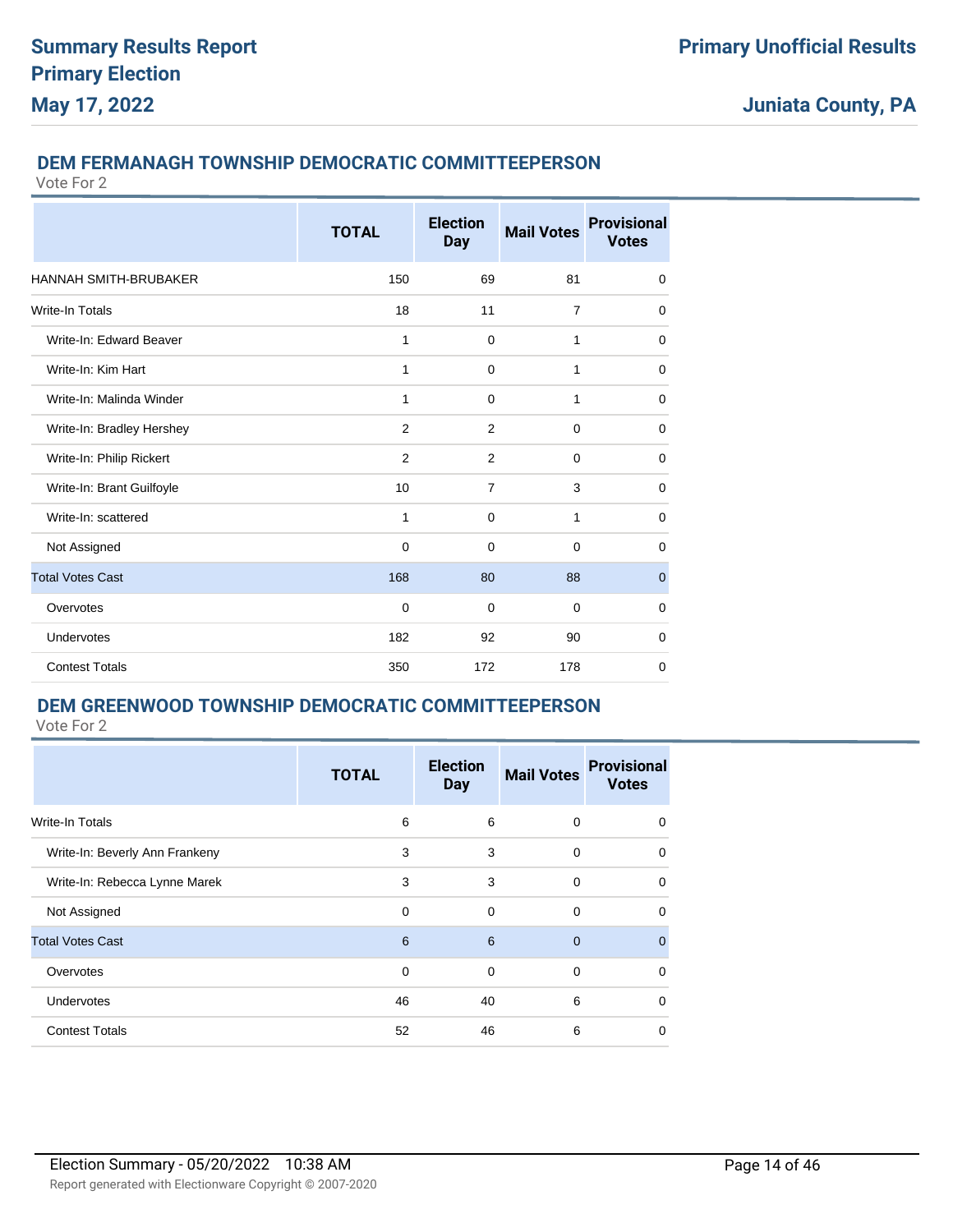### **DEM FERMANAGH TOWNSHIP DEMOCRATIC COMMITTEEPERSON**

Vote For 2

|                              | <b>TOTAL</b>   | <b>Election</b><br><b>Day</b> | <b>Mail Votes</b> | <b>Provisional</b><br><b>Votes</b> |
|------------------------------|----------------|-------------------------------|-------------------|------------------------------------|
| <b>HANNAH SMITH-BRUBAKER</b> | 150            | 69                            | 81                | 0                                  |
| Write-In Totals              | 18             | 11                            | $\overline{7}$    | $\mathbf 0$                        |
| Write-In: Edward Beaver      | $\mathbf{1}$   | $\mathbf 0$                   | 1                 | $\mathbf 0$                        |
| Write-In: Kim Hart           | 1              | 0                             | 1                 | $\mathbf 0$                        |
| Write-In: Malinda Winder     | 1              | $\Omega$                      | 1                 | 0                                  |
| Write-In: Bradley Hershey    | $\overline{2}$ | $\overline{2}$                | $\Omega$          | $\mathbf 0$                        |
| Write-In: Philip Rickert     | 2              | 2                             | $\mathbf 0$       | $\mathbf 0$                        |
| Write-In: Brant Guilfoyle    | 10             | $\overline{7}$                | 3                 | $\mathbf 0$                        |
| Write-In: scattered          | $\mathbf{1}$   | $\mathbf 0$                   | 1                 | $\mathbf 0$                        |
| Not Assigned                 | $\mathbf 0$    | $\mathbf 0$                   | $\mathbf 0$       | $\mathbf 0$                        |
| <b>Total Votes Cast</b>      | 168            | 80                            | 88                | $\mathbf 0$                        |
| Overvotes                    | $\mathbf 0$    | $\Omega$                      | $\mathbf 0$       | $\mathbf 0$                        |
| Undervotes                   | 182            | 92                            | 90                | $\mathbf 0$                        |
| <b>Contest Totals</b>        | 350            | 172                           | 178               | 0                                  |

### **DEM GREENWOOD TOWNSHIP DEMOCRATIC COMMITTEEPERSON**

|                                | <b>TOTAL</b> | <b>Election</b><br><b>Day</b> | <b>Mail Votes</b> | <b>Provisional</b><br><b>Votes</b> |
|--------------------------------|--------------|-------------------------------|-------------------|------------------------------------|
| <b>Write-In Totals</b>         | 6            | 6                             | $\mathbf 0$       | $\Omega$                           |
| Write-In: Beverly Ann Frankeny | 3            | 3                             | $\Omega$          | $\Omega$                           |
| Write-In: Rebecca Lynne Marek  | 3            | 3                             | $\mathbf 0$       | 0                                  |
| Not Assigned                   | $\Omega$     | $\Omega$                      | $\Omega$          | $\Omega$                           |
| <b>Total Votes Cast</b>        | 6            | 6                             | $\Omega$          | $\Omega$                           |
| Overvotes                      | $\Omega$     | 0                             | $\Omega$          | $\Omega$                           |
| <b>Undervotes</b>              | 46           | 40                            | 6                 | $\Omega$                           |
| <b>Contest Totals</b>          | 52           | 46                            | 6                 | $\Omega$                           |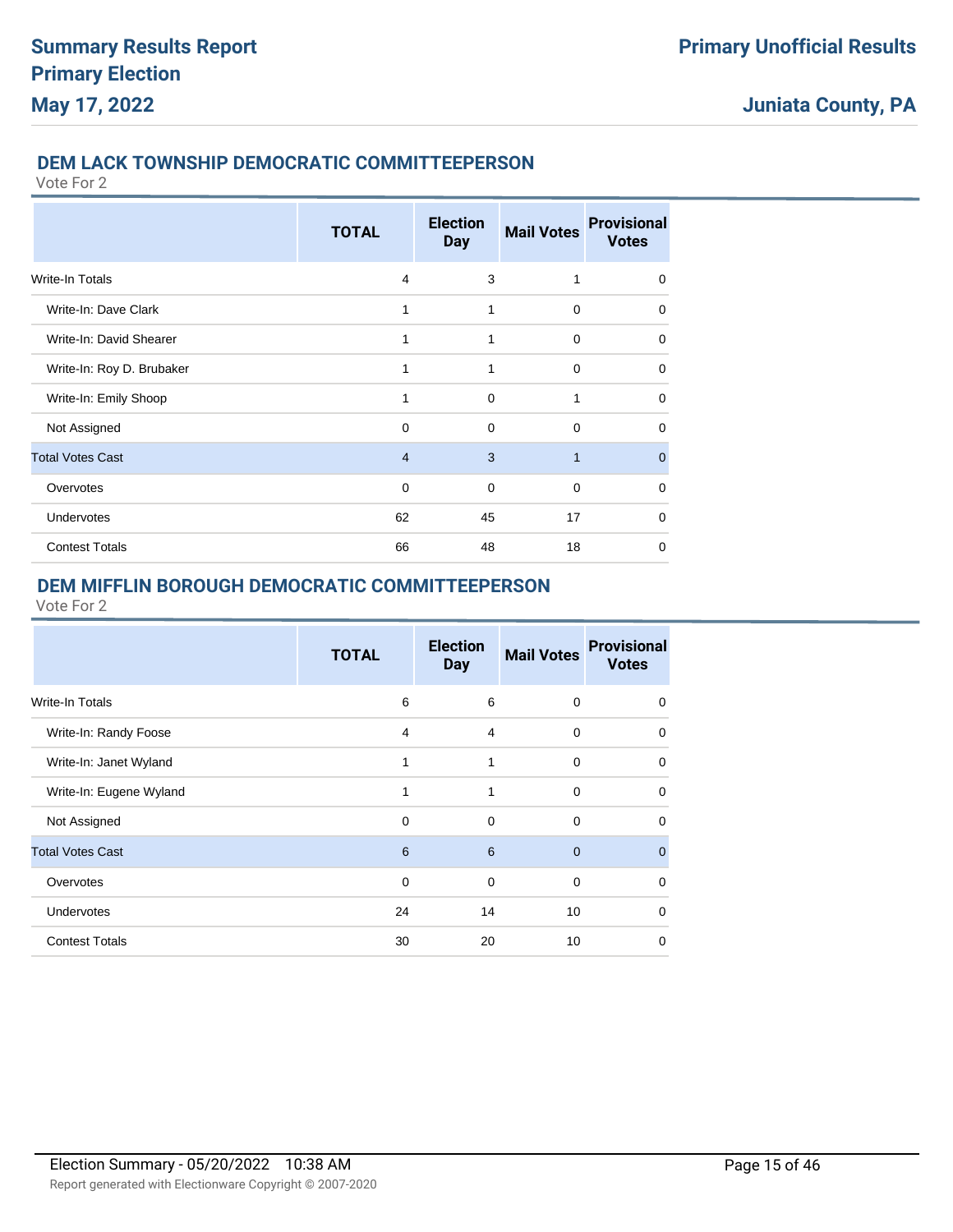### **DEM LACK TOWNSHIP DEMOCRATIC COMMITTEEPERSON**

Vote For 2

|                           | <b>TOTAL</b>   | <b>Election</b><br><b>Day</b> | <b>Mail Votes</b> | <b>Provisional</b><br><b>Votes</b> |
|---------------------------|----------------|-------------------------------|-------------------|------------------------------------|
| <b>Write-In Totals</b>    | $\overline{4}$ | 3                             | 1                 | $\mathbf 0$                        |
| Write-In: Dave Clark      | 1              | 1                             | $\Omega$          | $\mathbf 0$                        |
| Write-In: David Shearer   | 1              | 1                             | $\Omega$          | $\mathbf 0$                        |
| Write-In: Roy D. Brubaker | 1              | 1                             | $\Omega$          | $\mathbf 0$                        |
| Write-In: Emily Shoop     | 1              | $\Omega$                      | 1                 | $\mathbf 0$                        |
| Not Assigned              | 0              | $\Omega$                      | $\Omega$          | $\mathbf 0$                        |
| <b>Total Votes Cast</b>   | $\overline{4}$ | 3                             | $\overline{1}$    | $\mathbf{0}$                       |
| Overvotes                 | 0              | 0                             | $\mathbf 0$       | $\mathbf 0$                        |
| Undervotes                | 62             | 45                            | 17                | $\mathbf 0$                        |
| <b>Contest Totals</b>     | 66             | 48                            | 18                | 0                                  |

### **DEM MIFFLIN BOROUGH DEMOCRATIC COMMITTEEPERSON**

|                         | <b>TOTAL</b> | <b>Election</b><br>Day | <b>Mail Votes</b> | <b>Provisional</b><br><b>Votes</b> |
|-------------------------|--------------|------------------------|-------------------|------------------------------------|
| Write-In Totals         | 6            | 6                      | $\mathbf 0$       | 0                                  |
| Write-In: Randy Foose   | 4            | 4                      | $\mathbf 0$       | 0                                  |
| Write-In: Janet Wyland  | 1            | 1                      | $\mathbf 0$       | $\Omega$                           |
| Write-In: Eugene Wyland | 1            | 1                      | $\Omega$          | $\Omega$                           |
| Not Assigned            | 0            | 0                      | $\mathbf 0$       | 0                                  |
| <b>Total Votes Cast</b> | 6            | 6                      | $\mathbf{0}$      | $\Omega$                           |
| Overvotes               | $\mathbf 0$  | $\mathbf 0$            | $\mathbf 0$       | $\Omega$                           |
| <b>Undervotes</b>       | 24           | 14                     | 10                | 0                                  |
| <b>Contest Totals</b>   | 30           | 20                     | 10                | $\Omega$                           |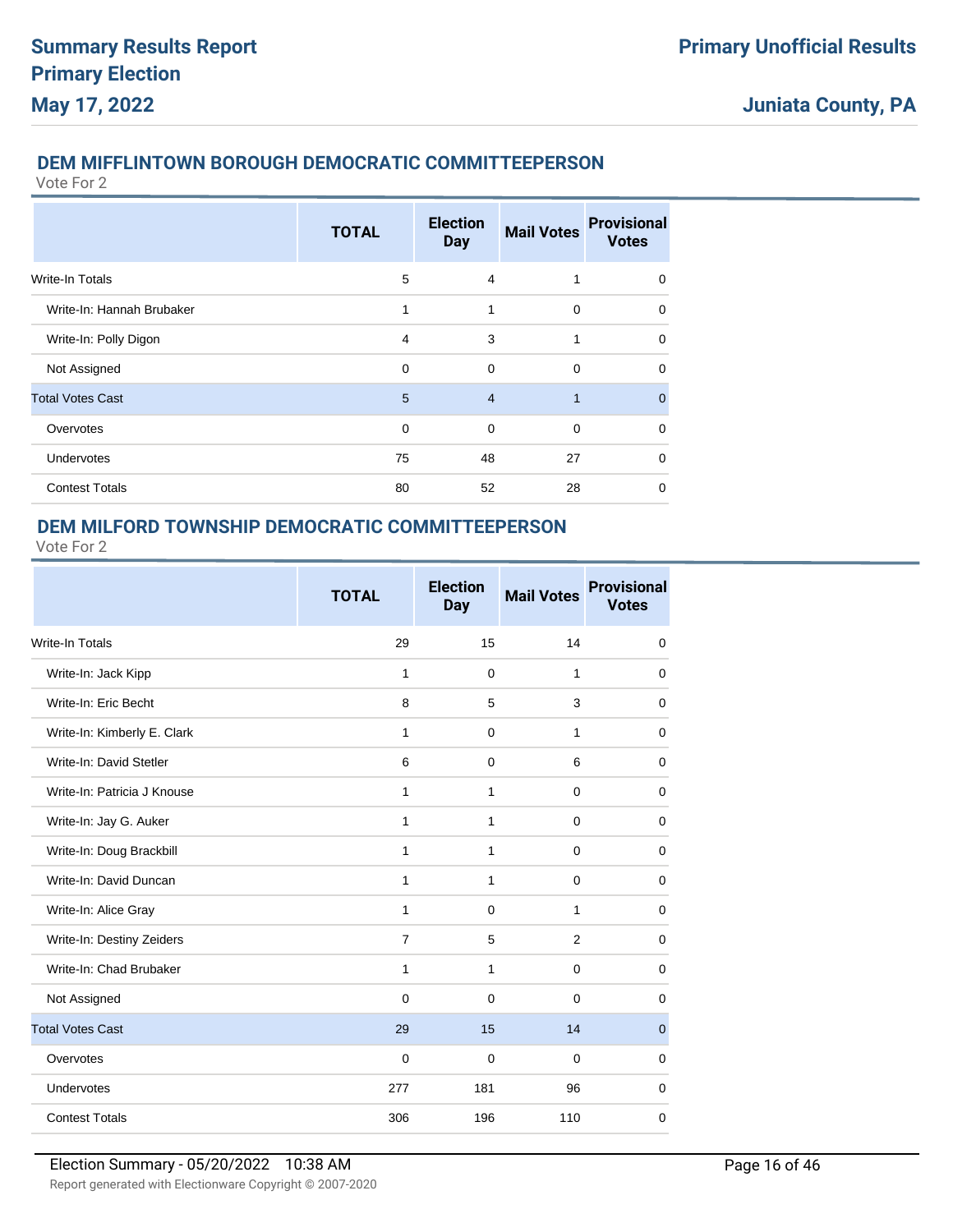### **DEM MIFFLINTOWN BOROUGH DEMOCRATIC COMMITTEEPERSON**

Vote For 2

|                           | <b>TOTAL</b> | <b>Election</b><br><b>Day</b> | <b>Mail Votes</b> | <b>Provisional</b><br><b>Votes</b> |
|---------------------------|--------------|-------------------------------|-------------------|------------------------------------|
| Write-In Totals           | 5            | $\overline{4}$                | 1                 | $\mathbf 0$                        |
| Write-In: Hannah Brubaker | 1            | 1                             | $\mathbf 0$       | $\mathbf 0$                        |
| Write-In: Polly Digon     | 4            | 3                             | 1                 | $\Omega$                           |
| Not Assigned              | 0            | 0                             | $\mathbf 0$       | $\Omega$                           |
| <b>Total Votes Cast</b>   | 5            | $\overline{4}$                | 1                 | $\mathbf{0}$                       |
| Overvotes                 | $\Omega$     | $\Omega$                      | $\Omega$          | $\Omega$                           |
| <b>Undervotes</b>         | 75           | 48                            | 27                | $\mathbf 0$                        |
| <b>Contest Totals</b>     | 80           | 52                            | 28                | $\Omega$                           |

### **DEM MILFORD TOWNSHIP DEMOCRATIC COMMITTEEPERSON**

|                             | <b>TOTAL</b>   | <b>Election</b><br><b>Day</b> | <b>Mail Votes</b> | <b>Provisional</b><br><b>Votes</b> |
|-----------------------------|----------------|-------------------------------|-------------------|------------------------------------|
| Write-In Totals             | 29             | 15                            | 14                | 0                                  |
| Write-In: Jack Kipp         | 1              | $\mathbf 0$                   | $\mathbf{1}$      | 0                                  |
| Write-In: Eric Becht        | 8              | 5                             | 3                 | $\mathbf 0$                        |
| Write-In: Kimberly E. Clark | 1              | $\mathbf 0$                   | $\mathbf{1}$      | $\mathbf 0$                        |
| Write-In: David Stetler     | 6              | $\mathbf 0$                   | 6                 | $\mathbf 0$                        |
| Write-In: Patricia J Knouse | 1              | $\mathbf{1}$                  | $\mathbf 0$       | 0                                  |
| Write-In: Jay G. Auker      | 1              | 1                             | $\mathbf 0$       | 0                                  |
| Write-In: Doug Brackbill    | 1              | 1                             | $\mathbf 0$       | 0                                  |
| Write-In: David Duncan      | 1              | 1                             | $\mathbf 0$       | 0                                  |
| Write-In: Alice Gray        | 1              | $\mathbf 0$                   | 1                 | 0                                  |
| Write-In: Destiny Zeiders   | $\overline{7}$ | 5                             | $\overline{2}$    | 0                                  |
| Write-In: Chad Brubaker     | 1              | 1                             | $\mathbf 0$       | $\mathbf 0$                        |
| Not Assigned                | $\Omega$       | $\mathbf 0$                   | $\mathbf 0$       | $\mathbf 0$                        |
| <b>Total Votes Cast</b>     | 29             | 15                            | 14                | $\mathbf 0$                        |
| Overvotes                   | $\mathbf 0$    | $\mathbf 0$                   | $\mathbf 0$       | $\mathbf 0$                        |
| Undervotes                  | 277            | 181                           | 96                | $\mathbf 0$                        |
| <b>Contest Totals</b>       | 306            | 196                           | 110               | $\mathbf 0$                        |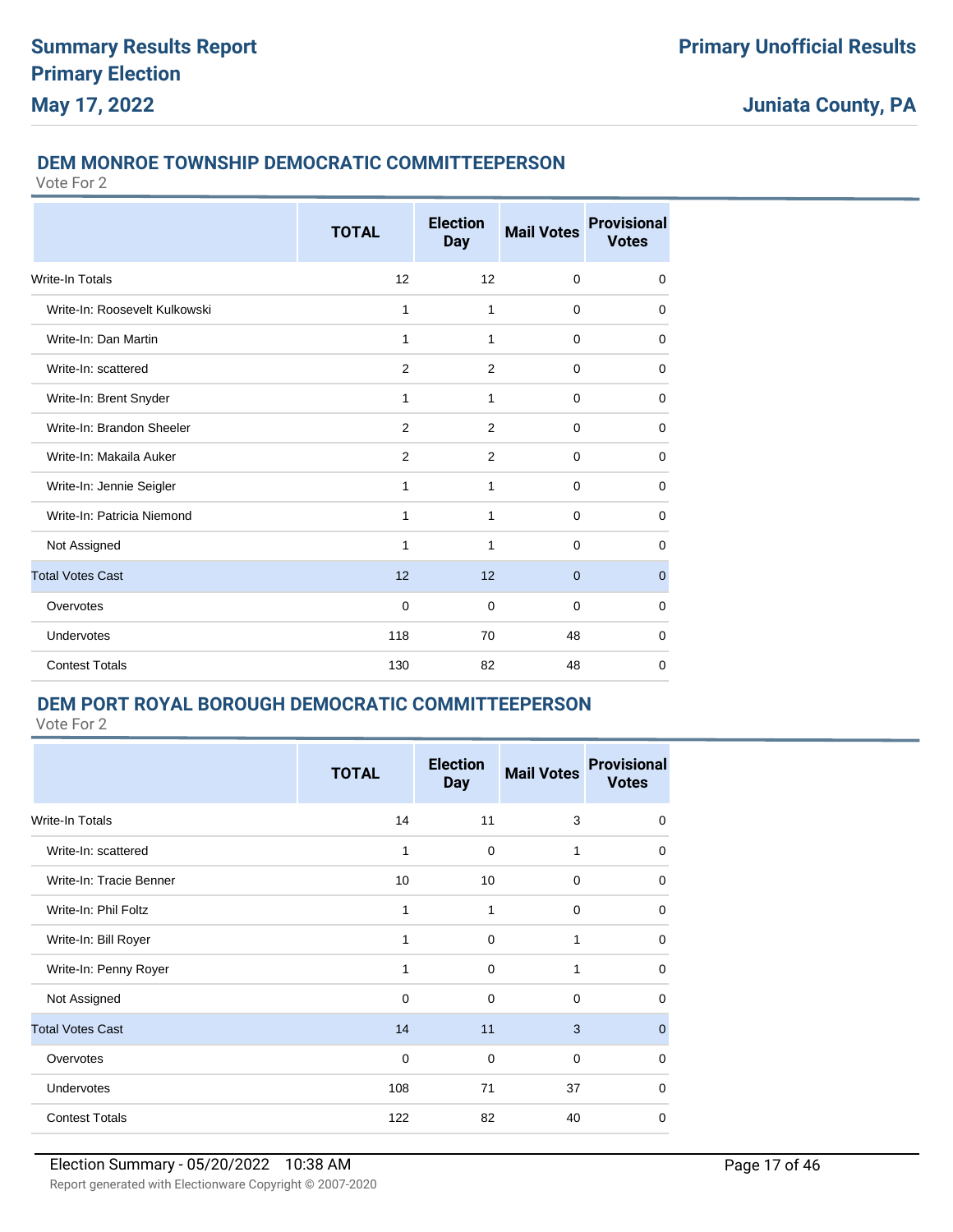### **DEM MONROE TOWNSHIP DEMOCRATIC COMMITTEEPERSON**

Vote For 2

|                               | <b>TOTAL</b>   | <b>Election</b><br><b>Day</b> | <b>Mail Votes</b> | <b>Provisional</b><br><b>Votes</b> |
|-------------------------------|----------------|-------------------------------|-------------------|------------------------------------|
| <b>Write-In Totals</b>        | 12             | 12                            | $\mathbf 0$       | $\mathbf 0$                        |
| Write-In: Roosevelt Kulkowski | 1              | 1                             | $\mathbf 0$       | $\mathbf 0$                        |
| Write-In: Dan Martin          | 1              | 1                             | $\mathbf 0$       | $\mathbf 0$                        |
| Write-In: scattered           | 2              | 2                             | $\mathbf 0$       | $\mathbf 0$                        |
| Write-In: Brent Snyder        | 1              | 1                             | $\Omega$          | 0                                  |
| Write-In: Brandon Sheeler     | 2              | 2                             | $\mathbf 0$       | $\mathbf 0$                        |
| Write-In: Makaila Auker       | $\overline{2}$ | 2                             | $\mathbf 0$       | $\mathbf 0$                        |
| Write-In: Jennie Seigler      | 1              | 1                             | $\Omega$          | $\mathbf 0$                        |
| Write-In: Patricia Niemond    | 1              | 1                             | $\mathbf 0$       | $\mathbf 0$                        |
| Not Assigned                  | 1              | 1                             | $\mathbf 0$       | $\mathbf 0$                        |
| <b>Total Votes Cast</b>       | 12             | 12                            | $\overline{0}$    | $\mathbf 0$                        |
| Overvotes                     | $\mathbf 0$    | $\mathbf 0$                   | $\mathbf 0$       | $\mathbf 0$                        |
| Undervotes                    | 118            | 70                            | 48                | 0                                  |
| <b>Contest Totals</b>         | 130            | 82                            | 48                | 0                                  |

### **DEM PORT ROYAL BOROUGH DEMOCRATIC COMMITTEEPERSON**

|                         | <b>TOTAL</b> | <b>Election</b><br><b>Day</b> | <b>Mail Votes</b> | <b>Provisional</b><br><b>Votes</b> |
|-------------------------|--------------|-------------------------------|-------------------|------------------------------------|
| Write-In Totals         | 14           | 11                            | 3                 | 0                                  |
| Write-In: scattered     | 1            | $\mathbf 0$                   | 1                 | 0                                  |
| Write-In: Tracie Benner | 10           | 10                            | $\mathbf 0$       | $\Omega$                           |
| Write-In: Phil Foltz    | 1            | 1                             | $\mathbf 0$       | 0                                  |
| Write-In: Bill Royer    | 1            | $\mathbf 0$                   | 1                 | 0                                  |
| Write-In: Penny Royer   | 1            | $\Omega$                      | 1                 | $\Omega$                           |
| Not Assigned            | $\Omega$     | $\Omega$                      | $\Omega$          | $\Omega$                           |
| <b>Total Votes Cast</b> | 14           | 11                            | 3                 | $\mathbf{0}$                       |
| Overvotes               | 0            | $\Omega$                      | $\Omega$          | $\Omega$                           |
| <b>Undervotes</b>       | 108          | 71                            | 37                | $\Omega$                           |
| <b>Contest Totals</b>   | 122          | 82                            | 40                | 0                                  |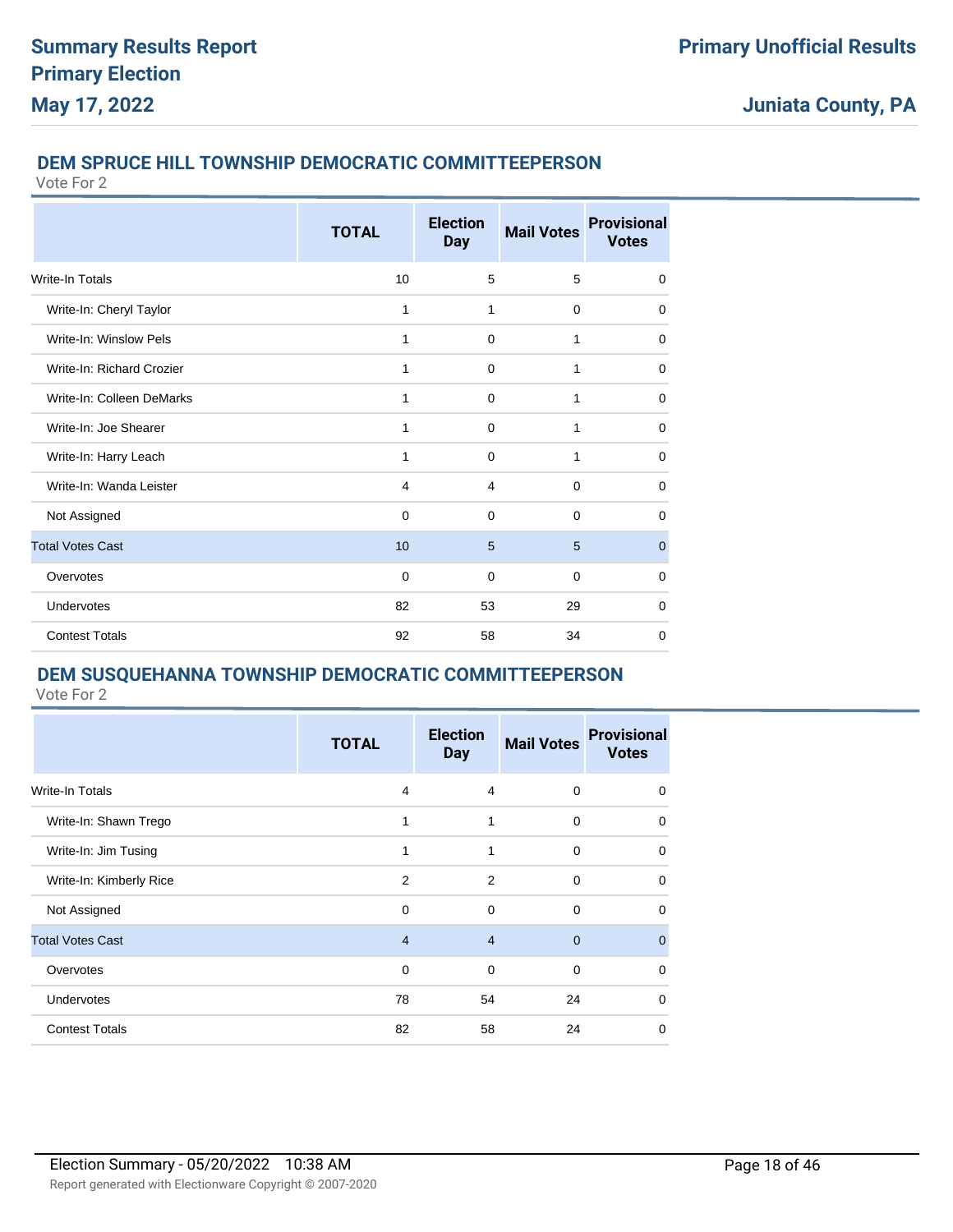### **DEM SPRUCE HILL TOWNSHIP DEMOCRATIC COMMITTEEPERSON**

Vote For 2

|                           | <b>TOTAL</b>   | <b>Election</b><br><b>Day</b> | <b>Mail Votes</b> | <b>Provisional</b><br><b>Votes</b> |
|---------------------------|----------------|-------------------------------|-------------------|------------------------------------|
| Write-In Totals           | 10             | 5                             | 5                 | $\mathbf 0$                        |
| Write-In: Cheryl Taylor   | 1              | $\mathbf{1}$                  | $\mathbf 0$       | 0                                  |
| Write-In: Winslow Pels    | 1              | 0                             | 1                 | 0                                  |
| Write-In: Richard Crozier | 1              | $\mathbf 0$                   | 1                 | $\mathbf 0$                        |
| Write-In: Colleen DeMarks | 1              | $\Omega$                      | 1                 | 0                                  |
| Write-In: Joe Shearer     | 1              | $\mathbf 0$                   | 1                 | 0                                  |
| Write-In: Harry Leach     | 1              | $\Omega$                      | 1                 | $\Omega$                           |
| Write-In: Wanda Leister   | $\overline{4}$ | $\overline{4}$                | $\mathbf 0$       | 0                                  |
| Not Assigned              | $\Omega$       | $\Omega$                      | $\Omega$          | $\Omega$                           |
| <b>Total Votes Cast</b>   | 10             | 5                             | 5                 | $\overline{0}$                     |
| Overvotes                 | $\Omega$       | $\Omega$                      | $\Omega$          | 0                                  |
| Undervotes                | 82             | 53                            | 29                | $\Omega$                           |
| <b>Contest Totals</b>     | 92             | 58                            | 34                | $\mathbf 0$                        |

### **DEM SUSQUEHANNA TOWNSHIP DEMOCRATIC COMMITTEEPERSON**

|                         | <b>TOTAL</b>   | <b>Election</b><br><b>Day</b> | <b>Mail Votes</b> | <b>Provisional</b><br><b>Votes</b> |
|-------------------------|----------------|-------------------------------|-------------------|------------------------------------|
| <b>Write-In Totals</b>  | 4              | $\overline{4}$                | $\mathbf 0$       | $\mathbf 0$                        |
| Write-In: Shawn Trego   | 1              | 1                             | $\mathbf 0$       | $\mathbf 0$                        |
| Write-In: Jim Tusing    | 1              | 1                             | $\mathbf 0$       | $\mathbf 0$                        |
| Write-In: Kimberly Rice | 2              | 2                             | 0                 | $\mathbf 0$                        |
| Not Assigned            | 0              | 0                             | 0                 | 0                                  |
| <b>Total Votes Cast</b> | $\overline{4}$ | $\overline{4}$                | $\mathbf{0}$      | $\mathbf{0}$                       |
| Overvotes               | 0              | $\mathbf 0$                   | $\mathbf 0$       | 0                                  |
| Undervotes              | 78             | 54                            | 24                | $\mathbf 0$                        |
| <b>Contest Totals</b>   | 82             | 58                            | 24                | 0                                  |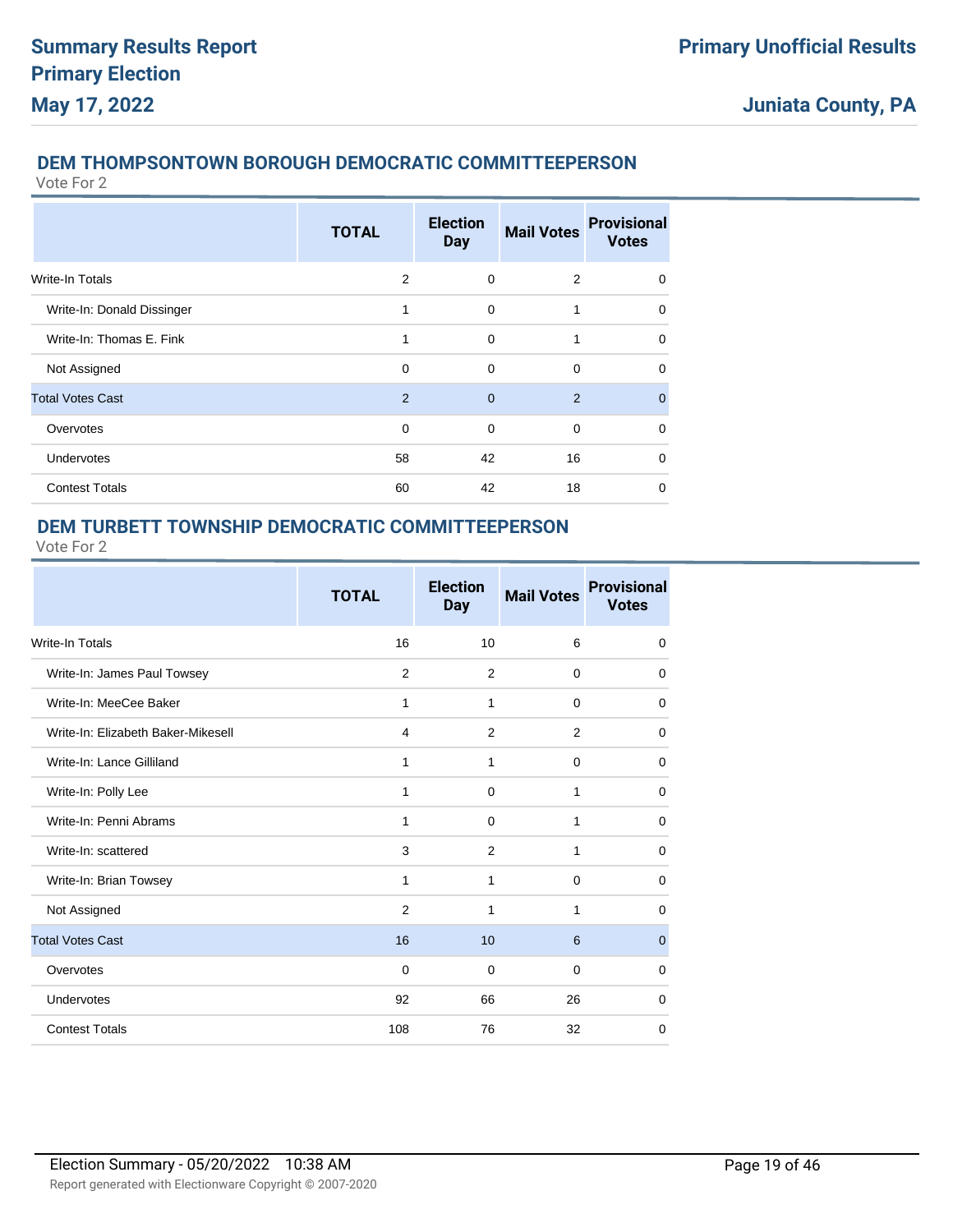### **DEM THOMPSONTOWN BOROUGH DEMOCRATIC COMMITTEEPERSON**

Vote For 2

|                            | <b>TOTAL</b>  | <b>Election</b><br><b>Day</b> | <b>Mail Votes</b> | <b>Provisional</b><br><b>Votes</b> |
|----------------------------|---------------|-------------------------------|-------------------|------------------------------------|
| <b>Write-In Totals</b>     | 2             | 0                             | 2                 | $\mathbf 0$                        |
| Write-In: Donald Dissinger | 1             | $\Omega$                      | 1                 | $\Omega$                           |
| Write-In: Thomas E. Fink   | 1             | $\Omega$                      | 1                 | $\Omega$                           |
| Not Assigned               | 0             | 0                             | $\mathbf 0$       | $\Omega$                           |
| <b>Total Votes Cast</b>    | $\mathcal{P}$ | $\Omega$                      | 2                 | $\Omega$                           |
| Overvotes                  | $\Omega$      | $\Omega$                      | $\Omega$          | $\Omega$                           |
| <b>Undervotes</b>          | 58            | 42                            | 16                | $\Omega$                           |
| <b>Contest Totals</b>      | 60            | 42                            | 18                | $\Omega$                           |

### **DEM TURBETT TOWNSHIP DEMOCRATIC COMMITTEEPERSON**

|                                    | <b>TOTAL</b>   | <b>Election</b><br><b>Day</b> | <b>Mail Votes</b> | <b>Provisional</b><br><b>Votes</b> |
|------------------------------------|----------------|-------------------------------|-------------------|------------------------------------|
| Write-In Totals                    | 16             | 10                            | 6                 | 0                                  |
| Write-In: James Paul Towsey        | $\overline{2}$ | 2                             | $\Omega$          | 0                                  |
| Write-In: MeeCee Baker             | 1              | 1                             | $\mathbf 0$       | 0                                  |
| Write-In: Elizabeth Baker-Mikesell | $\overline{4}$ | 2                             | $\overline{2}$    | 0                                  |
| Write-In: Lance Gilliland          | 1              | 1                             | $\mathbf 0$       | 0                                  |
| Write-In: Polly Lee                | 1              | $\Omega$                      | 1                 | $\mathbf 0$                        |
| Write-In: Penni Abrams             | 1              | $\Omega$                      | 1                 | $\mathbf 0$                        |
| Write-In: scattered                | 3              | 2                             | 1                 | 0                                  |
| Write-In: Brian Towsey             | 1              | 1                             | $\Omega$          | $\Omega$                           |
| Not Assigned                       | 2              | 1                             | 1                 | $\Omega$                           |
| <b>Total Votes Cast</b>            | 16             | 10                            | 6                 | $\mathbf{0}$                       |
| Overvotes                          | $\Omega$       | $\mathbf 0$                   | $\Omega$          | 0                                  |
| Undervotes                         | 92             | 66                            | 26                | 0                                  |
| <b>Contest Totals</b>              | 108            | 76                            | 32                | 0                                  |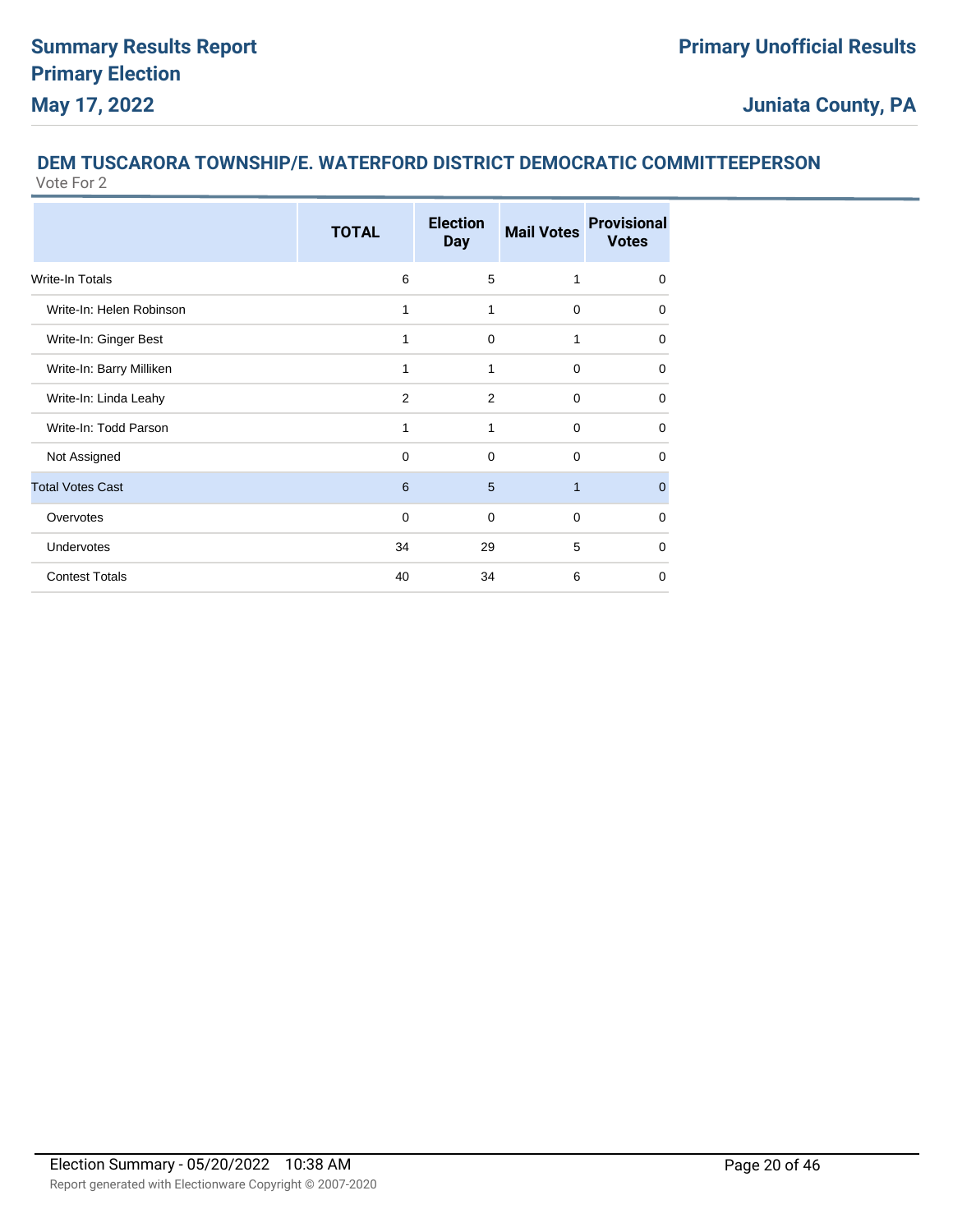#### **DEM TUSCARORA TOWNSHIP/E. WATERFORD DISTRICT DEMOCRATIC COMMITTEEPERSON** Vote For 2

|                          | <b>TOTAL</b>   | <b>Election</b><br><b>Day</b> | <b>Mail Votes</b> | <b>Provisional</b><br><b>Votes</b> |
|--------------------------|----------------|-------------------------------|-------------------|------------------------------------|
| <b>Write-In Totals</b>   | 6              | 5                             | 1                 | 0                                  |
| Write-In: Helen Robinson | 1              | 1                             | $\Omega$          | $\Omega$                           |
| Write-In: Ginger Best    | 1              | $\Omega$                      | 1                 | $\mathbf 0$                        |
| Write-In: Barry Milliken | 1              | 1                             | $\mathbf 0$       | 0                                  |
| Write-In: Linda Leahy    | $\overline{2}$ | 2                             | 0                 | $\Omega$                           |
| Write-In: Todd Parson    | 1              | 1                             | $\mathbf 0$       | $\mathbf 0$                        |
| Not Assigned             | $\Omega$       | $\Omega$                      | $\Omega$          | $\Omega$                           |
| <b>Total Votes Cast</b>  | 6              | 5                             | $\mathbf{1}$      | $\overline{0}$                     |
| Overvotes                | $\Omega$       | $\Omega$                      | $\Omega$          | $\Omega$                           |
| Undervotes               | 34             | 29                            | 5                 | $\Omega$                           |
| <b>Contest Totals</b>    | 40             | 34                            | 6                 | $\Omega$                           |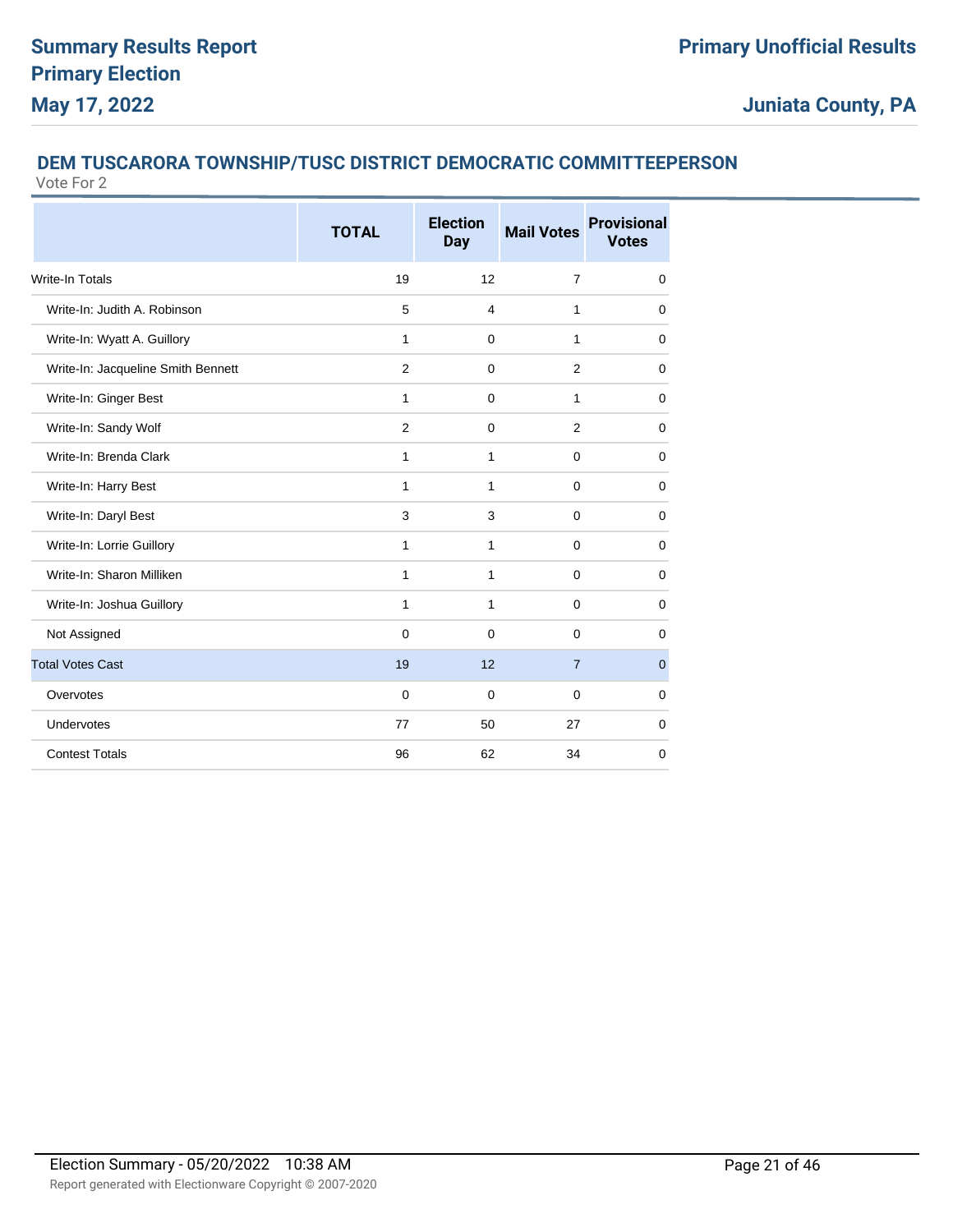#### **DEM TUSCARORA TOWNSHIP/TUSC DISTRICT DEMOCRATIC COMMITTEEPERSON** Vote For 2

|                                    | <b>TOTAL</b>   | <b>Election</b><br><b>Day</b> | <b>Mail Votes</b> | <b>Provisional</b><br><b>Votes</b> |
|------------------------------------|----------------|-------------------------------|-------------------|------------------------------------|
| Write-In Totals                    | 19             | 12                            | $\overline{7}$    | $\mathbf 0$                        |
| Write-In: Judith A. Robinson       | 5              | $\overline{4}$                | 1                 | $\Omega$                           |
| Write-In: Wyatt A. Guillory        | $\mathbf{1}$   | $\mathbf 0$                   | 1                 | $\mathbf 0$                        |
| Write-In: Jacqueline Smith Bennett | $\overline{2}$ | $\Omega$                      | 2                 | $\Omega$                           |
| Write-In: Ginger Best              | $\mathbf{1}$   | $\mathbf 0$                   | 1                 | 0                                  |
| Write-In: Sandy Wolf               | $\overline{2}$ | $\mathbf 0$                   | $\overline{2}$    | 0                                  |
| Write-In: Brenda Clark             | $\mathbf{1}$   | $\mathbf{1}$                  | $\mathbf 0$       | 0                                  |
| Write-In: Harry Best               | $\mathbf{1}$   | $\mathbf{1}$                  | $\pmb{0}$         | 0                                  |
| Write-In: Daryl Best               | 3              | 3                             | $\mathbf 0$       | $\Omega$                           |
| Write-In: Lorrie Guillory          | $\mathbf{1}$   | $\mathbf{1}$                  | $\mathbf 0$       | $\Omega$                           |
| Write-In: Sharon Milliken          | $\mathbf{1}$   | $\mathbf{1}$                  | $\mathbf 0$       | $\mathbf 0$                        |
| Write-In: Joshua Guillory          | $\mathbf{1}$   | $\mathbf{1}$                  | $\mathbf 0$       | $\Omega$                           |
| Not Assigned                       | $\Omega$       | $\mathbf 0$                   | 0                 | 0                                  |
| <b>Total Votes Cast</b>            | 19             | 12                            | $\overline{7}$    | $\mathbf{0}$                       |
| Overvotes                          | $\mathbf 0$    | $\mathbf 0$                   | $\mathbf 0$       | 0                                  |
| Undervotes                         | 77             | 50                            | 27                | 0                                  |
| <b>Contest Totals</b>              | 96             | 62                            | 34                | 0                                  |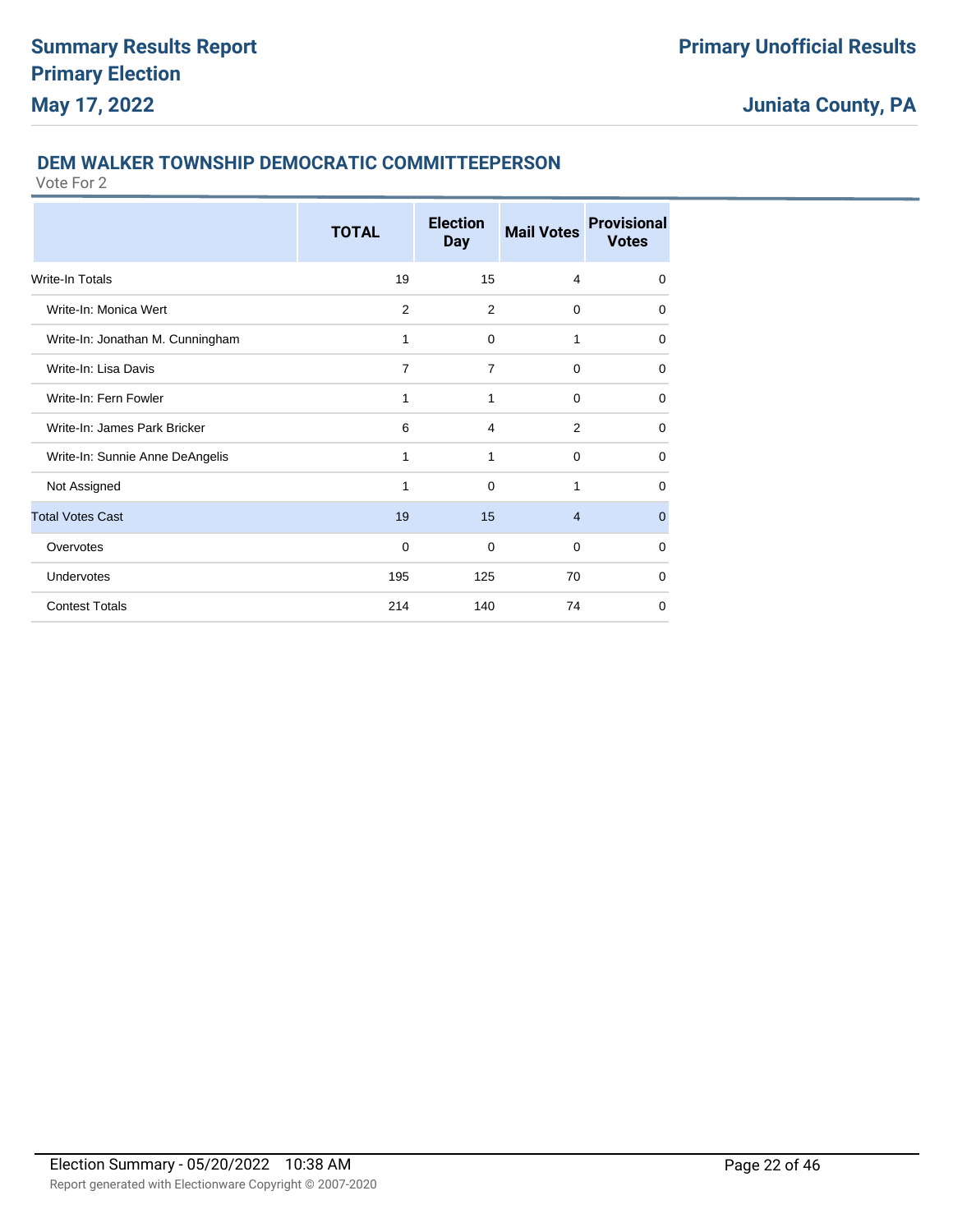### **DEM WALKER TOWNSHIP DEMOCRATIC COMMITTEEPERSON**

|                                  | <b>TOTAL</b>   | <b>Election</b><br><b>Day</b> | <b>Mail Votes</b> | <b>Provisional</b><br><b>Votes</b> |
|----------------------------------|----------------|-------------------------------|-------------------|------------------------------------|
| Write-In Totals                  | 19             | 15                            | $\overline{4}$    | $\mathbf 0$                        |
| Write-In: Monica Wert            | $\overline{2}$ | 2                             | 0                 | 0                                  |
| Write-In: Jonathan M. Cunningham | 1              | $\Omega$                      | 1                 | $\Omega$                           |
| Write-In: Lisa Davis             | $\overline{7}$ | $\overline{7}$                | $\mathbf 0$       | $\mathbf 0$                        |
| Write-In: Fern Fowler            | 1              | 1                             | $\Omega$          | 0                                  |
| Write-In: James Park Bricker     | 6              | 4                             | 2                 | 0                                  |
| Write-In: Sunnie Anne DeAngelis  | 1              | 1                             | $\Omega$          | $\Omega$                           |
| Not Assigned                     | 1              | $\Omega$                      | 1                 | $\Omega$                           |
| <b>Total Votes Cast</b>          | 19             | 15                            | $\overline{4}$    | $\overline{0}$                     |
| Overvotes                        | $\mathbf 0$    | $\Omega$                      | $\Omega$          | $\Omega$                           |
| <b>Undervotes</b>                | 195            | 125                           | 70                | $\mathbf 0$                        |
| <b>Contest Totals</b>            | 214            | 140                           | 74                | 0                                  |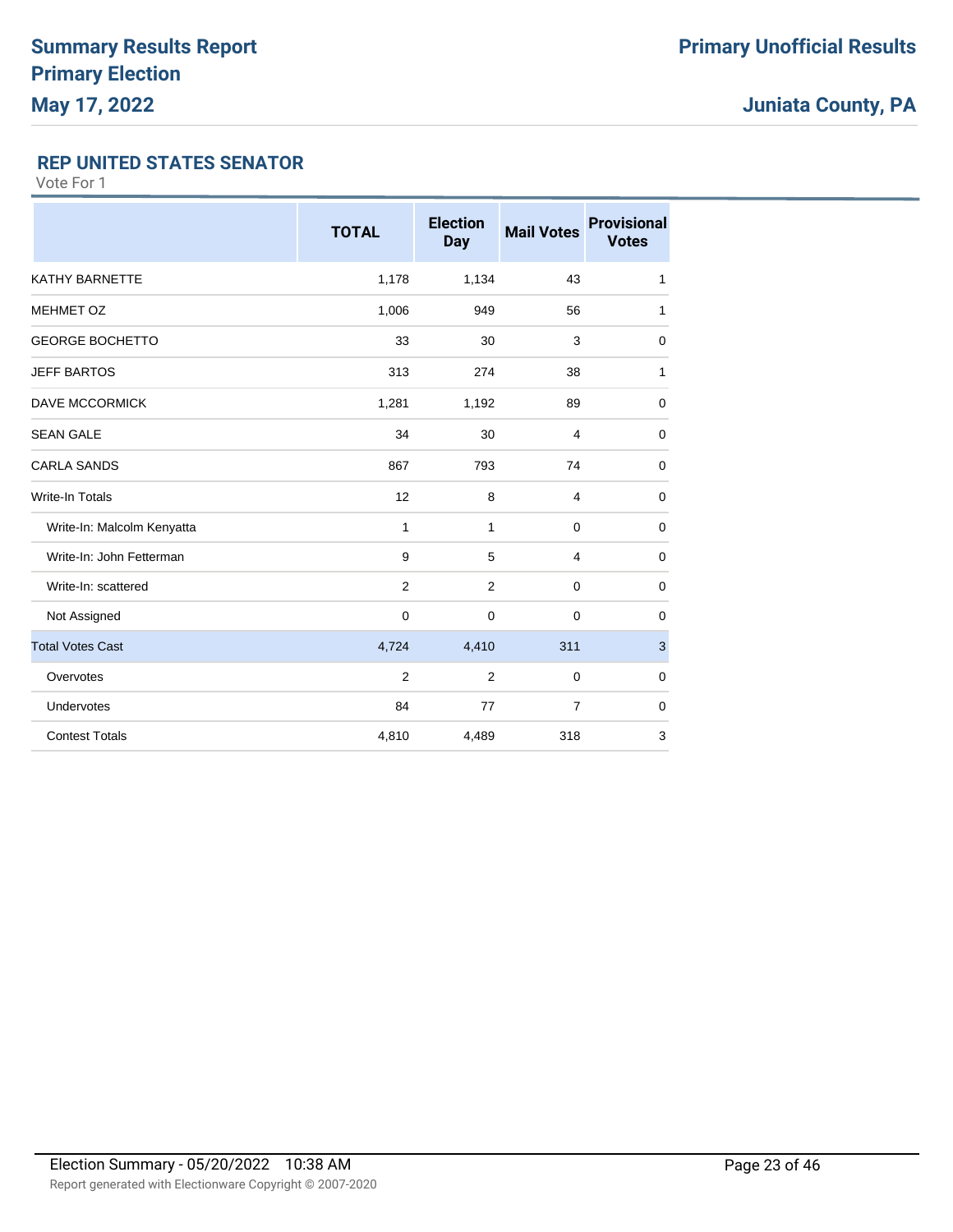### **REP UNITED STATES SENATOR**

|                            | <b>TOTAL</b>   | <b>Election</b><br><b>Day</b> | <b>Mail Votes</b> | <b>Provisional</b><br><b>Votes</b> |
|----------------------------|----------------|-------------------------------|-------------------|------------------------------------|
| <b>KATHY BARNETTE</b>      | 1,178          | 1,134                         | 43                | 1                                  |
| <b>MEHMET OZ</b>           | 1,006          | 949                           | 56                | 1                                  |
| <b>GEORGE BOCHETTO</b>     | 33             | 30                            | 3                 | $\mathbf 0$                        |
| <b>JEFF BARTOS</b>         | 313            | 274                           | 38                | 1                                  |
| DAVE MCCORMICK             | 1,281          | 1,192                         | 89                | 0                                  |
| <b>SEAN GALE</b>           | 34             | 30                            | 4                 | $\mathbf 0$                        |
| <b>CARLA SANDS</b>         | 867            | 793                           | 74                | 0                                  |
| <b>Write-In Totals</b>     | 12             | 8                             | $\overline{4}$    | $\mathbf 0$                        |
| Write-In: Malcolm Kenyatta | 1              | 1                             | $\Omega$          | $\mathbf 0$                        |
| Write-In: John Fetterman   | 9              | 5                             | $\overline{4}$    | $\mathbf 0$                        |
| Write-In: scattered        | 2              | 2                             | $\mathbf 0$       | 0                                  |
| Not Assigned               | $\mathbf 0$    | 0                             | 0                 | 0                                  |
| <b>Total Votes Cast</b>    | 4,724          | 4,410                         | 311               | 3                                  |
| Overvotes                  | $\overline{2}$ | $\overline{2}$                | $\mathbf 0$       | $\mathbf 0$                        |
| Undervotes                 | 84             | 77                            | $\overline{7}$    | $\mathbf 0$                        |
| <b>Contest Totals</b>      | 4,810          | 4,489                         | 318               | 3                                  |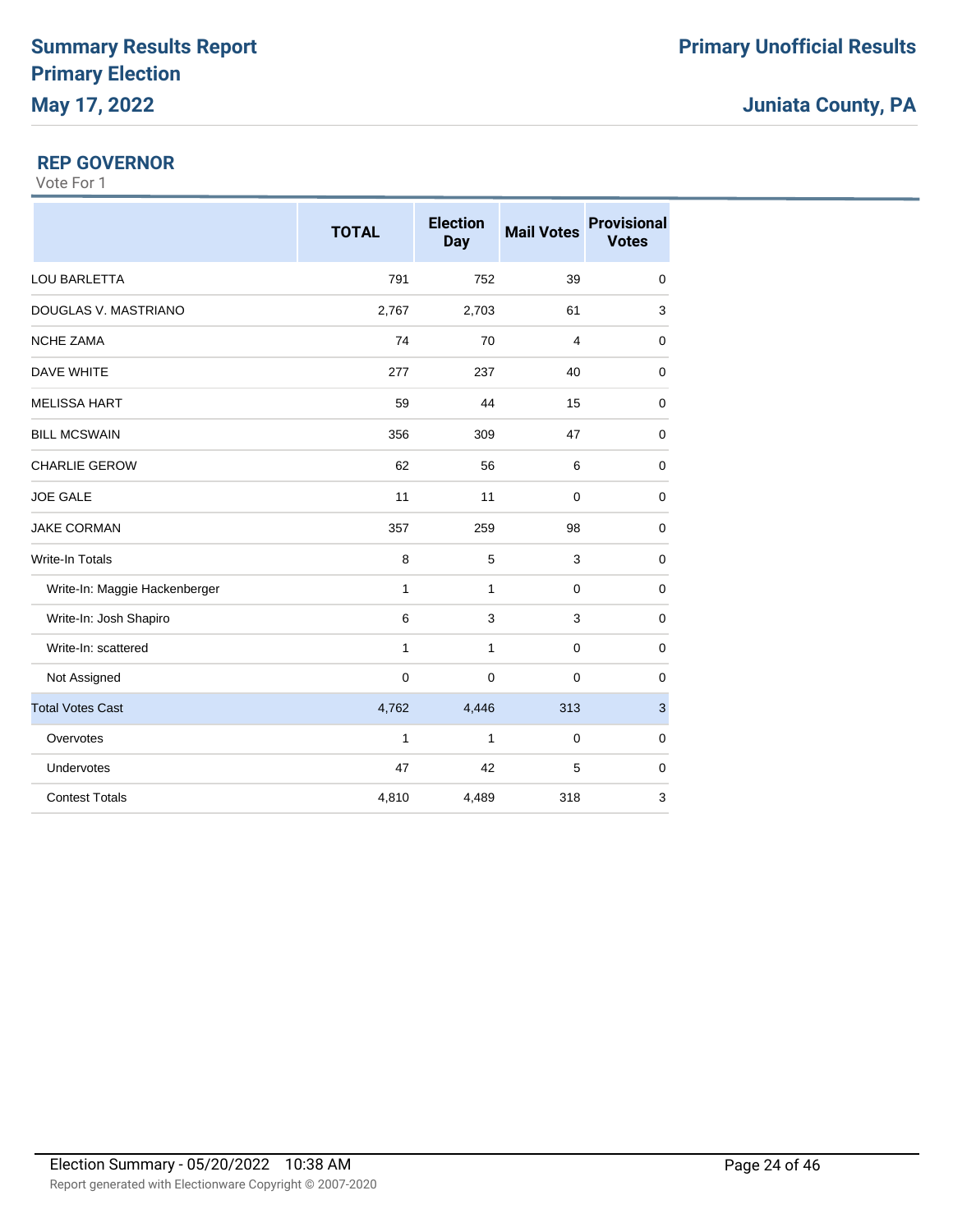### **REP GOVERNOR**

|                               | <b>TOTAL</b> | <b>Election</b><br>Day | <b>Mail Votes</b> | <b>Provisional</b><br><b>Votes</b> |
|-------------------------------|--------------|------------------------|-------------------|------------------------------------|
| <b>LOU BARLETTA</b>           | 791          | 752                    | 39                | $\mathbf 0$                        |
| DOUGLAS V. MASTRIANO          | 2,767        | 2,703                  | 61                | 3                                  |
| <b>NCHE ZAMA</b>              | 74           | 70                     | $\overline{4}$    | $\mathbf 0$                        |
| <b>DAVE WHITE</b>             | 277          | 237                    | 40                | 0                                  |
| <b>MELISSA HART</b>           | 59           | 44                     | 15                | 0                                  |
| <b>BILL MCSWAIN</b>           | 356          | 309                    | 47                | $\mathbf 0$                        |
| <b>CHARLIE GEROW</b>          | 62           | 56                     | 6                 | $\mathbf 0$                        |
| <b>JOE GALE</b>               | 11           | 11                     | $\mathbf 0$       | $\mathbf 0$                        |
| <b>JAKE CORMAN</b>            | 357          | 259                    | 98                | $\mathbf 0$                        |
| Write-In Totals               | 8            | 5                      | 3                 | $\mathbf 0$                        |
| Write-In: Maggie Hackenberger | 1            | 1                      | 0                 | 0                                  |
| Write-In: Josh Shapiro        | 6            | 3                      | 3                 | $\mathbf 0$                        |
| Write-In: scattered           | 1            | 1                      | $\mathbf 0$       | $\mathbf 0$                        |
| Not Assigned                  | $\mathbf 0$  | $\mathbf 0$            | $\mathbf 0$       | 0                                  |
| <b>Total Votes Cast</b>       | 4,762        | 4,446                  | 313               | $\ensuremath{\mathsf{3}}$          |
| Overvotes                     | $\mathbf{1}$ | $\mathbf{1}$           | $\mathbf 0$       | $\mathbf 0$                        |
| Undervotes                    | 47           | 42                     | 5                 | $\mathbf 0$                        |
| <b>Contest Totals</b>         | 4,810        | 4,489                  | 318               | 3                                  |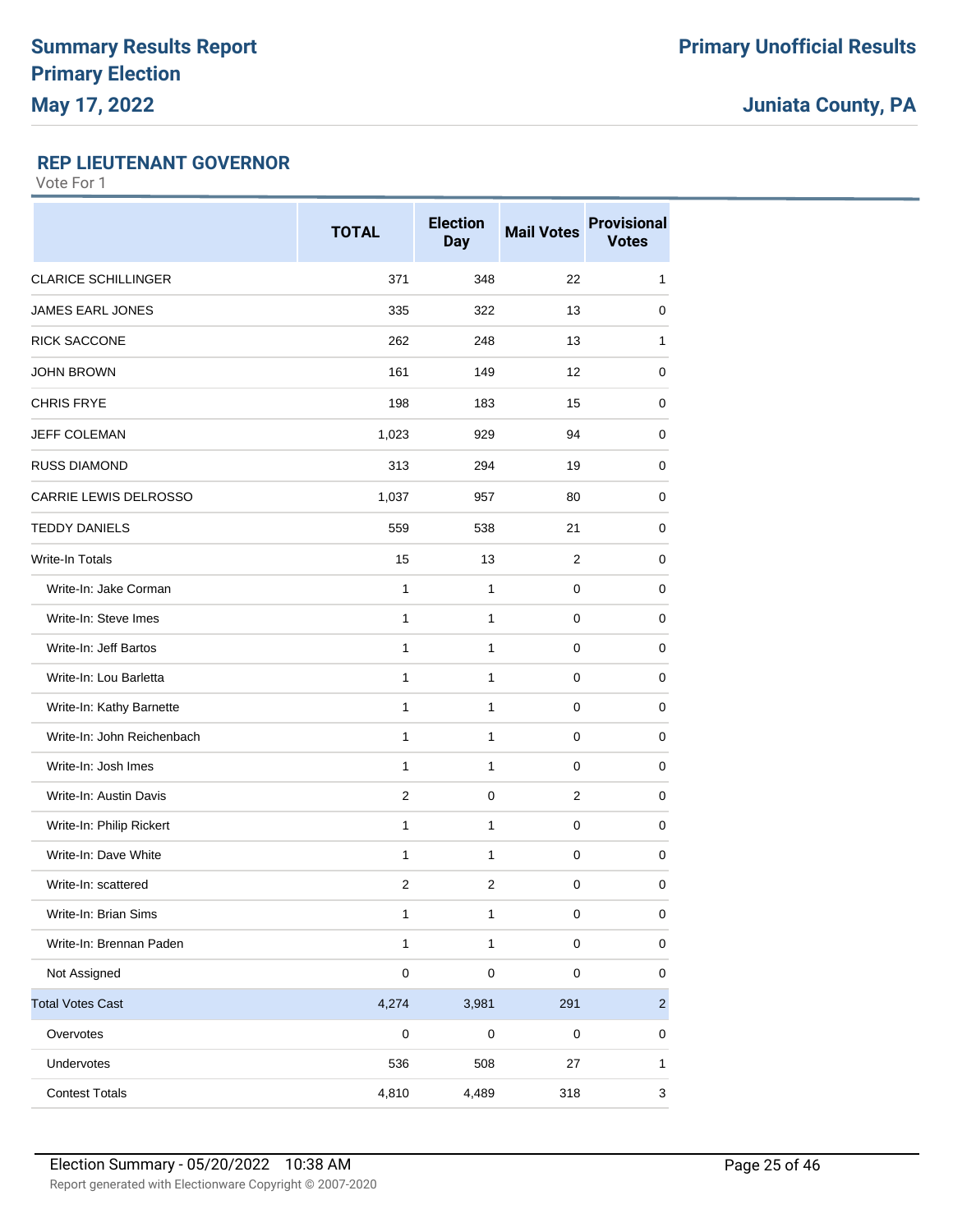### **REP LIEUTENANT GOVERNOR**

|                            | <b>TOTAL</b>   | <b>Election</b><br><b>Day</b> | <b>Mail Votes</b> | <b>Provisional</b><br><b>Votes</b> |
|----------------------------|----------------|-------------------------------|-------------------|------------------------------------|
| <b>CLARICE SCHILLINGER</b> | 371            | 348                           | 22                | 1                                  |
| <b>JAMES EARL JONES</b>    | 335            | 322                           | 13                | 0                                  |
| <b>RICK SACCONE</b>        | 262            | 248                           | 13                | 1                                  |
| <b>JOHN BROWN</b>          | 161            | 149                           | 12                | 0                                  |
| <b>CHRIS FRYE</b>          | 198            | 183                           | 15                | 0                                  |
| <b>JEFF COLEMAN</b>        | 1,023          | 929                           | 94                | 0                                  |
| <b>RUSS DIAMOND</b>        | 313            | 294                           | 19                | 0                                  |
| CARRIE LEWIS DELROSSO      | 1,037          | 957                           | 80                | 0                                  |
| <b>TEDDY DANIELS</b>       | 559            | 538                           | 21                | 0                                  |
| <b>Write-In Totals</b>     | 15             | 13                            | $\overline{2}$    | 0                                  |
| Write-In: Jake Corman      | $\mathbf{1}$   | 1                             | 0                 | $\mathbf 0$                        |
| Write-In: Steve Imes       | 1              | 1                             | 0                 | 0                                  |
| Write-In: Jeff Bartos      | $\mathbf{1}$   | $\mathbf{1}$                  | 0                 | $\mathbf 0$                        |
| Write-In: Lou Barletta     | 1              | 1                             | 0                 | 0                                  |
| Write-In: Kathy Barnette   | $\mathbf{1}$   | 1                             | 0                 | 0                                  |
| Write-In: John Reichenbach | $\mathbf{1}$   | $\mathbf{1}$                  | $\pmb{0}$         | $\mathbf 0$                        |
| Write-In: Josh Imes        | 1              | 1                             | 0                 | 0                                  |
| Write-In: Austin Davis     | $\overline{2}$ | 0                             | $\overline{2}$    | 0                                  |
| Write-In: Philip Rickert   | $\mathbf{1}$   | $\mathbf{1}$                  | $\pmb{0}$         | 0                                  |
| Write-In: Dave White       | 1              | 1                             | 0                 | 0                                  |
| Write-In: scattered        | $\overline{c}$ | 2                             | 0                 | $\mathbf 0$                        |
| Write-In: Brian Sims       | $\mathbf{1}$   | $\mathbf{1}$                  | $\pmb{0}$         | $\pmb{0}$                          |
| Write-In: Brennan Paden    | $\mathbf{1}$   | $\mathbf{1}$                  | $\pmb{0}$         | $\pmb{0}$                          |
| Not Assigned               | $\pmb{0}$      | $\pmb{0}$                     | $\pmb{0}$         | 0                                  |
| <b>Total Votes Cast</b>    | 4,274          | 3,981                         | 291               | $\overline{a}$                     |
| Overvotes                  | $\pmb{0}$      | 0                             | 0                 | 0                                  |
| Undervotes                 | 536            | 508                           | 27                | 1                                  |
| <b>Contest Totals</b>      | 4,810          | 4,489                         | 318               | 3                                  |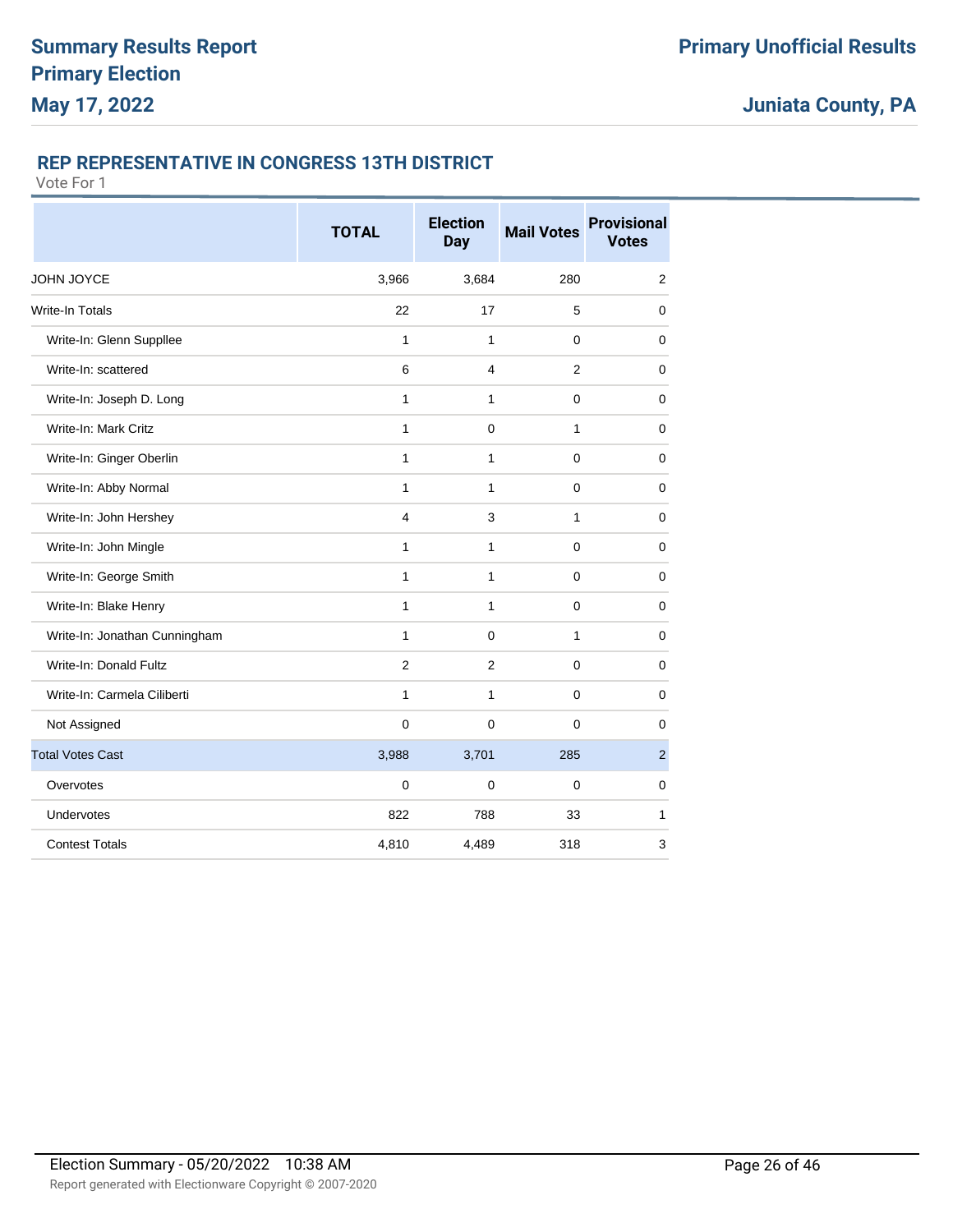### **REP REPRESENTATIVE IN CONGRESS 13TH DISTRICT**

|                               | <b>TOTAL</b>   | <b>Election</b><br><b>Day</b> | <b>Mail Votes</b> | <b>Provisional</b><br><b>Votes</b> |
|-------------------------------|----------------|-------------------------------|-------------------|------------------------------------|
| <b>JOHN JOYCE</b>             | 3,966          | 3,684                         | 280               | $\overline{2}$                     |
| <b>Write-In Totals</b>        | 22             | 17                            | 5                 | 0                                  |
| Write-In: Glenn Suppllee      | 1              | 1                             | 0                 | $\mathbf 0$                        |
| Write-In: scattered           | 6              | 4                             | 2                 | 0                                  |
| Write-In: Joseph D. Long      | 1              | 1                             | 0                 | 0                                  |
| Write-In: Mark Critz          | $\mathbf{1}$   | 0                             | 1                 | $\mathbf 0$                        |
| Write-In: Ginger Oberlin      | 1              | 1                             | 0                 | 0                                  |
| Write-In: Abby Normal         | $\mathbf{1}$   | 1                             | 0                 | 0                                  |
| Write-In: John Hershey        | $\overline{4}$ | 3                             | 1                 | $\mathbf 0$                        |
| Write-In: John Mingle         | 1              | 1                             | 0                 | 0                                  |
| Write-In: George Smith        | 1              | 1                             | 0                 | 0                                  |
| Write-In: Blake Henry         | $\mathbf{1}$   | $\mathbf{1}$                  | $\mathbf 0$       | $\mathbf 0$                        |
| Write-In: Jonathan Cunningham | 1              | 0                             | 1                 | 0                                  |
| Write-In: Donald Fultz        | 2              | $\overline{2}$                | 0                 | 0                                  |
| Write-In: Carmela Ciliberti   | $\mathbf{1}$   | 1                             | $\mathbf 0$       | $\mathbf 0$                        |
| Not Assigned                  | $\mathbf 0$    | $\mathbf 0$                   | $\mathbf 0$       | $\mathbf 0$                        |
| <b>Total Votes Cast</b>       | 3,988          | 3,701                         | 285               | $\overline{2}$                     |
| Overvotes                     | 0              | 0                             | 0                 | 0                                  |
| Undervotes                    | 822            | 788                           | 33                | 1                                  |
| <b>Contest Totals</b>         | 4,810          | 4,489                         | 318               | 3                                  |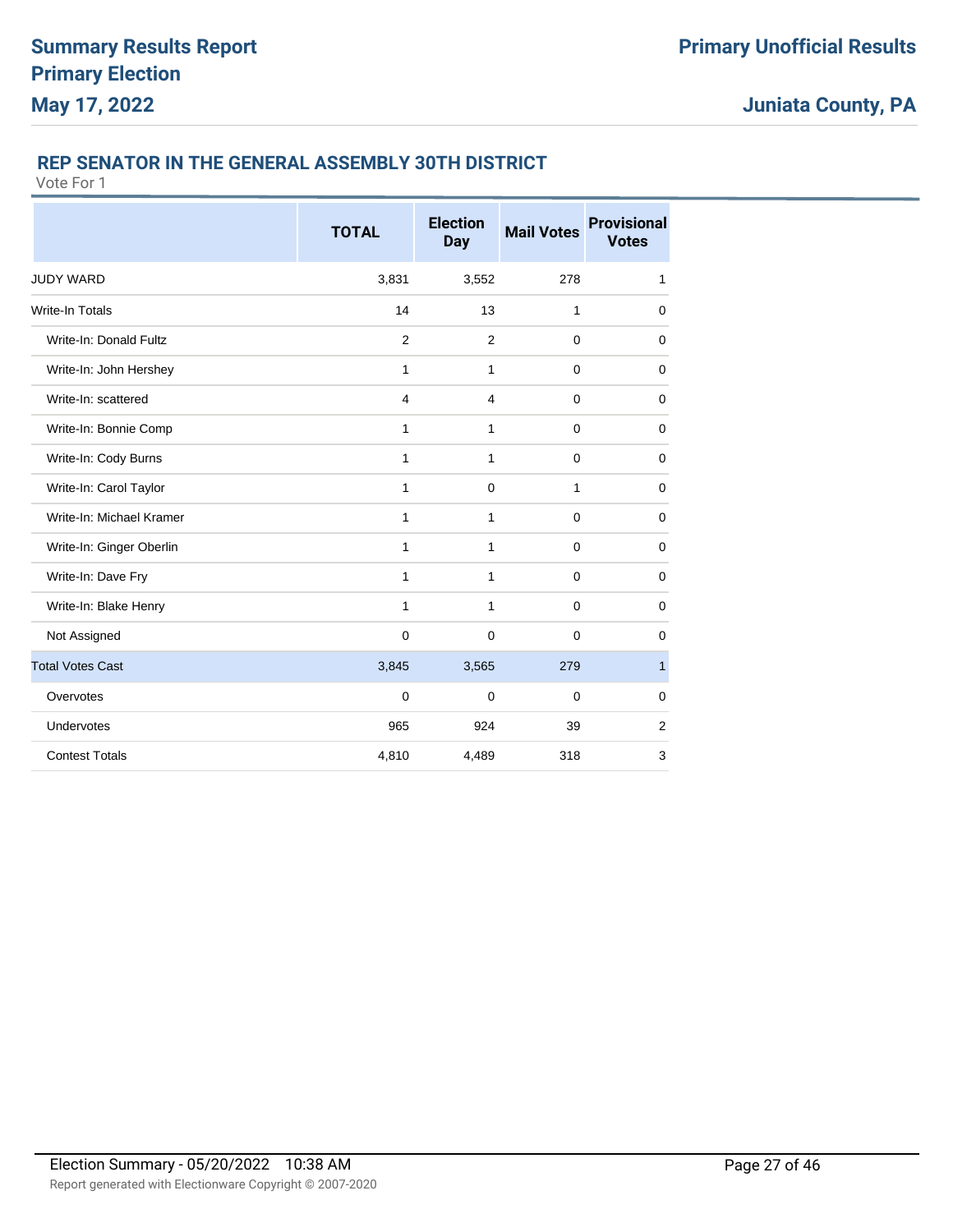### **REP SENATOR IN THE GENERAL ASSEMBLY 30TH DISTRICT**

|                          | <b>TOTAL</b>   | <b>Election</b><br><b>Day</b> | <b>Mail Votes</b> | <b>Provisional</b><br><b>Votes</b> |
|--------------------------|----------------|-------------------------------|-------------------|------------------------------------|
| <b>JUDY WARD</b>         | 3,831          | 3,552                         | 278               | 1                                  |
| Write-In Totals          | 14             | 13                            | 1                 | $\mathbf 0$                        |
| Write-In: Donald Fultz   | $\overline{2}$ | 2                             | $\mathbf 0$       | $\mathbf 0$                        |
| Write-In: John Hershey   | 1              | 1                             | $\mathbf 0$       | $\mathbf 0$                        |
| Write-In: scattered      | 4              | $\overline{4}$                | $\mathbf 0$       | $\mathbf 0$                        |
| Write-In: Bonnie Comp    | $\mathbf{1}$   | $\mathbf{1}$                  | $\mathbf 0$       | $\mathbf 0$                        |
| Write-In: Cody Burns     | $\mathbf{1}$   | $\mathbf{1}$                  | $\mathbf 0$       | $\mathbf 0$                        |
| Write-In: Carol Taylor   | 1              | $\mathbf 0$                   | 1                 | $\mathbf 0$                        |
| Write-In: Michael Kramer | $\mathbf{1}$   | 1                             | $\mathbf 0$       | $\mathbf 0$                        |
| Write-In: Ginger Oberlin | 1              | 1                             | $\mathbf 0$       | $\mathbf 0$                        |
| Write-In: Dave Fry       | $\mathbf{1}$   | 1                             | $\mathbf 0$       | 0                                  |
| Write-In: Blake Henry    | 1              | 1                             | $\mathbf 0$       | 0                                  |
| Not Assigned             | $\mathbf 0$    | $\mathbf 0$                   | $\mathbf{0}$      | $\mathbf 0$                        |
| <b>Total Votes Cast</b>  | 3,845          | 3,565                         | 279               | $\mathbf{1}$                       |
| Overvotes                | $\mathbf 0$    | $\Omega$                      | $\Omega$          | $\mathbf 0$                        |
| Undervotes               | 965            | 924                           | 39                | $\overline{2}$                     |
| <b>Contest Totals</b>    | 4,810          | 4,489                         | 318               | 3                                  |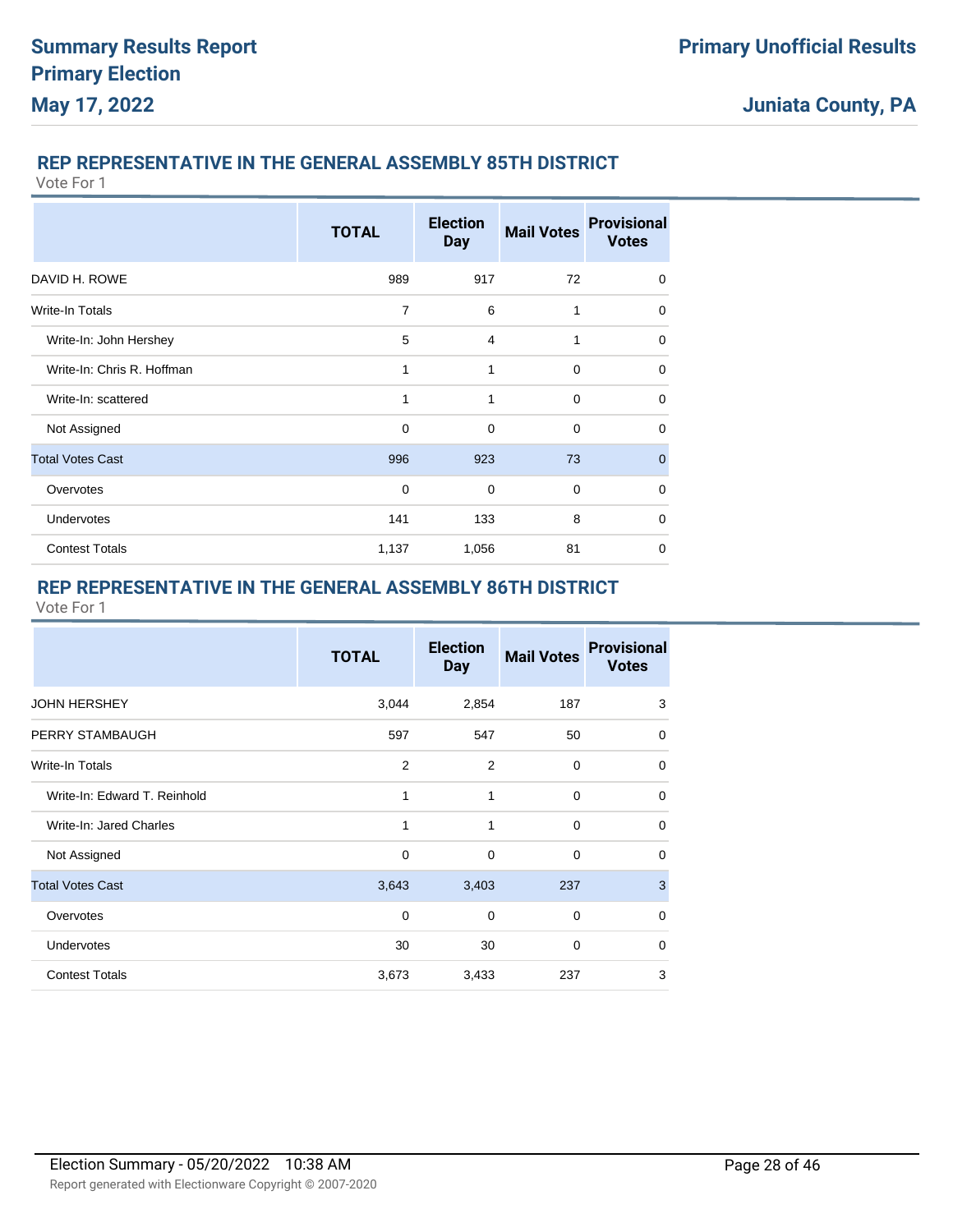### **REP REPRESENTATIVE IN THE GENERAL ASSEMBLY 85TH DISTRICT**

Vote For 1

|                            | <b>TOTAL</b> | <b>Election</b><br><b>Day</b> | <b>Mail Votes</b> | <b>Provisional</b><br><b>Votes</b> |
|----------------------------|--------------|-------------------------------|-------------------|------------------------------------|
| DAVID H. ROWE              | 989          | 917                           | 72                | $\Omega$                           |
| Write-In Totals            | 7            | 6                             | 1                 | $\mathbf 0$                        |
| Write-In: John Hershey     | 5            | 4                             | 1                 | $\mathbf 0$                        |
| Write-In: Chris R. Hoffman | 1            | 1                             | $\mathbf 0$       | $\mathbf 0$                        |
| Write-In: scattered        | 1            | 1                             | $\mathbf 0$       | $\mathbf 0$                        |
| Not Assigned               | 0            | 0                             | $\mathbf 0$       | $\mathbf 0$                        |
| <b>Total Votes Cast</b>    | 996          | 923                           | 73                | $\mathbf 0$                        |
| Overvotes                  | $\mathbf 0$  | $\mathbf 0$                   | $\mathbf 0$       | $\mathbf 0$                        |
| <b>Undervotes</b>          | 141          | 133                           | 8                 | $\mathbf 0$                        |
| <b>Contest Totals</b>      | 1,137        | 1,056                         | 81                | $\mathbf 0$                        |

### **REP REPRESENTATIVE IN THE GENERAL ASSEMBLY 86TH DISTRICT**

|                              | <b>TOTAL</b>   | <b>Election</b><br><b>Day</b> | <b>Mail Votes</b> | <b>Provisional</b><br><b>Votes</b> |
|------------------------------|----------------|-------------------------------|-------------------|------------------------------------|
| <b>JOHN HERSHEY</b>          | 3,044          | 2,854                         | 187               | 3                                  |
| PERRY STAMBAUGH              | 597            | 547                           | 50                | 0                                  |
| Write-In Totals              | $\overline{2}$ | $\overline{2}$                | 0                 | 0                                  |
| Write-In: Edward T. Reinhold | 1              | 1                             | $\mathbf 0$       | $\Omega$                           |
| Write-In: Jared Charles      | 1              | 1                             | $\mathbf 0$       | $\Omega$                           |
| Not Assigned                 | 0              | 0                             | $\mathbf 0$       | $\Omega$                           |
| <b>Total Votes Cast</b>      | 3,643          | 3,403                         | 237               | 3                                  |
| Overvotes                    | $\Omega$       | $\Omega$                      | $\Omega$          | $\Omega$                           |
| <b>Undervotes</b>            | 30             | 30                            | $\mathbf 0$       | $\Omega$                           |
| <b>Contest Totals</b>        | 3,673          | 3,433                         | 237               | 3                                  |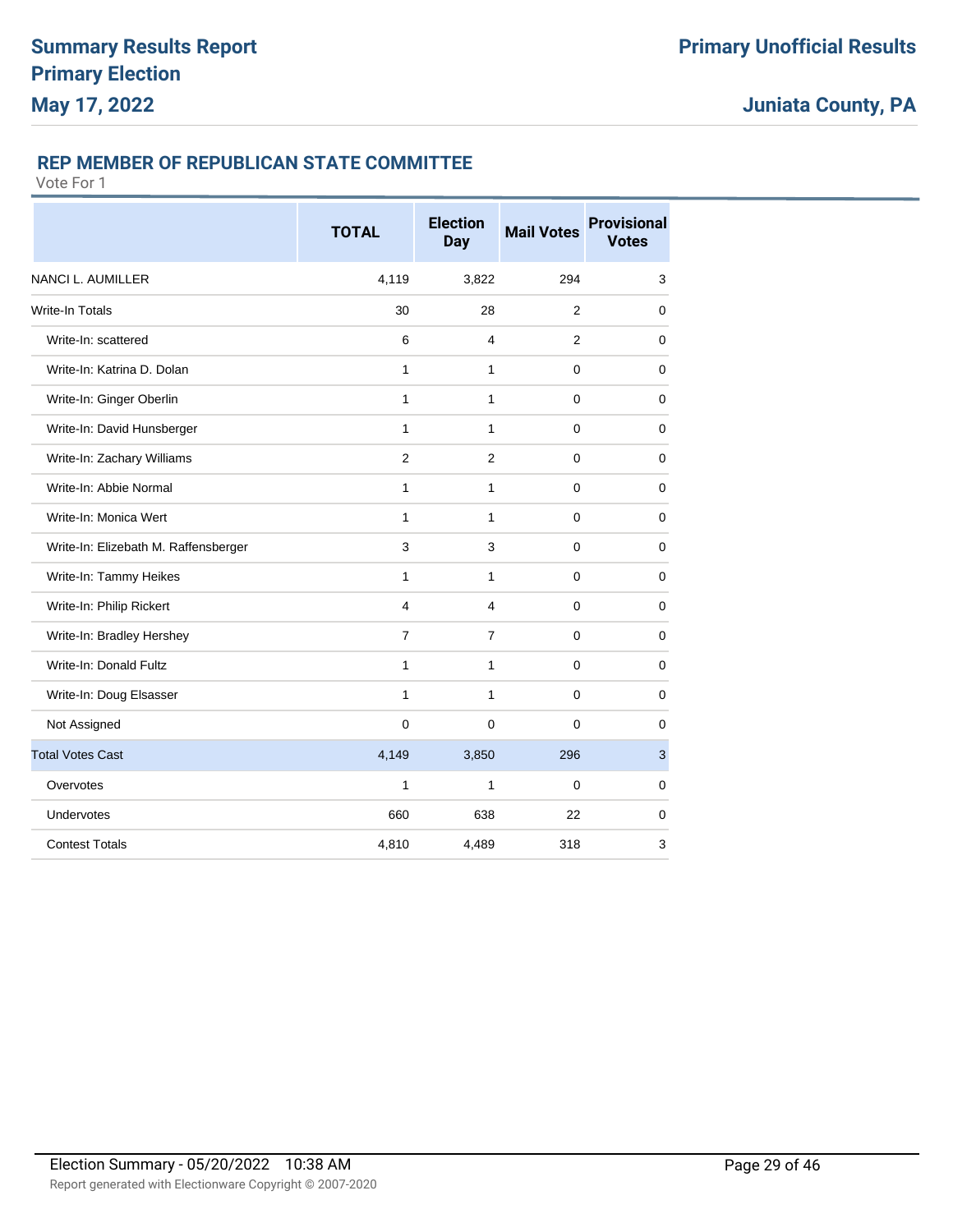### **REP MEMBER OF REPUBLICAN STATE COMMITTEE**

|                                      | <b>TOTAL</b>   | <b>Election</b><br><b>Day</b> | <b>Mail Votes</b> | <b>Provisional</b><br><b>Votes</b> |
|--------------------------------------|----------------|-------------------------------|-------------------|------------------------------------|
| <b>NANCI L. AUMILLER</b>             | 4,119          | 3,822                         | 294               | 3                                  |
| <b>Write-In Totals</b>               | 30             | 28                            | 2                 | 0                                  |
| Write-In: scattered                  | 6              | $\overline{4}$                | $\overline{2}$    | $\mathbf 0$                        |
| Write-In: Katrina D. Dolan           | 1              | 1                             | 0                 | 0                                  |
| Write-In: Ginger Oberlin             | 1              | 1                             | $\mathbf 0$       | $\mathbf 0$                        |
| Write-In: David Hunsberger           | $\mathbf{1}$   | 1                             | 0                 | $\mathbf 0$                        |
| Write-In: Zachary Williams           | $\overline{2}$ | $\overline{2}$                | 0                 | 0                                  |
| Write-In: Abbie Normal               | 1              | 1                             | $\mathbf 0$       | 0                                  |
| Write-In: Monica Wert                | $\mathbf{1}$   | $\mathbf{1}$                  | $\mathbf 0$       | $\mathbf 0$                        |
| Write-In: Elizebath M. Raffensberger | 3              | 3                             | 0                 | 0                                  |
| Write-In: Tammy Heikes               | 1              | 1                             | 0                 | 0                                  |
| Write-In: Philip Rickert             | $\overline{4}$ | $\overline{4}$                | $\mathbf 0$       | $\mathbf 0$                        |
| Write-In: Bradley Hershey            | 7              | 7                             | 0                 | 0                                  |
| Write-In: Donald Fultz               | 1              | 1                             | 0                 | 0                                  |
| Write-In: Doug Elsasser              | $\mathbf{1}$   | $\mathbf{1}$                  | $\mathbf 0$       | $\mathbf 0$                        |
| Not Assigned                         | $\mathbf 0$    | $\mathbf 0$                   | 0                 | 0                                  |
| <b>Total Votes Cast</b>              | 4,149          | 3,850                         | 296               | 3                                  |
| Overvotes                            | 1              | 1                             | 0                 | 0                                  |
| Undervotes                           | 660            | 638                           | 22                | $\mathbf 0$                        |
| <b>Contest Totals</b>                | 4,810          | 4,489                         | 318               | 3                                  |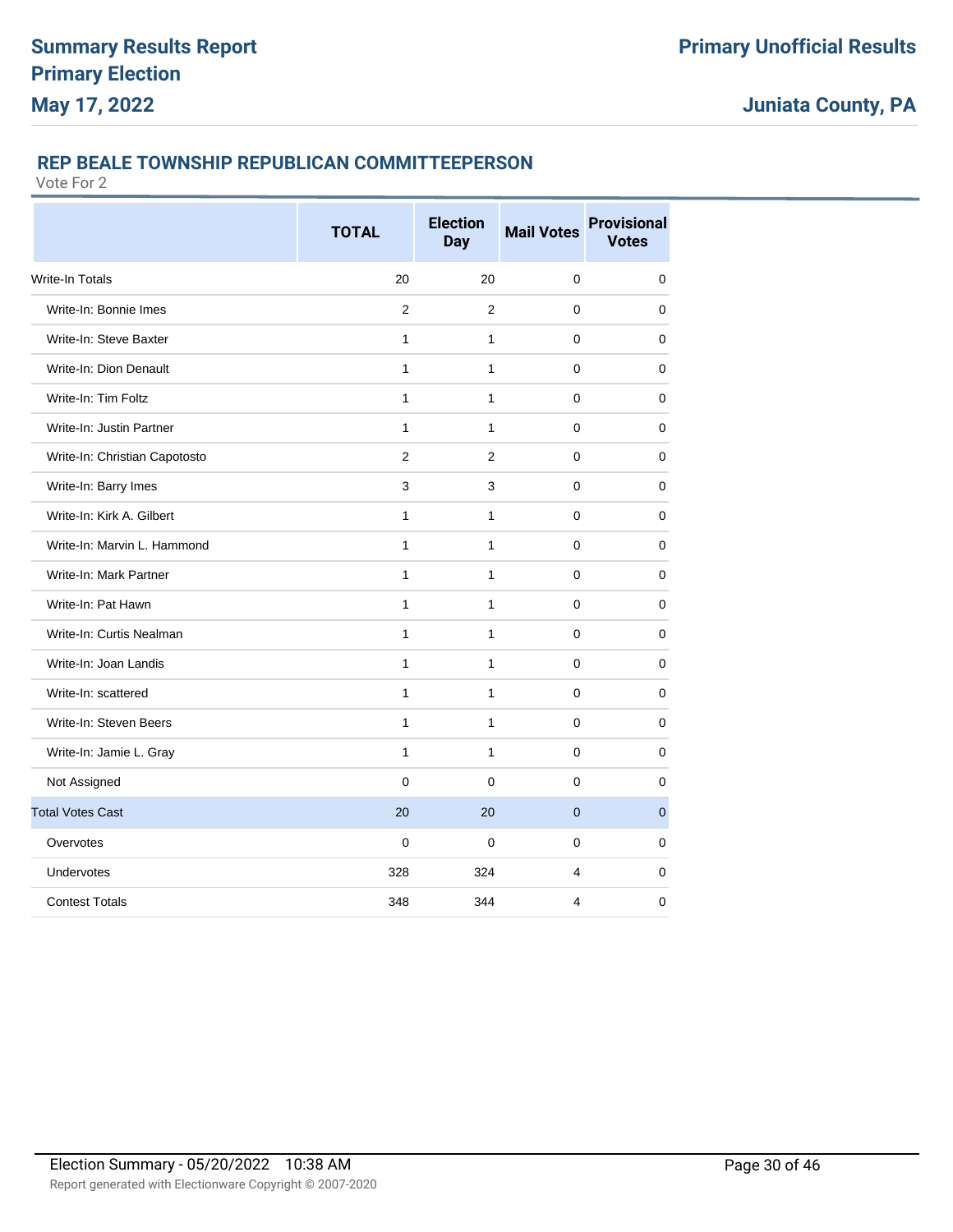### **REP BEALE TOWNSHIP REPUBLICAN COMMITTEEPERSON**

|                               | <b>TOTAL</b>   | <b>Election</b><br><b>Day</b> | <b>Mail Votes</b> | <b>Provisional</b><br><b>Votes</b> |
|-------------------------------|----------------|-------------------------------|-------------------|------------------------------------|
| <b>Write-In Totals</b>        | 20             | 20                            | 0                 | $\mathbf 0$                        |
| Write-In: Bonnie Imes         | $\overline{2}$ | $\overline{2}$                | 0                 | $\mathbf 0$                        |
| Write-In: Steve Baxter        | $\mathbf{1}$   | $\mathbf{1}$                  | 0                 | 0                                  |
| Write-In: Dion Denault        | $\mathbf{1}$   | $\mathbf{1}$                  | 0                 | $\mathbf 0$                        |
| Write-In: Tim Foltz           | $\mathbf{1}$   | $\mathbf{1}$                  | 0                 | $\mathbf 0$                        |
| Write-In: Justin Partner      | $\mathbf{1}$   | $\mathbf{1}$                  | 0                 | $\mathbf 0$                        |
| Write-In: Christian Capotosto | $\overline{2}$ | 2                             | $\Omega$          | $\mathbf 0$                        |
| Write-In: Barry Imes          | 3              | 3                             | 0                 | $\pmb{0}$                          |
| Write-In: Kirk A. Gilbert     | 1              | 1                             | 0                 | 0                                  |
| Write-In: Marvin L. Hammond   | $\mathbf{1}$   | $\mathbf{1}$                  | 0                 | $\mathbf 0$                        |
| Write-In: Mark Partner        | $\mathbf{1}$   | $\mathbf{1}$                  | 0                 | 0                                  |
| Write-In: Pat Hawn            | $\mathbf{1}$   | $\mathbf{1}$                  | 0                 | $\mathbf 0$                        |
| Write-In: Curtis Nealman      | 1              | $\mathbf{1}$                  | 0                 | $\mathbf 0$                        |
| Write-In: Joan Landis         | $\mathbf{1}$   | $\mathbf{1}$                  | 0                 | $\mathbf 0$                        |
| Write-In: scattered           | $\mathbf{1}$   | $\mathbf{1}$                  | $\Omega$          | $\mathbf 0$                        |
| Write-In: Steven Beers        | $\mathbf{1}$   | $\mathbf{1}$                  | 0                 | $\mathbf 0$                        |
| Write-In: Jamie L. Gray       | $\mathbf{1}$   | $\mathbf{1}$                  | 0                 | $\mathbf 0$                        |
| Not Assigned                  | $\Omega$       | $\Omega$                      | 0                 | 0                                  |
| <b>Total Votes Cast</b>       | 20             | 20                            | $\mathbf{0}$      | $\overline{0}$                     |
| Overvotes                     | $\mathbf 0$    | 0                             | 0                 | 0                                  |
| Undervotes                    | 328            | 324                           | 4                 | 0                                  |
| <b>Contest Totals</b>         | 348            | 344                           | 4                 | 0                                  |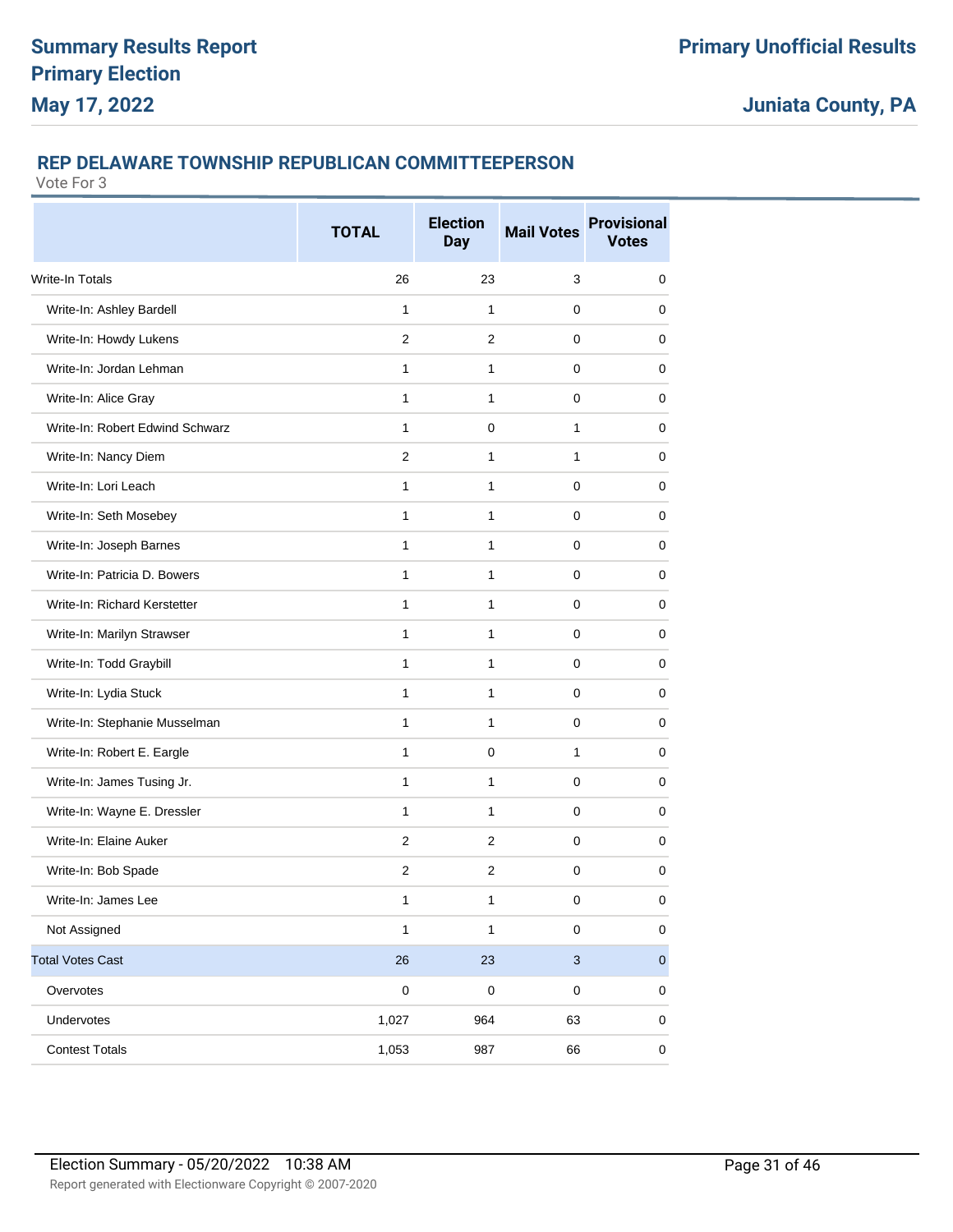### **REP DELAWARE TOWNSHIP REPUBLICAN COMMITTEEPERSON**

|                                 | <b>TOTAL</b>   | <b>Election</b><br><b>Day</b> | <b>Mail Votes</b>         | <b>Provisional</b><br><b>Votes</b> |
|---------------------------------|----------------|-------------------------------|---------------------------|------------------------------------|
| <b>Write-In Totals</b>          | 26             | 23                            | 3                         | 0                                  |
| Write-In: Ashley Bardell        | 1              | 1                             | 0                         | 0                                  |
| Write-In: Howdy Lukens          | $\overline{2}$ | $\overline{2}$                | 0                         | 0                                  |
| Write-In: Jordan Lehman         | 1              | 1                             | 0                         | $\mathbf 0$                        |
| Write-In: Alice Gray            | 1              | 1                             | 0                         | 0                                  |
| Write-In: Robert Edwind Schwarz | 1              | 0                             | 1                         | 0                                  |
| Write-In: Nancy Diem            | $\overline{2}$ | 1                             | 1                         | 0                                  |
| Write-In: Lori Leach            | $\mathbf{1}$   | 1                             | 0                         | 0                                  |
| Write-In: Seth Mosebey          | 1              | 1                             | 0                         | 0                                  |
| Write-In: Joseph Barnes         | $\mathbf{1}$   | 1                             | 0                         | 0                                  |
| Write-In: Patricia D. Bowers    | $\mathbf{1}$   | 1                             | 0                         | 0                                  |
| Write-In: Richard Kerstetter    | 1              | 1                             | 0                         | 0                                  |
| Write-In: Marilyn Strawser      | 1              | 1                             | 0                         | 0                                  |
| Write-In: Todd Graybill         | 1              | 1                             | 0                         | 0                                  |
| Write-In: Lydia Stuck           | 1              | 1                             | 0                         | 0                                  |
| Write-In: Stephanie Musselman   | $\mathbf{1}$   | 1                             | 0                         | $\mathbf 0$                        |
| Write-In: Robert E. Eargle      | 1              | 0                             | 1                         | 0                                  |
| Write-In: James Tusing Jr.      | 1              | 1                             | 0                         | 0                                  |
| Write-In: Wayne E. Dressler     | 1              | 1                             | 0                         | 0                                  |
| Write-In: Elaine Auker          | $\overline{2}$ | $\overline{2}$                | 0                         | 0                                  |
| Write-In: Bob Spade             | $\overline{2}$ | $\overline{2}$                | 0                         | 0                                  |
| Write-In: James Lee             | 1              | 1                             | 0                         | 0                                  |
| Not Assigned                    | $\mathbf{1}$   | $\mathbf{1}$                  | $\pmb{0}$                 | 0                                  |
| <b>Total Votes Cast</b>         | 26             | 23                            | $\ensuremath{\mathsf{3}}$ | $\mathbf 0$                        |
| Overvotes                       | $\pmb{0}$      | $\pmb{0}$                     | $\pmb{0}$                 | 0                                  |
| Undervotes                      | 1,027          | 964                           | 63                        | 0                                  |
| <b>Contest Totals</b>           | 1,053          | 987                           | 66                        | $\pmb{0}$                          |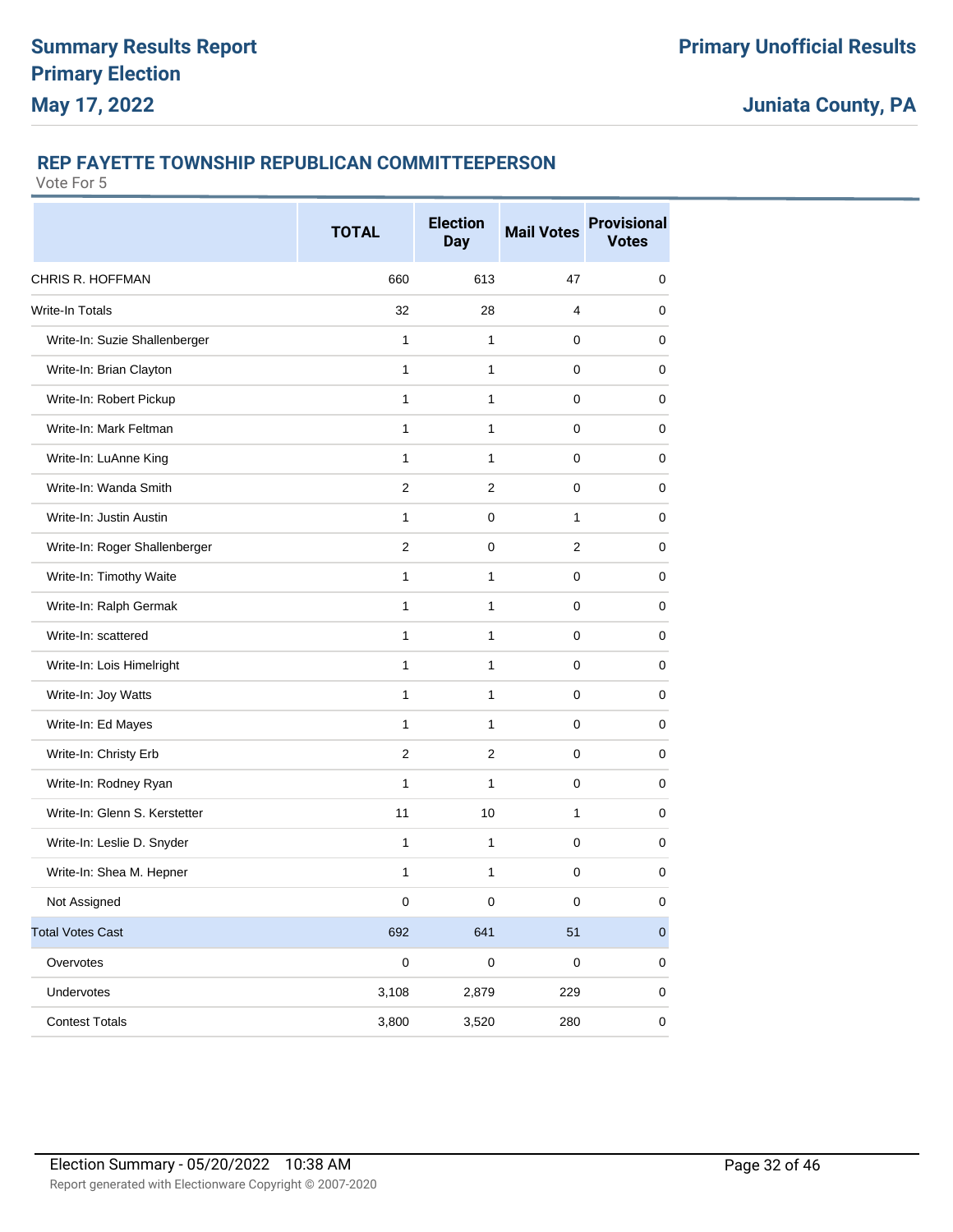### **REP FAYETTE TOWNSHIP REPUBLICAN COMMITTEEPERSON**

|                               | <b>TOTAL</b> | <b>Election</b><br><b>Day</b> | <b>Mail Votes</b> | <b>Provisional</b><br><b>Votes</b> |
|-------------------------------|--------------|-------------------------------|-------------------|------------------------------------|
| <b>CHRIS R. HOFFMAN</b>       | 660          | 613                           | 47                | 0                                  |
| <b>Write-In Totals</b>        | 32           | 28                            | 4                 | 0                                  |
| Write-In: Suzie Shallenberger | $\mathbf{1}$ | $\mathbf{1}$                  | 0                 | $\mathbf 0$                        |
| Write-In: Brian Clayton       | 1            | 1                             | 0                 | 0                                  |
| Write-In: Robert Pickup       | 1            | 1                             | 0                 | 0                                  |
| Write-In: Mark Feltman        | 1            | $\mathbf{1}$                  | $\pmb{0}$         | $\mathbf 0$                        |
| Write-In: LuAnne King         | 1            | 1                             | 0                 | 0                                  |
| Write-In: Wanda Smith         | 2            | 2                             | 0                 | 0                                  |
| Write-In: Justin Austin       | $\mathbf{1}$ | 0                             | $\mathbf{1}$      | $\mathbf 0$                        |
| Write-In: Roger Shallenberger | 2            | 0                             | 2                 | 0                                  |
| Write-In: Timothy Waite       | $\mathbf{1}$ | 1                             | 0                 | 0                                  |
| Write-In: Ralph Germak        | 1            | 1                             | 0                 | $\mathbf 0$                        |
| Write-In: scattered           | 1            | 1                             | 0                 | 0                                  |
| Write-In: Lois Himelright     | $\mathbf{1}$ | 1                             | 0                 | 0                                  |
| Write-In: Joy Watts           | 1            | 1                             | $\pmb{0}$         | $\mathbf 0$                        |
| Write-In: Ed Mayes            | $\mathbf{1}$ | $\mathbf{1}$                  | 0                 | 0                                  |
| Write-In: Christy Erb         | 2            | 2                             | 0                 | 0                                  |
| Write-In: Rodney Ryan         | 1            | $\mathbf{1}$                  | $\pmb{0}$         | 0                                  |
| Write-In: Glenn S. Kerstetter | 11           | 10                            | 1                 | 0                                  |
| Write-In: Leslie D. Snyder    | $\mathbf{1}$ | 1                             | 0                 | 0                                  |
| Write-In: Shea M. Hepner      | $\mathbf{1}$ | 1                             | $\mathbf 0$       | $\mathbf 0$                        |
| Not Assigned                  | $\mathbf 0$  | O                             | $\mathbf 0$       | $\mathbf 0$                        |
| <b>Total Votes Cast</b>       | 692          | 641                           | 51                | $\pmb{0}$                          |
| Overvotes                     | $\pmb{0}$    | $\pmb{0}$                     | $\pmb{0}$         | 0                                  |
| Undervotes                    | 3,108        | 2,879                         | 229               | 0                                  |
| <b>Contest Totals</b>         | 3,800        | 3,520                         | 280               | 0                                  |
|                               |              |                               |                   |                                    |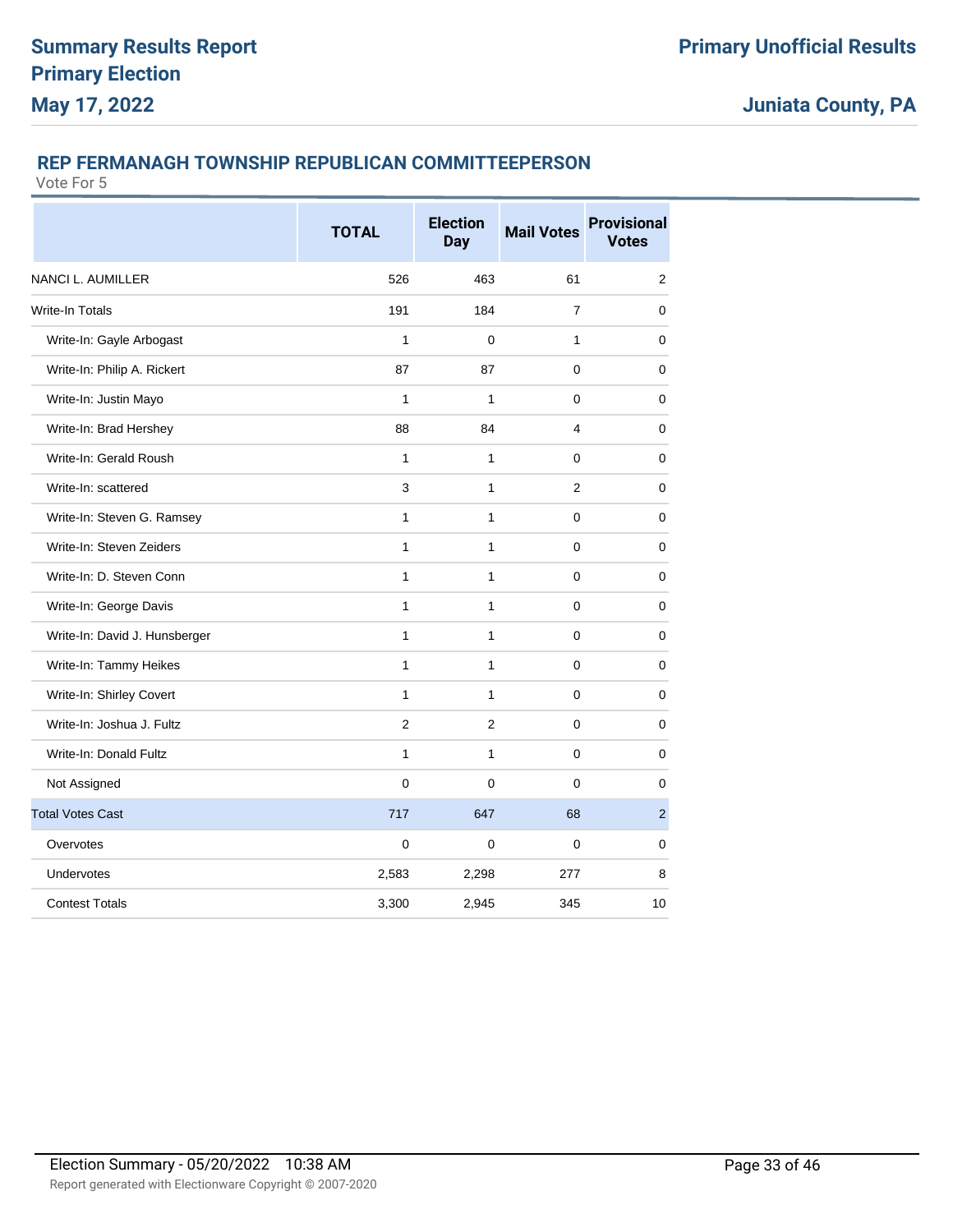### **REP FERMANAGH TOWNSHIP REPUBLICAN COMMITTEEPERSON**

|                               | <b>TOTAL</b>   | <b>Election</b><br><b>Day</b> | <b>Mail Votes</b> | <b>Provisional</b><br><b>Votes</b> |
|-------------------------------|----------------|-------------------------------|-------------------|------------------------------------|
| NANCI L. AUMILLER             | 526            | 463                           | 61                | 2                                  |
| <b>Write-In Totals</b>        | 191            | 184                           | $\overline{7}$    | $\mathbf 0$                        |
| Write-In: Gayle Arbogast      | $\mathbf{1}$   | 0                             | $\mathbf{1}$      | $\mathbf 0$                        |
| Write-In: Philip A. Rickert   | 87             | 87                            | 0                 | 0                                  |
| Write-In: Justin Mayo         | 1              | 1                             | $\Omega$          | 0                                  |
| Write-In: Brad Hershey        | 88             | 84                            | 4                 | $\mathbf 0$                        |
| Write-In: Gerald Roush        | 1              | 1                             | 0                 | $\mathbf 0$                        |
| Write-In: scattered           | 3              | $\mathbf{1}$                  | $\overline{2}$    | 0                                  |
| Write-In: Steven G. Ramsey    | 1              | $\mathbf{1}$                  | 0                 | $\mathbf 0$                        |
| Write-In: Steven Zeiders      | $\mathbf{1}$   | $\mathbf{1}$                  | $\pmb{0}$         | 0                                  |
| Write-In: D. Steven Conn      | 1              | $\mathbf{1}$                  | 0                 | $\mathbf 0$                        |
| Write-In: George Davis        | $\mathbf{1}$   | $\mathbf{1}$                  | 0                 | 0                                  |
| Write-In: David J. Hunsberger | 1              | $\mathbf{1}$                  | $\pmb{0}$         | $\mathbf 0$                        |
| Write-In: Tammy Heikes        | $\mathbf{1}$   | $\mathbf{1}$                  | 0                 | $\mathbf 0$                        |
| Write-In: Shirley Covert      | $\mathbf{1}$   | $\mathbf{1}$                  | 0                 | 0                                  |
| Write-In: Joshua J. Fultz     | $\overline{2}$ | 2                             | 0                 | $\mathbf 0$                        |
| Write-In: Donald Fultz        | $\mathbf{1}$   | $\mathbf{1}$                  | 0                 | 0                                  |
| Not Assigned                  | $\mathbf 0$    | 0                             | 0                 | $\mathbf 0$                        |
| <b>Total Votes Cast</b>       | 717            | 647                           | 68                | $\overline{c}$                     |
| Overvotes                     | $\mathbf 0$    | $\Omega$                      | $\Omega$          | 0                                  |
| Undervotes                    | 2,583          | 2,298                         | 277               | 8                                  |
| <b>Contest Totals</b>         | 3,300          | 2,945                         | 345               | 10                                 |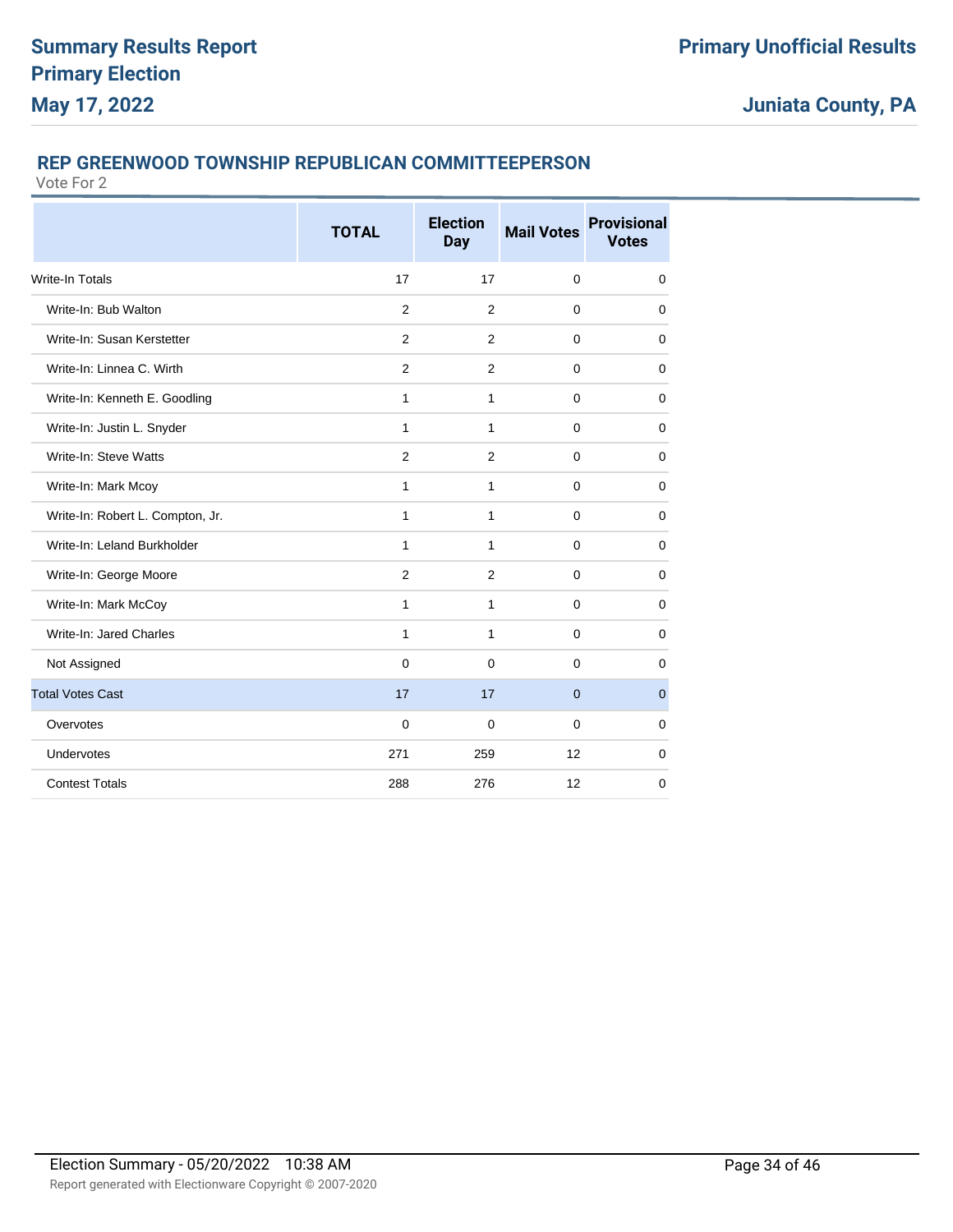### **REP GREENWOOD TOWNSHIP REPUBLICAN COMMITTEEPERSON**

|                                  | <b>TOTAL</b>   | <b>Election</b><br><b>Day</b> | <b>Mail Votes</b> | <b>Provisional</b><br><b>Votes</b> |
|----------------------------------|----------------|-------------------------------|-------------------|------------------------------------|
| <b>Write-In Totals</b>           | 17             | 17                            | $\mathbf 0$       | 0                                  |
| Write-In: Bub Walton             | 2              | 2                             | $\Omega$          | $\mathbf 0$                        |
| Write-In: Susan Kerstetter       | 2              | $\overline{2}$                | $\Omega$          | $\mathbf 0$                        |
| Write-In: Linnea C. Wirth        | 2              | 2                             | $\Omega$          | $\mathbf 0$                        |
| Write-In: Kenneth E. Goodling    | 1              | 1                             | $\mathbf 0$       | $\mathbf 0$                        |
| Write-In: Justin L. Snyder       | 1              | 1                             | $\Omega$          | $\mathbf 0$                        |
| Write-In: Steve Watts            | $\overline{2}$ | 2                             | $\mathbf 0$       | $\mathbf 0$                        |
| Write-In: Mark Mcoy              | $\mathbf{1}$   | $\mathbf{1}$                  | $\mathbf 0$       | 0                                  |
| Write-In: Robert L. Compton, Jr. | 1              | 1                             | $\Omega$          | $\mathbf 0$                        |
| Write-In: Leland Burkholder      | 1              | 1                             | $\Omega$          | $\Omega$                           |
| Write-In: George Moore           | 2              | 2                             | $\mathbf 0$       | $\mathbf 0$                        |
| Write-In: Mark McCoy             | 1              | $\mathbf{1}$                  | $\Omega$          | $\mathbf 0$                        |
| Write-In: Jared Charles          | $\mathbf{1}$   | $\mathbf{1}$                  | $\mathbf 0$       | $\mathbf 0$                        |
| Not Assigned                     | 0              | $\mathbf 0$                   | $\Omega$          | $\mathbf 0$                        |
| <b>Total Votes Cast</b>          | 17             | 17                            | $\overline{0}$    | $\mathbf 0$                        |
| Overvotes                        | $\mathbf 0$    | $\Omega$                      | $\Omega$          | $\mathbf 0$                        |
| Undervotes                       | 271            | 259                           | 12                | $\mathbf 0$                        |
| <b>Contest Totals</b>            | 288            | 276                           | 12                | 0                                  |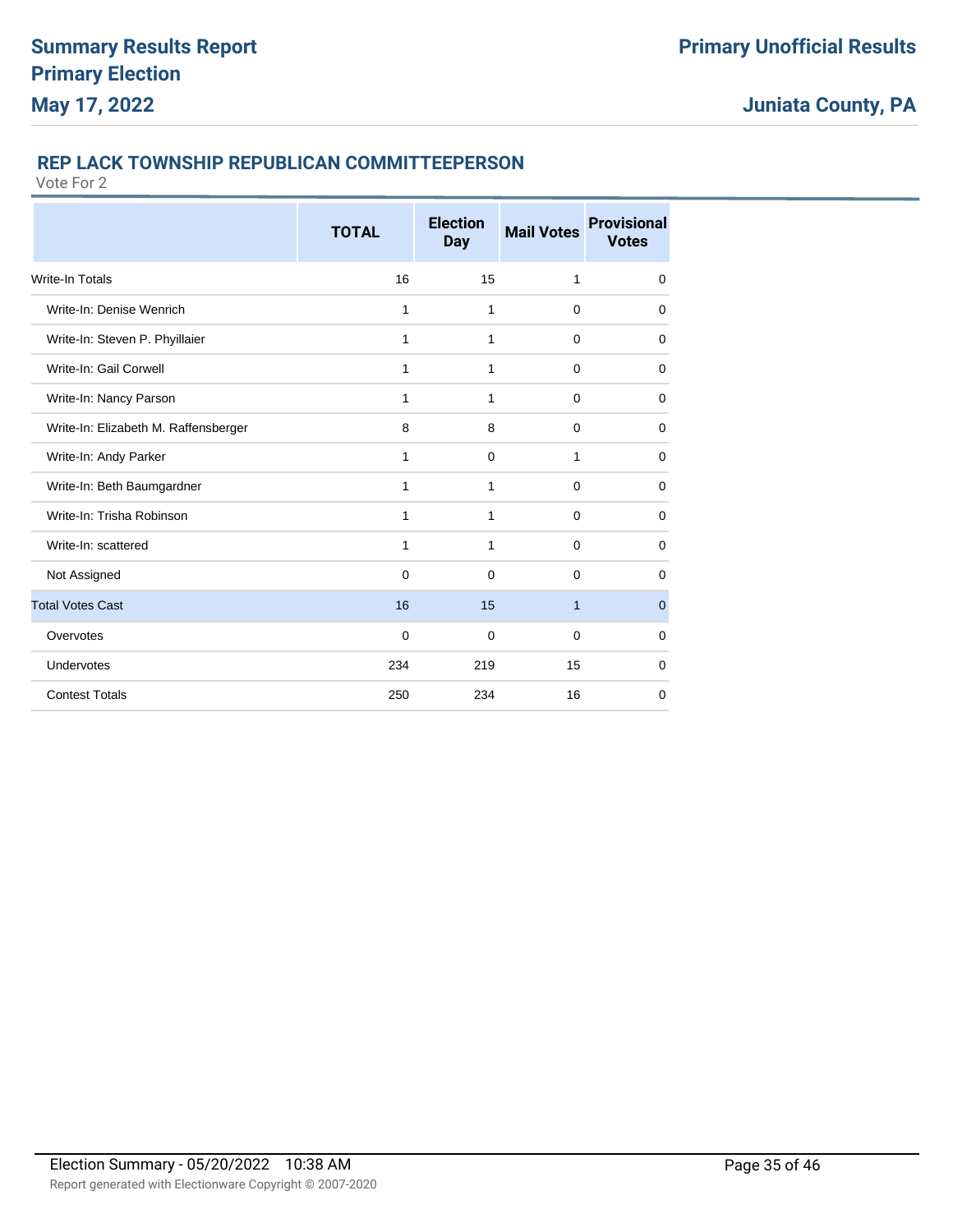### **REP LACK TOWNSHIP REPUBLICAN COMMITTEEPERSON**

|                                      | <b>TOTAL</b> | <b>Election</b><br><b>Day</b> | <b>Mail Votes</b> | <b>Provisional</b><br><b>Votes</b> |
|--------------------------------------|--------------|-------------------------------|-------------------|------------------------------------|
| <b>Write-In Totals</b>               | 16           | 15                            | 1                 | $\mathbf 0$                        |
| Write-In: Denise Wenrich             | 1            | 1                             | $\mathbf 0$       | 0                                  |
| Write-In: Steven P. Phyillaier       | 1            | 1                             | $\mathbf 0$       | 0                                  |
| Write-In: Gail Corwell               | 1            | 1                             | 0                 | 0                                  |
| Write-In: Nancy Parson               | 1            | 1                             | $\Omega$          | 0                                  |
| Write-In: Elizabeth M. Raffensberger | 8            | 8                             | $\mathbf 0$       | 0                                  |
| Write-In: Andy Parker                | 1            | $\mathbf 0$                   | 1                 | $\mathbf 0$                        |
| Write-In: Beth Baumgardner           | 1            | $\mathbf{1}$                  | $\mathbf 0$       | $\mathbf 0$                        |
| Write-In: Trisha Robinson            | 1            | 1                             | $\mathbf 0$       | $\mathbf 0$                        |
| Write-In: scattered                  | 1            | 1                             | 0                 | 0                                  |
| Not Assigned                         | $\mathbf 0$  | 0                             | 0                 | 0                                  |
| <b>Total Votes Cast</b>              | 16           | 15                            | $\mathbf{1}$      | $\mathbf 0$                        |
| Overvotes                            | $\mathbf 0$  | $\mathbf 0$                   | $\mathbf 0$       | 0                                  |
| Undervotes                           | 234          | 219                           | 15                | 0                                  |
| <b>Contest Totals</b>                | 250          | 234                           | 16                | 0                                  |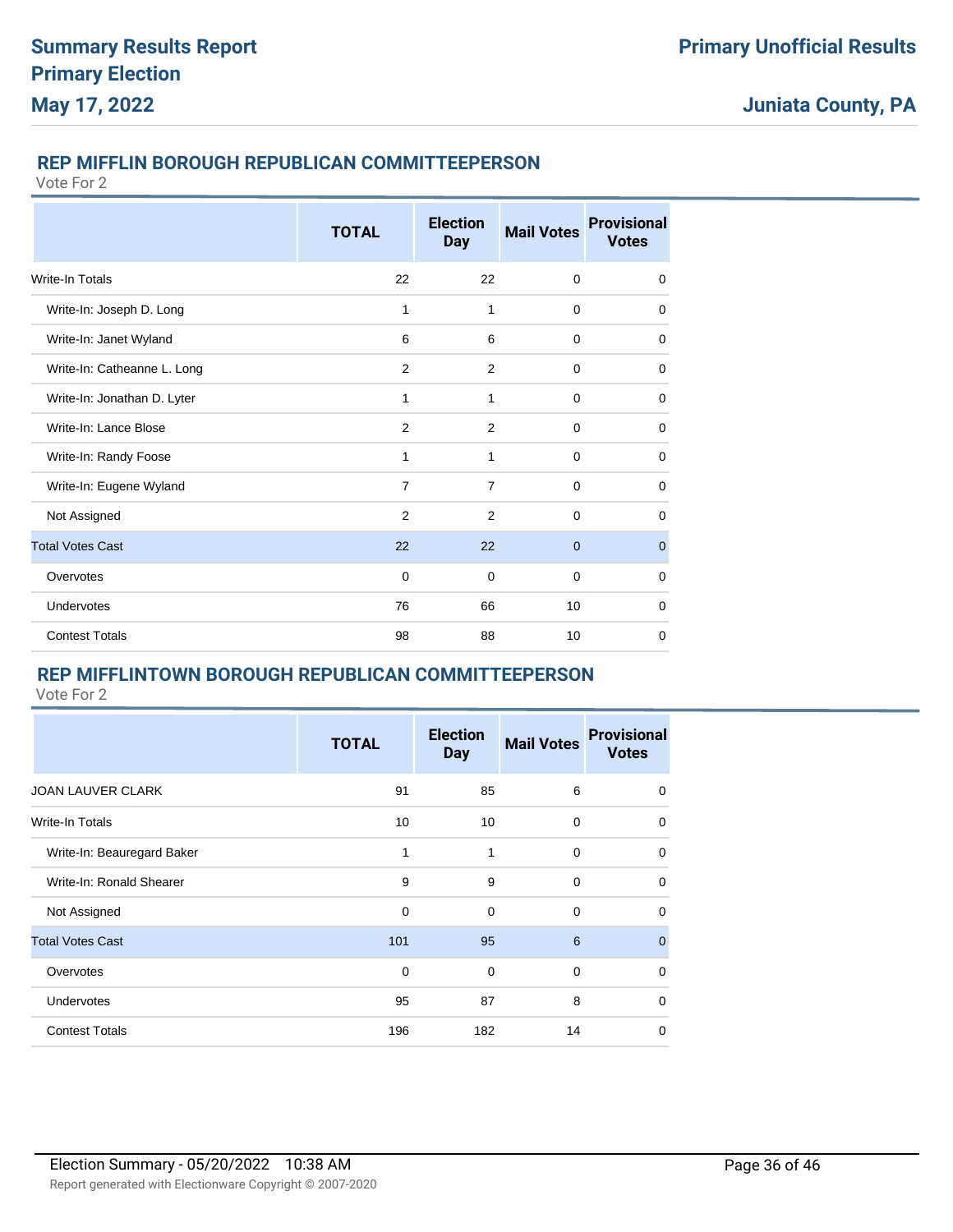### **REP MIFFLIN BOROUGH REPUBLICAN COMMITTEEPERSON**

Vote For 2

|                             | <b>TOTAL</b>   | <b>Election</b><br><b>Day</b> | <b>Mail Votes</b> | <b>Provisional</b><br><b>Votes</b> |
|-----------------------------|----------------|-------------------------------|-------------------|------------------------------------|
| <b>Write-In Totals</b>      | 22             | 22                            | $\mathbf 0$       | 0                                  |
| Write-In: Joseph D. Long    | 1              | 1                             | $\mathbf 0$       | 0                                  |
| Write-In: Janet Wyland      | 6              | 6                             | $\mathbf 0$       | 0                                  |
| Write-In: Catheanne L. Long | 2              | 2                             | $\mathbf 0$       | 0                                  |
| Write-In: Jonathan D. Lyter | 1              | 1                             | $\Omega$          | 0                                  |
| Write-In: Lance Blose       | 2              | $\overline{2}$                | $\mathbf 0$       | 0                                  |
| Write-In: Randy Foose       | 1              | 1                             | $\Omega$          | 0                                  |
| Write-In: Eugene Wyland     | $\overline{7}$ | $\overline{7}$                | $\mathbf 0$       | 0                                  |
| Not Assigned                | 2              | $\overline{2}$                | $\Omega$          | $\Omega$                           |
| <b>Total Votes Cast</b>     | 22             | 22                            | $\overline{0}$    | $\overline{0}$                     |
| Overvotes                   | $\Omega$       | $\Omega$                      | $\Omega$          | $\Omega$                           |
| Undervotes                  | 76             | 66                            | 10                | $\mathbf 0$                        |
| <b>Contest Totals</b>       | 98             | 88                            | 10                | $\mathbf 0$                        |

### **REP MIFFLINTOWN BOROUGH REPUBLICAN COMMITTEEPERSON**

|                            | <b>TOTAL</b> | <b>Election</b><br><b>Day</b> | <b>Mail Votes</b> | <b>Provisional</b><br><b>Votes</b> |
|----------------------------|--------------|-------------------------------|-------------------|------------------------------------|
| <b>JOAN LAUVER CLARK</b>   | 91           | 85                            | 6                 | 0                                  |
| Write-In Totals            | 10           | 10                            | 0                 | $\mathbf 0$                        |
| Write-In: Beauregard Baker | 1            | 1                             | $\mathbf 0$       | 0                                  |
| Write-In: Ronald Shearer   | 9            | 9                             | $\mathbf 0$       | $\mathbf 0$                        |
| Not Assigned               | 0            | 0                             | $\mathbf 0$       | $\mathbf 0$                        |
| <b>Total Votes Cast</b>    | 101          | 95                            | 6                 | $\Omega$                           |
| Overvotes                  | $\mathbf 0$  | $\mathbf 0$                   | $\mathbf 0$       | $\mathbf 0$                        |
| <b>Undervotes</b>          | 95           | 87                            | 8                 | $\mathbf 0$                        |
| <b>Contest Totals</b>      | 196          | 182                           | 14                | $\mathbf 0$                        |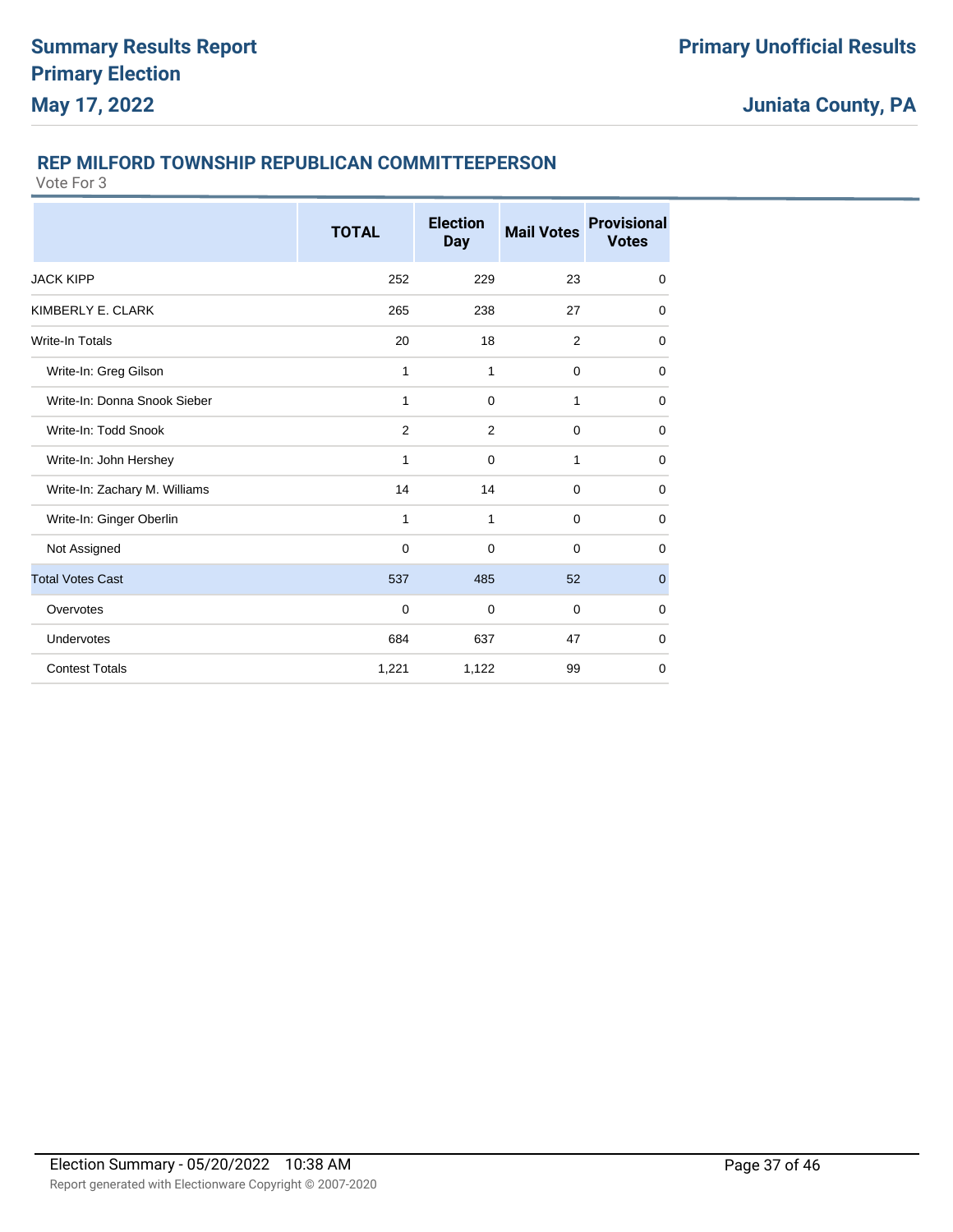### **REP MILFORD TOWNSHIP REPUBLICAN COMMITTEEPERSON**

|                               | <b>TOTAL</b> | <b>Election</b><br><b>Day</b> | <b>Mail Votes</b> | <b>Provisional</b><br><b>Votes</b> |
|-------------------------------|--------------|-------------------------------|-------------------|------------------------------------|
| <b>JACK KIPP</b>              | 252          | 229                           | 23                | $\mathbf 0$                        |
| KIMBERLY E. CLARK             | 265          | 238                           | 27                | $\mathbf 0$                        |
| Write-In Totals               | 20           | 18                            | 2                 | $\Omega$                           |
| Write-In: Greg Gilson         | 1            | 1                             | $\mathbf 0$       | 0                                  |
| Write-In: Donna Snook Sieber  | 1            | $\Omega$                      | 1                 | $\mathbf 0$                        |
| Write-In: Todd Snook          | 2            | $\overline{2}$                | $\mathbf 0$       | $\mathbf 0$                        |
| Write-In: John Hershey        | 1            | $\mathbf 0$                   | 1                 | $\mathbf 0$                        |
| Write-In: Zachary M. Williams | 14           | 14                            | $\Omega$          | $\mathbf 0$                        |
| Write-In: Ginger Oberlin      | 1            | 1                             | $\mathbf 0$       | $\mathbf 0$                        |
| Not Assigned                  | $\mathbf 0$  | $\mathbf 0$                   | $\mathbf 0$       | 0                                  |
| <b>Total Votes Cast</b>       | 537          | 485                           | 52                | $\mathbf 0$                        |
| Overvotes                     | 0            | 0                             | 0                 | $\mathbf 0$                        |
| Undervotes                    | 684          | 637                           | 47                | 0                                  |
| <b>Contest Totals</b>         | 1,221        | 1,122                         | 99                | $\mathbf 0$                        |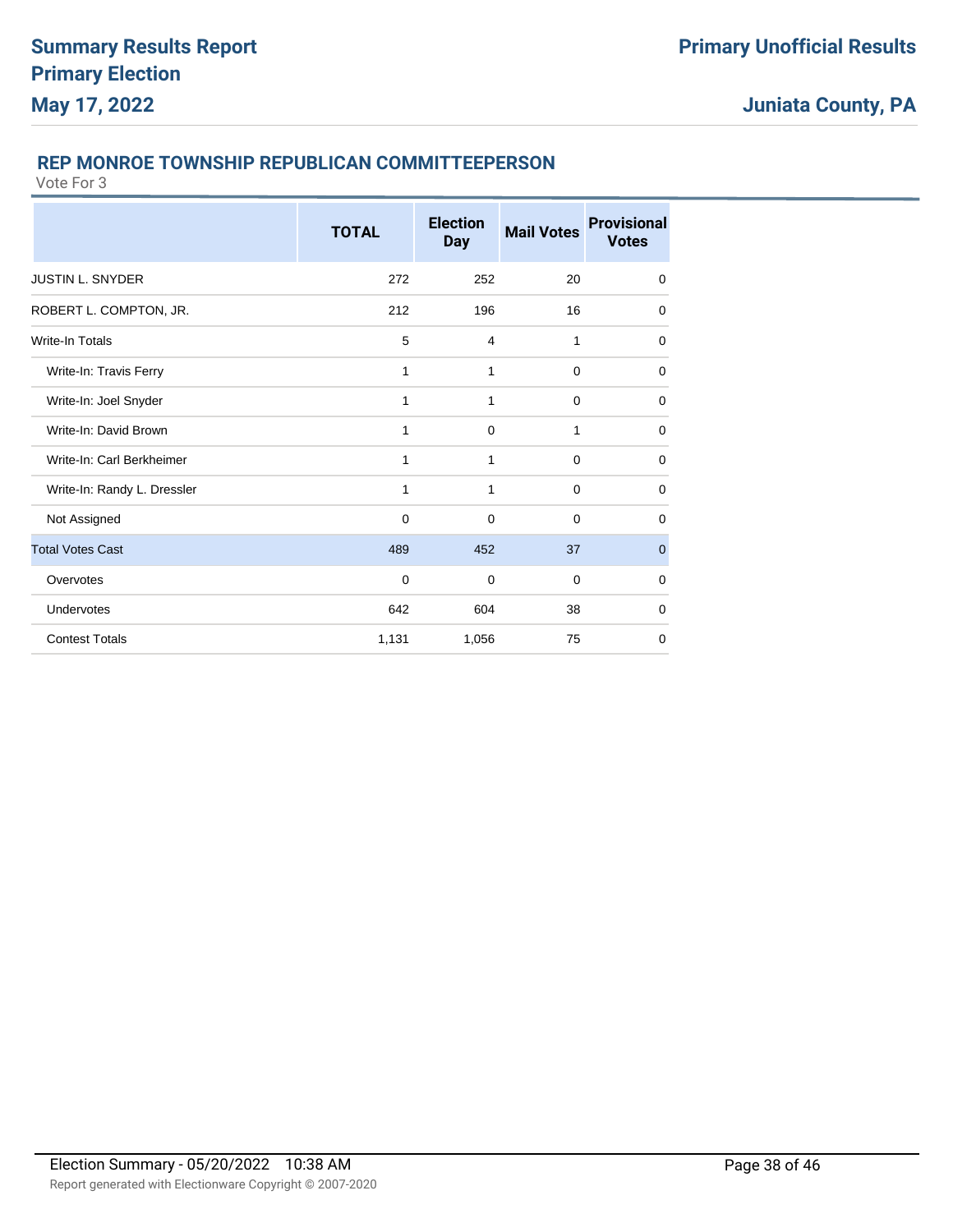### **REP MONROE TOWNSHIP REPUBLICAN COMMITTEEPERSON**

|                             | <b>TOTAL</b> | <b>Election</b><br><b>Day</b> | <b>Mail Votes</b> | <b>Provisional</b><br><b>Votes</b> |
|-----------------------------|--------------|-------------------------------|-------------------|------------------------------------|
| <b>JUSTIN L. SNYDER</b>     | 272          | 252                           | 20                | $\mathbf 0$                        |
| ROBERT L. COMPTON, JR.      | 212          | 196                           | 16                | $\Omega$                           |
| <b>Write-In Totals</b>      | 5            | 4                             | 1                 | 0                                  |
| Write-In: Travis Ferry      | 1            | 1                             | $\mathbf 0$       | 0                                  |
| Write-In: Joel Snyder       | 1            | 1                             | $\mathbf 0$       | 0                                  |
| Write-In: David Brown       | 1            | $\mathbf 0$                   | 1                 | 0                                  |
| Write-In: Carl Berkheimer   | 1            | 1                             | $\Omega$          | 0                                  |
| Write-In: Randy L. Dressler | 1            | $\mathbf{1}$                  | $\mathbf 0$       | $\mathbf 0$                        |
| Not Assigned                | $\mathbf 0$  | $\Omega$                      | $\Omega$          | $\mathbf 0$                        |
| <b>Total Votes Cast</b>     | 489          | 452                           | 37                | $\overline{0}$                     |
| Overvotes                   | $\mathbf 0$  | $\Omega$                      | $\Omega$          | $\mathbf 0$                        |
| Undervotes                  | 642          | 604                           | 38                | $\mathbf 0$                        |
| <b>Contest Totals</b>       | 1,131        | 1,056                         | 75                | $\mathbf 0$                        |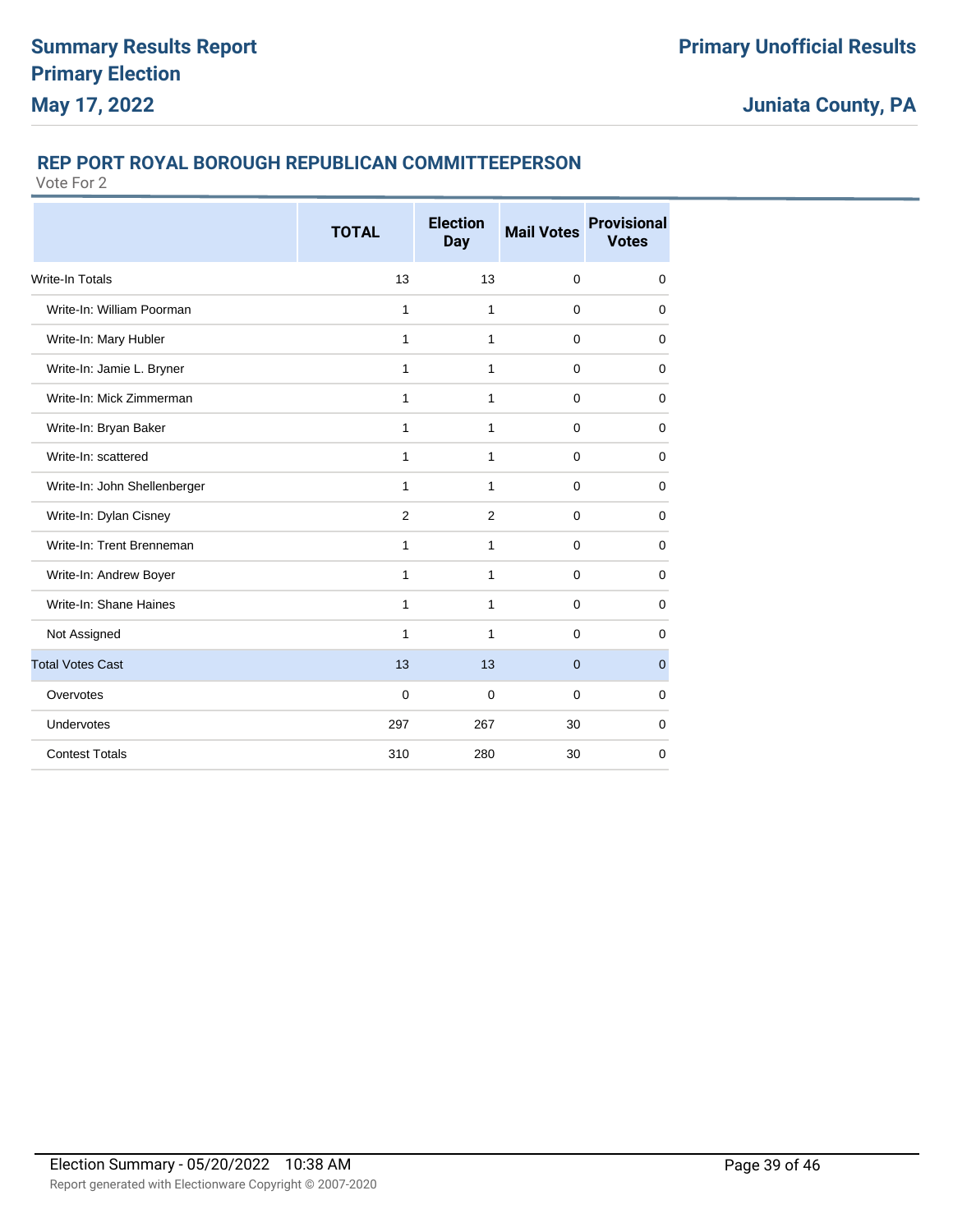### **REP PORT ROYAL BOROUGH REPUBLICAN COMMITTEEPERSON**

|                              | <b>TOTAL</b> | <b>Election</b><br><b>Day</b> | <b>Mail Votes</b> | <b>Provisional</b><br><b>Votes</b> |
|------------------------------|--------------|-------------------------------|-------------------|------------------------------------|
| <b>Write-In Totals</b>       | 13           | 13                            | $\mathbf 0$       | $\mathbf 0$                        |
| Write-In: William Poorman    | 1            | $\mathbf{1}$                  | $\mathbf 0$       | $\mathbf 0$                        |
| Write-In: Mary Hubler        | 1            | $\mathbf{1}$                  | $\Omega$          | $\mathbf 0$                        |
| Write-In: Jamie L. Bryner    | $\mathbf{1}$ | $\mathbf{1}$                  | $\Omega$          | $\mathbf 0$                        |
| Write-In: Mick Zimmerman     | $\mathbf{1}$ | $\mathbf{1}$                  | $\mathbf 0$       | $\mathbf 0$                        |
| Write-In: Bryan Baker        | $\mathbf{1}$ | $\mathbf{1}$                  | $\mathbf 0$       | $\mathbf 0$                        |
| Write-In: scattered          | 1            | $\mathbf{1}$                  | $\mathbf 0$       | $\mathbf 0$                        |
| Write-In: John Shellenberger | 1            | $\mathbf{1}$                  | $\mathbf 0$       | $\mathbf 0$                        |
| Write-In: Dylan Cisney       | 2            | $\overline{2}$                | $\mathbf 0$       | $\mathbf 0$                        |
| Write-In: Trent Brenneman    | 1            | 1                             | $\mathbf 0$       | $\mathbf 0$                        |
| Write-In: Andrew Boyer       | $\mathbf{1}$ | 1                             | $\mathbf 0$       | $\mathbf 0$                        |
| Write-In: Shane Haines       | $\mathbf{1}$ | 1                             | $\mathbf 0$       | $\mathbf 0$                        |
| Not Assigned                 | 1            | 1                             | $\Omega$          | $\mathbf 0$                        |
| <b>Total Votes Cast</b>      | 13           | 13                            | $\overline{0}$    | $\mathbf 0$                        |
| Overvotes                    | $\mathbf 0$  | $\mathbf 0$                   | $\Omega$          | $\mathbf 0$                        |
| Undervotes                   | 297          | 267                           | 30                | $\mathbf 0$                        |
| <b>Contest Totals</b>        | 310          | 280                           | 30                | $\mathbf 0$                        |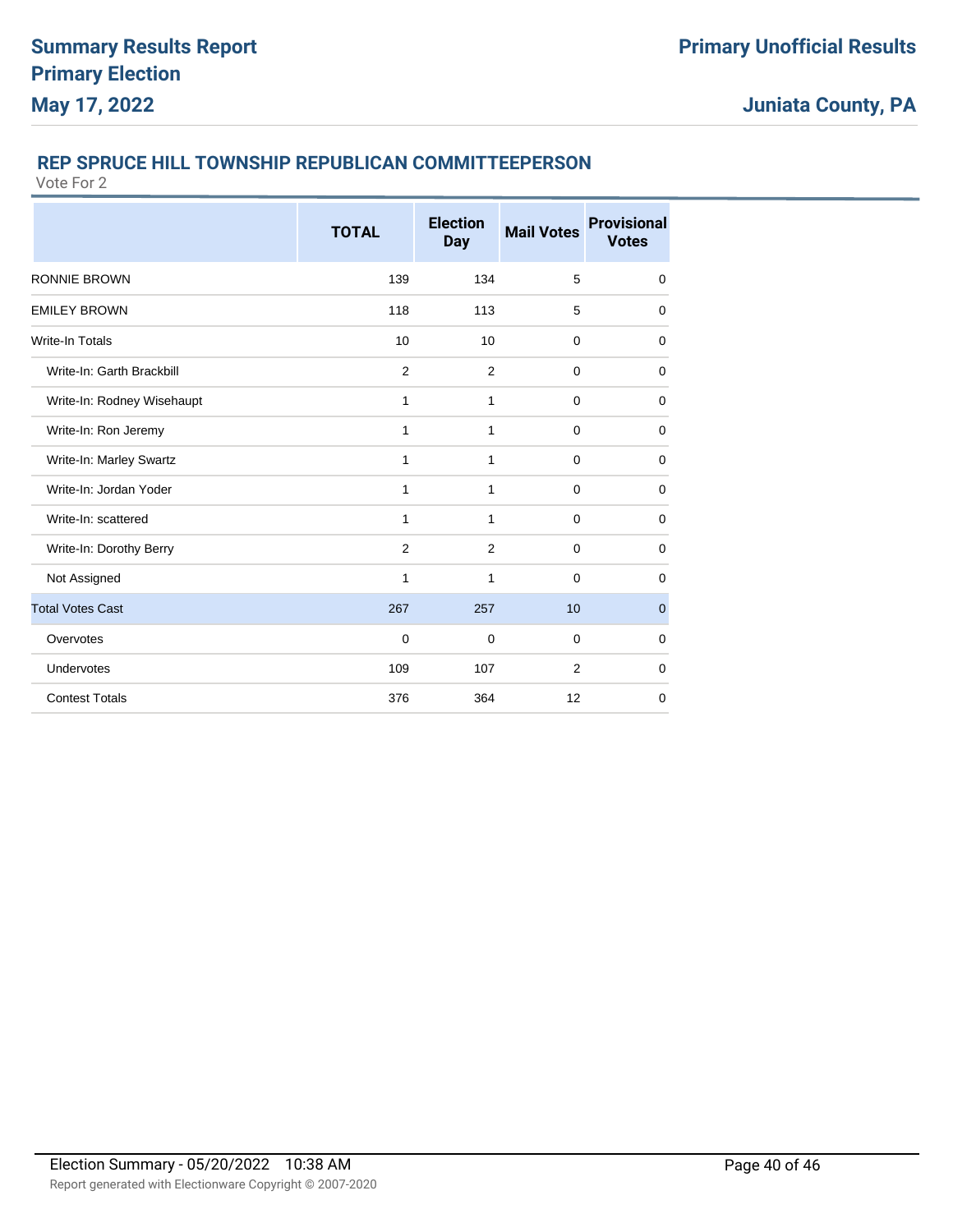### **REP SPRUCE HILL TOWNSHIP REPUBLICAN COMMITTEEPERSON**

|                            | <b>TOTAL</b> | <b>Election</b><br><b>Day</b> | <b>Mail Votes</b> | <b>Provisional</b><br><b>Votes</b> |
|----------------------------|--------------|-------------------------------|-------------------|------------------------------------|
| <b>RONNIE BROWN</b>        | 139          | 134                           | 5                 | 0                                  |
| <b>EMILEY BROWN</b>        | 118          | 113                           | 5                 | 0                                  |
| Write-In Totals            | 10           | 10                            | $\mathbf 0$       | $\mathbf 0$                        |
| Write-In: Garth Brackbill  | 2            | 2                             | $\Omega$          | $\mathbf 0$                        |
| Write-In: Rodney Wisehaupt | 1            | 1                             | $\mathbf 0$       | $\mathbf 0$                        |
| Write-In: Ron Jeremy       | 1            | 1                             | $\mathbf 0$       | $\mathbf 0$                        |
| Write-In: Marley Swartz    | 1            | 1                             | $\mathbf 0$       | $\mathbf 0$                        |
| Write-In: Jordan Yoder     | 1            | 1                             | $\mathbf 0$       | $\mathbf 0$                        |
| Write-In: scattered        | 1            | 1                             | 0                 | $\mathbf 0$                        |
| Write-In: Dorothy Berry    | 2            | 2                             | $\Omega$          | $\mathbf 0$                        |
| Not Assigned               | 1            | 1                             | $\mathbf 0$       | $\mathbf 0$                        |
| <b>Total Votes Cast</b>    | 267          | 257                           | 10                | $\mathbf 0$                        |
| Overvotes                  | $\mathbf 0$  | $\mathbf 0$                   | $\mathbf 0$       | $\mathbf 0$                        |
| Undervotes                 | 109          | 107                           | 2                 | $\mathbf 0$                        |
| <b>Contest Totals</b>      | 376          | 364                           | 12                | $\mathbf 0$                        |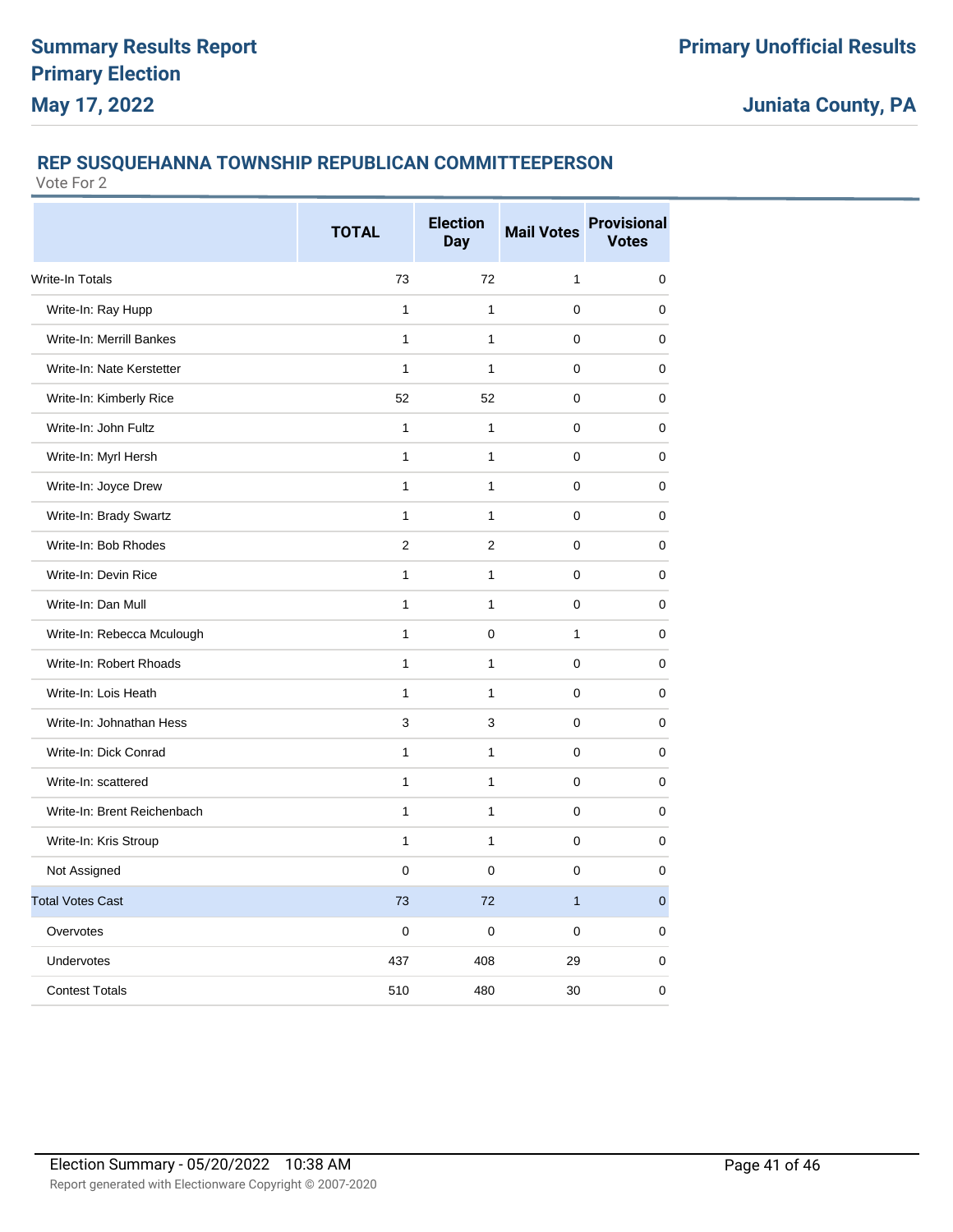### **REP SUSQUEHANNA TOWNSHIP REPUBLICAN COMMITTEEPERSON**

|                             | <b>TOTAL</b> | <b>Election</b><br><b>Day</b> | <b>Mail Votes</b> | <b>Provisional</b><br><b>Votes</b> |
|-----------------------------|--------------|-------------------------------|-------------------|------------------------------------|
| <b>Write-In Totals</b>      | 73           | 72                            | 1                 | $\mathbf 0$                        |
| Write-In: Ray Hupp          | 1            | 1                             | 0                 | $\mathbf 0$                        |
| Write-In: Merrill Bankes    | $\mathbf{1}$ | 1                             | 0                 | $\mathbf 0$                        |
| Write-In: Nate Kerstetter   | $\mathbf{1}$ | $\mathbf{1}$                  | 0                 | $\mathbf 0$                        |
| Write-In: Kimberly Rice     | 52           | 52                            | 0                 | $\mathbf 0$                        |
| Write-In: John Fultz        | $\mathbf{1}$ | 1                             | 0                 | $\mathbf 0$                        |
| Write-In: Myrl Hersh        | $\mathbf{1}$ | $\mathbf{1}$                  | 0                 | $\mathbf 0$                        |
| Write-In: Joyce Drew        | $\mathbf{1}$ | $\mathbf{1}$                  | 0                 | $\mathbf 0$                        |
| Write-In: Brady Swartz      | $\mathbf{1}$ | $\mathbf{1}$                  | 0                 | $\mathbf 0$                        |
| Write-In: Bob Rhodes        | 2            | $\overline{2}$                | $\Omega$          | 0                                  |
| Write-In: Devin Rice        | $\mathbf{1}$ | $\mathbf{1}$                  | 0                 | $\mathbf 0$                        |
| Write-In: Dan Mull          | $\mathbf{1}$ | $\mathbf{1}$                  | 0                 | $\mathbf 0$                        |
| Write-In: Rebecca Mculough  | $\mathbf{1}$ | 0                             | $\mathbf{1}$      | $\mathbf 0$                        |
| Write-In: Robert Rhoads     | 1            | $\mathbf{1}$                  | 0                 | $\mathbf 0$                        |
| Write-In: Lois Heath        | $\mathbf{1}$ | $\mathbf{1}$                  | 0                 | $\mathbf 0$                        |
| Write-In: Johnathan Hess    | 3            | 3                             | 0                 | $\mathbf 0$                        |
| Write-In: Dick Conrad       | 1            | $\mathbf{1}$                  | 0                 | $\mathbf 0$                        |
| Write-In: scattered         | $\mathbf{1}$ | $\mathbf{1}$                  | 0                 | $\mathbf 0$                        |
| Write-In: Brent Reichenbach | 1            | $\mathbf{1}$                  | 0                 | $\mathbf 0$                        |
| Write-In: Kris Stroup       | $\mathbf{1}$ | $\mathbf{1}$                  | 0                 | $\mathbf 0$                        |
| Not Assigned                | $\mathbf 0$  | 0                             | 0                 | $\mathbf 0$                        |
| <b>Total Votes Cast</b>     | 73           | 72                            | $\mathbf{1}$      | $\mathbf{0}$                       |
| Overvotes                   | $\Omega$     | $\Omega$                      | 0                 | $\mathbf 0$                        |
| Undervotes                  | 437          | 408                           | 29                | $\mathbf 0$                        |
| <b>Contest Totals</b>       | 510          | 480                           | 30                | 0                                  |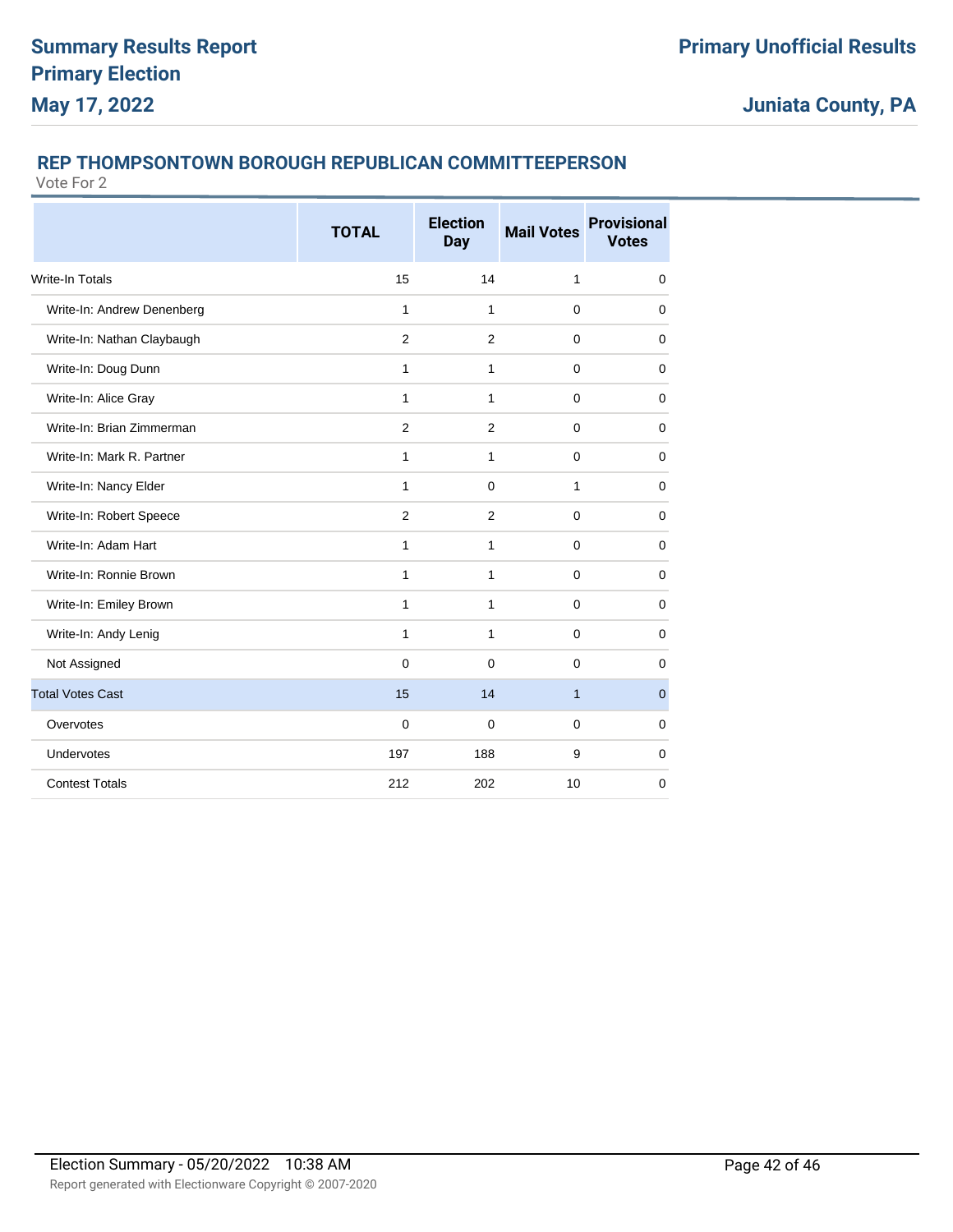### **REP THOMPSONTOWN BOROUGH REPUBLICAN COMMITTEEPERSON**

|                            | <b>TOTAL</b>   | <b>Election</b><br><b>Day</b> | <b>Mail Votes</b> | <b>Provisional</b><br><b>Votes</b> |
|----------------------------|----------------|-------------------------------|-------------------|------------------------------------|
| <b>Write-In Totals</b>     | 15             | 14                            | $\mathbf{1}$      | $\mathbf 0$                        |
| Write-In: Andrew Denenberg | $\mathbf{1}$   | 1                             | $\mathbf 0$       | $\mathbf 0$                        |
| Write-In: Nathan Claybaugh | $\overline{2}$ | $\overline{2}$                | $\mathbf 0$       | $\mathbf 0$                        |
| Write-In: Doug Dunn        | 1              | 1                             | $\Omega$          | $\Omega$                           |
| Write-In: Alice Gray       | 1              | 1                             | $\Omega$          | $\mathbf 0$                        |
| Write-In: Brian Zimmerman  | 2              | $\overline{2}$                | $\Omega$          | $\mathbf 0$                        |
| Write-In: Mark R. Partner  | $\mathbf{1}$   | $\mathbf{1}$                  | $\mathbf 0$       | $\mathbf 0$                        |
| Write-In: Nancy Elder      | $\mathbf{1}$   | $\mathbf 0$                   | $\mathbf{1}$      | $\mathbf 0$                        |
| Write-In: Robert Speece    | $\overline{2}$ | 2                             | $\mathbf 0$       | $\mathbf 0$                        |
| Write-In: Adam Hart        | 1              | 1                             | $\Omega$          | $\mathbf 0$                        |
| Write-In: Ronnie Brown     | 1              | 1                             | $\Omega$          | $\mathbf 0$                        |
| Write-In: Emiley Brown     | 1              | 1                             | $\Omega$          | $\mathbf 0$                        |
| Write-In: Andy Lenig       | $\mathbf{1}$   | 1                             | $\mathbf 0$       | $\mathbf 0$                        |
| Not Assigned               | $\overline{0}$ | $\Omega$                      | $\Omega$          | $\mathbf 0$                        |
| <b>Total Votes Cast</b>    | 15             | 14                            | $\mathbf{1}$      | $\mathbf 0$                        |
| Overvotes                  | $\mathbf 0$    | $\Omega$                      | $\Omega$          | $\mathbf 0$                        |
| Undervotes                 | 197            | 188                           | 9                 | $\mathbf 0$                        |
| <b>Contest Totals</b>      | 212            | 202                           | 10                | $\mathbf 0$                        |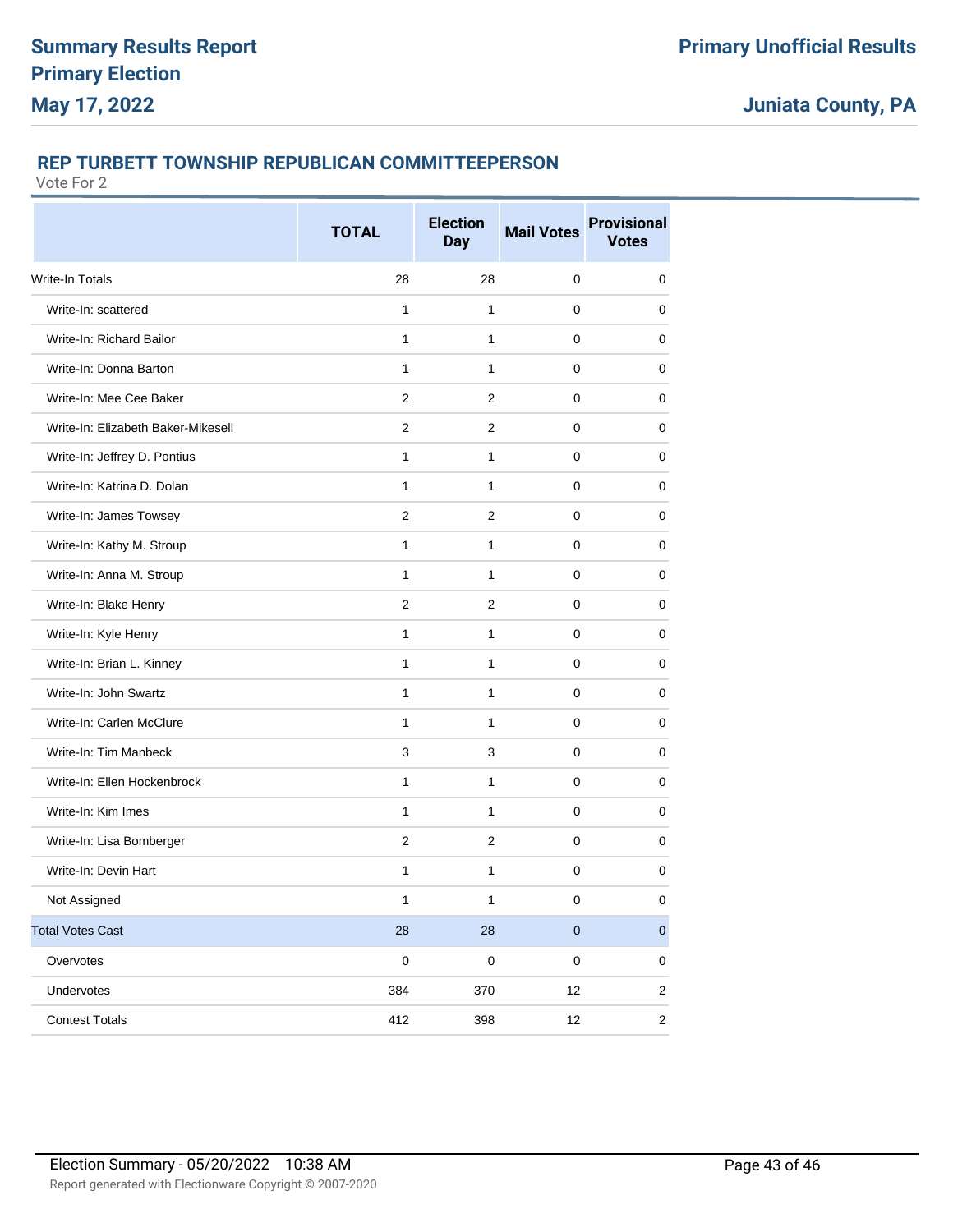### **REP TURBETT TOWNSHIP REPUBLICAN COMMITTEEPERSON**

|                                    | <b>TOTAL</b>   | <b>Election</b><br><b>Day</b> | <b>Mail Votes</b> | <b>Provisional</b><br><b>Votes</b> |
|------------------------------------|----------------|-------------------------------|-------------------|------------------------------------|
| Write-In Totals                    | 28             | 28                            | 0                 | 0                                  |
| Write-In: scattered                | 1              | 1                             | 0                 | 0                                  |
| Write-In: Richard Bailor           | $\mathbf{1}$   | $\mathbf{1}$                  | 0                 | 0                                  |
| Write-In: Donna Barton             | $\mathbf{1}$   | $\mathbf{1}$                  | 0                 | 0                                  |
| Write-In: Mee Cee Baker            | $\overline{2}$ | 2                             | 0                 | 0                                  |
| Write-In: Elizabeth Baker-Mikesell | 2              | 2                             | 0                 | 0                                  |
| Write-In: Jeffrey D. Pontius       | 1              | $\mathbf{1}$                  | 0                 | 0                                  |
| Write-In: Katrina D. Dolan         | 1              | 1                             | 0                 | 0                                  |
| Write-In: James Towsey             | $\overline{2}$ | 2                             | 0                 | 0                                  |
| Write-In: Kathy M. Stroup          | 1              | $\mathbf{1}$                  | 0                 | 0                                  |
| Write-In: Anna M. Stroup           | $\mathbf{1}$   | $\mathbf{1}$                  | $\pmb{0}$         | $\mathbf 0$                        |
| Write-In: Blake Henry              | 2              | 2                             | 0                 | 0                                  |
| Write-In: Kyle Henry               | 1              | $\mathbf{1}$                  | 0                 | 0                                  |
| Write-In: Brian L. Kinney          | 1              | 1                             | 0                 | 0                                  |
| Write-In: John Swartz              | $\mathbf{1}$   | $\mathbf{1}$                  | 0                 | 0                                  |
| Write-In: Carlen McClure           | $\mathbf{1}$   | $\mathbf{1}$                  | 0                 | 0                                  |
| Write-In: Tim Manbeck              | 3              | 3                             | 0                 | 0                                  |
| Write-In: Ellen Hockenbrock        | $\mathbf{1}$   | $\mathbf{1}$                  | 0                 | 0                                  |
| Write-In: Kim Imes                 | 1              | $\mathbf{1}$                  | 0                 | 0                                  |
| Write-In: Lisa Bomberger           | $\overline{2}$ | $\overline{2}$                | 0                 | 0                                  |
| Write-In: Devin Hart               | $\mathbf{1}$   | $\mathbf{1}$                  | 0                 | 0                                  |
| Not Assigned                       | 1              | $\mathbf{1}$                  | 0                 | 0                                  |
| <b>Total Votes Cast</b>            | 28             | 28                            | $\pmb{0}$         | $\mathbf 0$                        |
| Overvotes                          | $\pmb{0}$      | $\pmb{0}$                     | 0                 | 0                                  |
| Undervotes                         | 384            | 370                           | 12                | $\overline{c}$                     |
| <b>Contest Totals</b>              | 412            | 398                           | 12                | $\overline{\mathbf{c}}$            |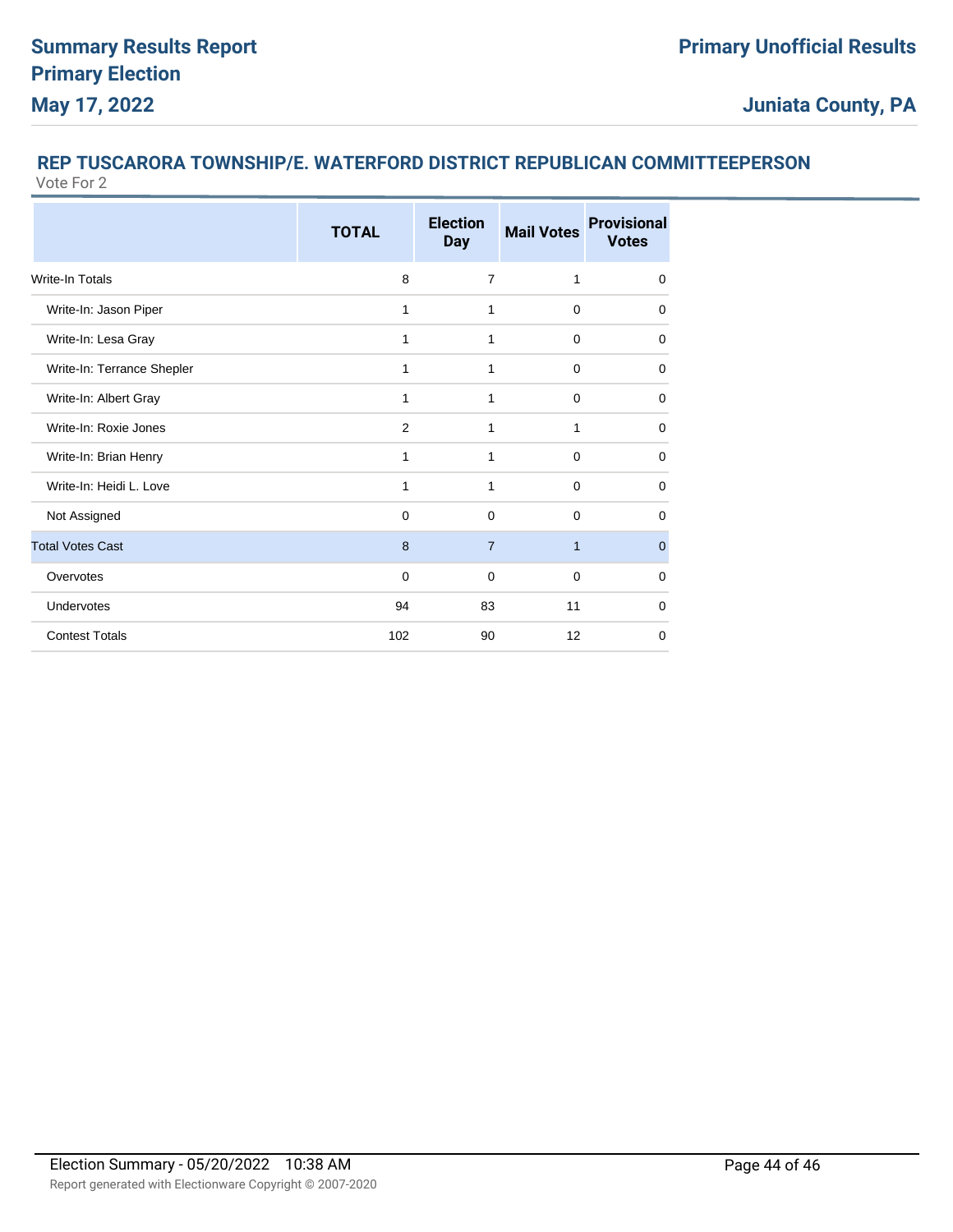#### **REP TUSCARORA TOWNSHIP/E. WATERFORD DISTRICT REPUBLICAN COMMITTEEPERSON** Vote For 2

|                            | <b>TOTAL</b>   | <b>Election</b><br><b>Day</b> | <b>Mail Votes</b> | <b>Provisional</b><br><b>Votes</b> |
|----------------------------|----------------|-------------------------------|-------------------|------------------------------------|
| <b>Write-In Totals</b>     | 8              | $\overline{7}$                | 1                 | $\mathbf 0$                        |
| Write-In: Jason Piper      | 1              | 1                             | $\mathbf 0$       | 0                                  |
| Write-In: Lesa Gray        | 1              | 1                             | $\Omega$          | $\mathbf 0$                        |
| Write-In: Terrance Shepler | 1              | 1                             | $\mathbf 0$       | 0                                  |
| Write-In: Albert Gray      | 1              | 1                             | $\Omega$          | 0                                  |
| Write-In: Roxie Jones      | $\overline{2}$ | 1                             | 1                 | $\Omega$                           |
| Write-In: Brian Henry      | 1              | 1                             | $\Omega$          | 0                                  |
| Write-In: Heidi L. Love    | 1              | 1                             | $\Omega$          | 0                                  |
| Not Assigned               | $\Omega$       | $\Omega$                      | $\Omega$          | $\Omega$                           |
| <b>Total Votes Cast</b>    | 8              | $\overline{7}$                | $\mathbf{1}$      | $\overline{0}$                     |
| Overvotes                  | $\Omega$       | $\Omega$                      | $\Omega$          | $\Omega$                           |
| Undervotes                 | 94             | 83                            | 11                | $\Omega$                           |
| <b>Contest Totals</b>      | 102            | 90                            | 12                | $\Omega$                           |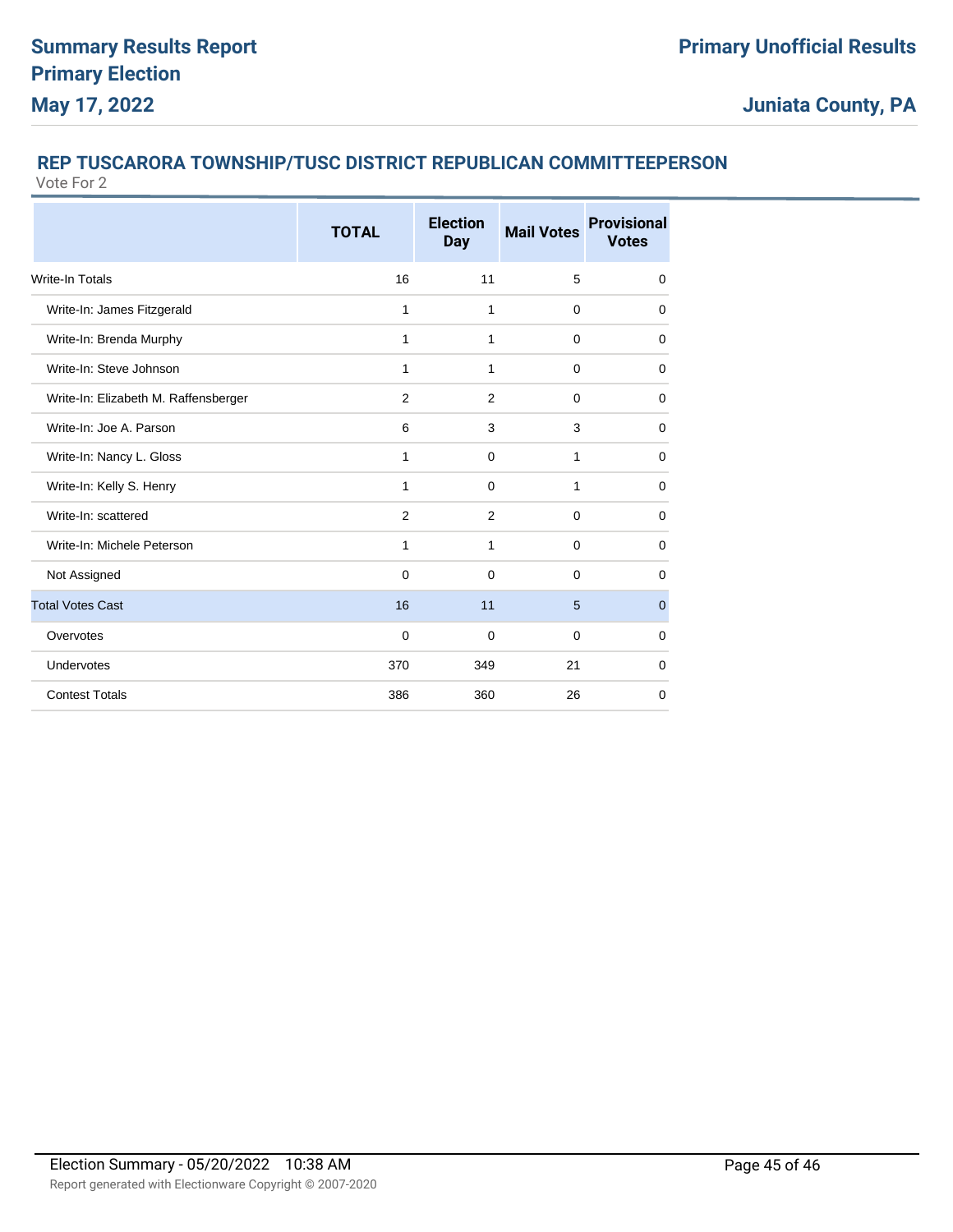# **REP TUSCARORA TOWNSHIP/TUSC DISTRICT REPUBLICAN COMMITTEEPERSON**

|                                      | <b>TOTAL</b> | <b>Election</b><br><b>Day</b> | <b>Mail Votes</b> | <b>Provisional</b><br><b>Votes</b> |
|--------------------------------------|--------------|-------------------------------|-------------------|------------------------------------|
| <b>Write-In Totals</b>               | 16           | 11                            | 5                 | $\mathbf 0$                        |
| Write-In: James Fitzgerald           | 1            | 1                             | $\mathbf 0$       | 0                                  |
| Write-In: Brenda Murphy              | 1            | $\mathbf{1}$                  | $\mathbf 0$       | $\mathbf 0$                        |
| Write-In: Steve Johnson              | 1            | 1                             | $\mathbf 0$       | 0                                  |
| Write-In: Elizabeth M. Raffensberger | 2            | 2                             | $\Omega$          | $\Omega$                           |
| Write-In: Joe A. Parson              | 6            | 3                             | 3                 | $\mathbf 0$                        |
| Write-In: Nancy L. Gloss             | 1            | $\mathbf 0$                   | 1                 | $\mathbf 0$                        |
| Write-In: Kelly S. Henry             | 1            | $\Omega$                      | 1                 | $\mathbf 0$                        |
| Write-In: scattered                  | 2            | 2                             | $\mathbf 0$       | $\mathbf 0$                        |
| Write-In: Michele Peterson           | 1            | 1                             | $\Omega$          | $\Omega$                           |
| Not Assigned                         | $\Omega$     | $\Omega$                      | $\Omega$          | $\Omega$                           |
| <b>Total Votes Cast</b>              | 16           | 11                            | 5                 | $\mathbf{0}$                       |
| Overvotes                            | $\mathbf 0$  | $\Omega$                      | $\Omega$          | 0                                  |
| <b>Undervotes</b>                    | 370          | 349                           | 21                | 0                                  |
| <b>Contest Totals</b>                | 386          | 360                           | 26                | 0                                  |